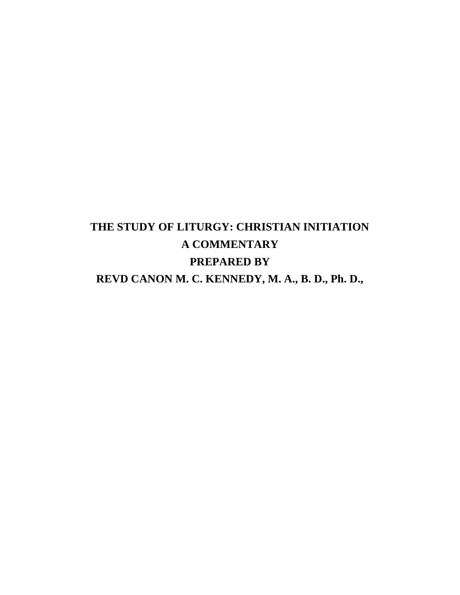# **THE STUDY OF LITURGY: CHRISTIAN INITIATION A COMMENTARY PREPARED BY REVD CANON M. C. KENNEDY, M. A., B. D., Ph. D.,**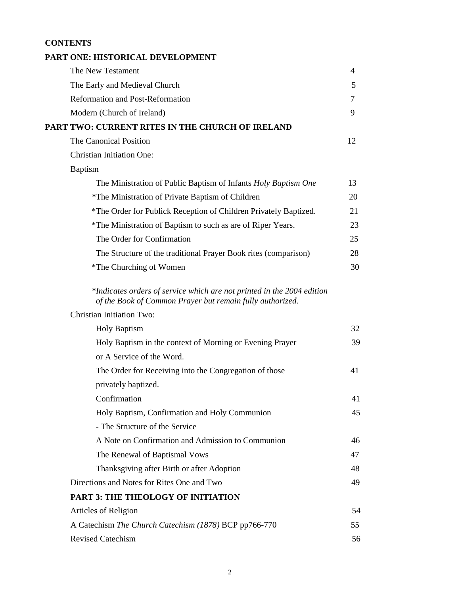# **CONTENTS**

| 4  |
|----|
|    |
| 5  |
| 7  |
| 9  |
|    |
| 12 |
|    |
|    |
| 13 |
| 20 |
| 21 |
| 23 |
| 25 |
| 28 |
| 30 |
|    |
|    |
| 32 |
| 39 |
|    |
| 41 |
|    |
| 41 |
| 45 |
|    |
| 46 |
| 47 |
| 48 |
| 49 |
|    |
| 54 |
| 55 |
| 56 |
|    |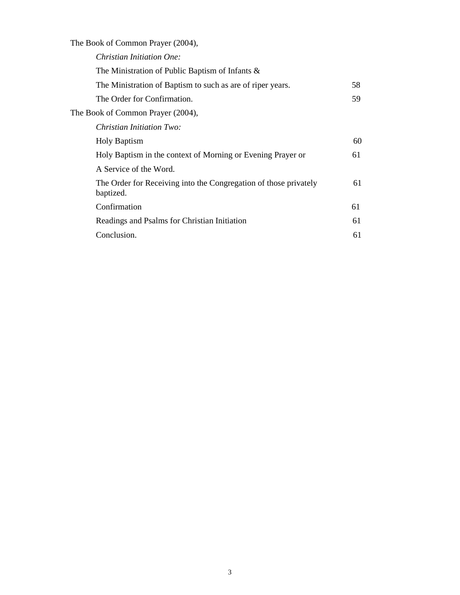The Book of Common Prayer (2004),

| Christian Initiation One:                                                     |    |
|-------------------------------------------------------------------------------|----|
| The Ministration of Public Baptism of Infants $\&$                            |    |
| The Ministration of Baptism to such as are of riper years.                    | 58 |
| The Order for Confirmation.                                                   | 59 |
| The Book of Common Prayer (2004),                                             |    |
| <i>Christian Initiation Two:</i>                                              |    |
| <b>Holy Baptism</b>                                                           | 60 |
| Holy Baptism in the context of Morning or Evening Prayer or                   | 61 |
| A Service of the Word.                                                        |    |
| The Order for Receiving into the Congregation of those privately<br>baptized. | 61 |
| Confirmation                                                                  | 61 |
| Readings and Psalms for Christian Initiation                                  | 61 |
| Conclusion.                                                                   | 61 |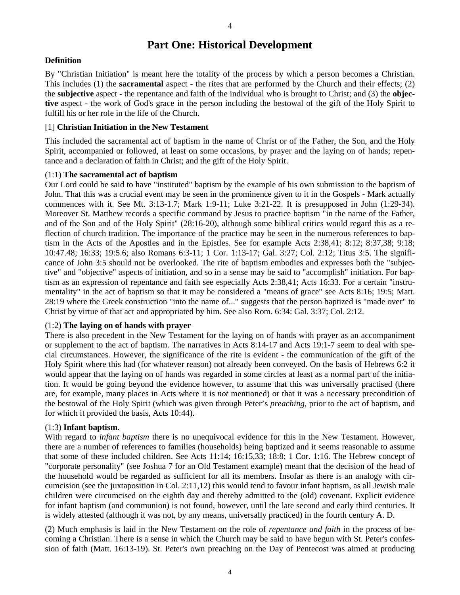# **Part One: Historical Development**

#### **Definition**

By "Christian Initiation" is meant here the totality of the process by which a person becomes a Christian. This includes (1) the **sacramental** aspect - the rites that are performed by the Church and their effects; (2) the **subjective** aspect - the repentance and faith of the individual who is brought to Christ; and (3) the **objective** aspect - the work of God's grace in the person including the bestowal of the gift of the Holy Spirit to fulfill his or her role in the life of the Church.

#### [1] **Christian Initiation in the New Testament**

This included the sacramental act of baptism in the name of Christ or of the Father, the Son, and the Holy Spirit, accompanied or followed, at least on some occasions, by prayer and the laying on of hands; repentance and a declaration of faith in Christ; and the gift of the Holy Spirit.

#### (1:1) **The sacramental act of baptism**

Our Lord could be said to have "instituted" baptism by the example of his own submission to the baptism of John. That this was a crucial event may be seen in the prominence given to it in the Gospels - Mark actually commences with it. See Mt.  $3:13-1.7$ ; Mark  $1:9-11$ ; Luke  $3:21-22$ . It is presupposed in John (1:29-34). Moreover St. Matthew records a specific command by Jesus to practice baptism "in the name of the Father, and of the Son and of the Holy Spirit" (28:16-20), although some biblical critics would regard this as a reflection of church tradition. The importance of the practice may be seen in the numerous references to baptism in the Acts of the Apostles and in the Epistles. See for example Acts 2:38,41; 8:12; 8:37,38; 9:18; 10:47.48; 16:33; 19:5.6; also Romans 6:3-11; 1 Cor. 1:13-17; Gal. 3:27; Col. 2:12; Titus 3:5. The significance of John 3:5 should not be overlooked. The rite of baptism embodies and expresses both the "subjective" and "objective" aspects of initiation, and so in a sense may be said to "accomplish" initiation. For baptism as an expression of repentance and faith see especially Acts 2:38,41; Acts 16:33. For a certain "instrumentality" in the act of baptism so that it may be considered a "means of grace" see Acts 8:16; 19:5; Matt. 28:19 where the Greek construction "into the name of..." suggests that the person baptized is "made over" to Christ by virtue of that act and appropriated by him. See also Rom. 6:34: Gal. 3:37; Col. 2:12.

#### (1:2) **The laying on of hands with prayer**

There is also precedent in the New Testament for the laying on of hands with prayer as an accompaniment or supplement to the act of baptism. The narratives in Acts 8:14-17 and Acts 19:1-7 seem to deal with special circumstances. However, the significance of the rite is evident - the communication of the gift of the Holy Spirit where this had (for whatever reason) not already been conveyed. On the basis of Hebrews 6:2 it would appear that the laying on of hands was regarded in some circles at least as a normal part of the initiation. It would be going beyond the evidence however, to assume that this was universally practised (there are, for example, many places in Acts where it is *not* mentioned) or that it was a necessary precondition of the bestowal of the Holy Spirit (which was given through Peter's *preaching*, prior to the act of baptism, and for which it provided the basis, Acts 10:44).

#### (1:3) **Infant baptism**.

With regard to *infant baptism* there is no unequivocal evidence for this in the New Testament. However, there are a number of references to families (households) being baptized and it seems reasonable to assume that some of these included children. See Acts 11:14; 16:15,33; 18:8; 1 Cor. 1:16. The Hebrew concept of "corporate personality" (see Joshua 7 for an Old Testament example) meant that the decision of the head of the household would be regarded as sufficient for all its members. Insofar as there is an analogy with circumcision (see the juxtaposition in Col. 2:11,12) this would tend to favour infant baptism, as all Jewish male children were circumcised on the eighth day and thereby admitted to the (old) covenant. Explicit evidence for infant baptism (and communion) is not found, however, until the late second and early third centuries. It is widely attested (although it was not, by any means, universally practiced) in the fourth century A. D.

(2) Much emphasis is laid in the New Testament on the role of *repentance and faith* in the process of becoming a Christian. There is a sense in which the Church may be said to have begun with St. Peter's confession of faith (Matt. 16:13-19). St. Peter's own preaching on the Day of Pentecost was aimed at producing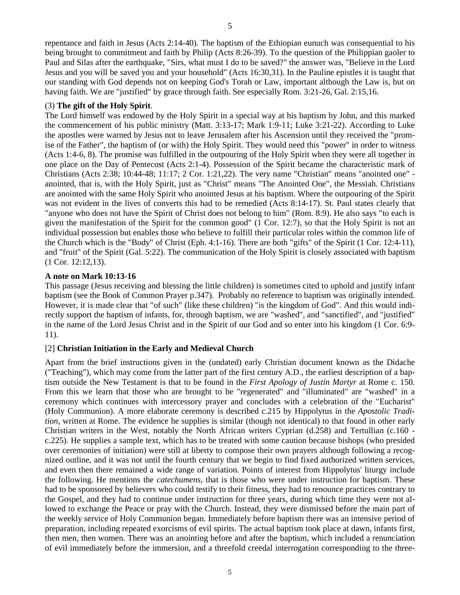repentance and faith in Jesus (Acts 2:14-40). The baptism of the Ethiopian eunuch was consequential to his being brought to commitment and faith by Philip (Acts 8:26-39). To the question of the Philippian gaoler to Paul and Silas after the earthquake, "Sirs, what must I do to be saved?" the answer was, "Believe in the Lord Jesus and you will be saved you and your household" (Acts 16:30,31). In the Pauline epistles it is taught that our standing with God depends not on keeping God's Torah or Law, important although the Law is, but on having faith. We are "justified" by grace through faith. See especially Rom. 3:21-26, Gal. 2:15,16.

# (3) **The gift of the Holy Spirit**.

The Lord himself was endowed by the Holy Spirit in a special way at his baptism by John, and this marked the commencement of his public ministry (Matt. 3:13-17; Mark 1:9-11; Luke 3:21-22). According to Luke the apostles were warned by Jesus not to leave Jerusalem after his Ascension until they received the "promise of the Father", the baptism of (or with) the Holy Spirit. They would need this "power" in order to witness (Acts 1:4-6, 8). The promise was fulfilled in the outpouring of the Holy Spirit when they were all together in one place on the Day of Pentecost (Acts 2:1-4). Possession of the Spirit became the characteristic mark of Christians (Acts 2:38; 10:44-48; 11:17; 2 Cor. 1:21,22). The very name "Christian" means "anointed one" anointed, that is, with the Holy Spirit, just as "Christ" means "The Anointed One", the Messiah. Christians are anointed with the same Holy Spirit who anointed Jesus at his baptism. Where the outpouring of the Spirit was not evident in the lives of converts this had to be remedied (Acts 8:14-17). St. Paul states clearly that "anyone who does not have the Spirit of Christ does not belong to him" (Rom. 8:9). He also says "to each is given the manifestation of the Spirit for the common good" (1 Cor. 12:7), so that the Holy Spirit is not an individual possession but enables those who believe to fulfill their particular roles within the common life of the Church which is the "Body" of Christ (Eph. 4:1-16). There are both "gifts" of the Spirit (1 Cor. 12:4-11), and "fruit" of the Spirit (Gal. 5:22). The communication of the Holy Spirit is closely associated with baptism (1 Cor. 12:12,13).

# **A note on Mark 10:13-16**

This passage (Jesus receiving and blessing the little children) is sometimes cited to uphold and justify infant baptism (see the Book of Common Prayer p.347). Probably no reference to baptism was originally intended. However, it is made clear that "of such" (like these children) "is the kingdom of God". And this would indirectly support the baptism of infants, for, through baptism, we are "washed", and "sanctified", and "justified" in the name of the Lord Jesus Christ and in the Spirit of our God and so enter into his kingdom (1 Cor. 6:9- 11).

# [2] **Christian Initiation in the Early and Medieval Church**

Apart from the brief instructions given in the (undated) early Christian document known as the Didache ("Teaching"), which may come from the latter part of the first century A.D., the earliest description of a baptism outside the New Testament is that to be found in the *First Apology of Justin Martyr* at Rome c. 150. From this we learn that those who are brought to be "regenerated" and "illuminated" are "washed" in a ceremony which continues with intercessory prayer and concludes with a celebration of the "Eucharist" (Holy Communion). A more elaborate ceremony is described c.215 by Hippolytus in the *Apostolic Tradition*, written at Rome. The evidence he supplies is similar (though not identical) to that found in other early Christian writers in the West, notably the North African writers Cyprian (d.258) and Tertullian (c.160 c.225). He supplies a sample text, which has to be treated with some caution because bishops (who presided over ceremonies of initiation) were still at liberty to compose their own prayers although following a recognized outline, and it was not until the fourth century that we begin to find fixed authorized written services, and even then there remained a wide range of variation. Points of interest from Hippolytus' liturgy include the following. He mentions the *catechumens*, that is those who were under instruction for baptism. These had to be sponsored by believers who could testify to their fitness, they had to renounce practices contrary to the Gospel, and they had to continue under instruction for three years, during which time they were not allowed to exchange the Peace or pray with the Church. Instead, they were dismissed before the main part of the weekly service of Holy Communion began. Immediately before baptism there was an intensive period of preparation, including repeated exorcisms of evil spirits. The actual baptism took place at dawn, infants first, then men, then women. There was an anointing before and after the baptism, which included a renunciation of evil immediately before the immersion, and a threefold creedal interrogation corresponding to the three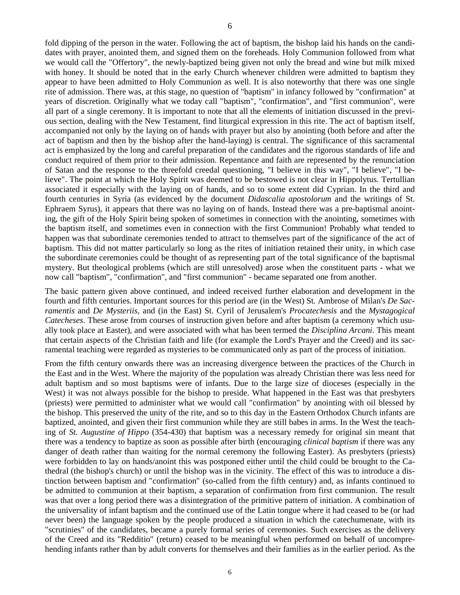fold dipping of the person in the water. Following the act of baptism, the bishop laid his hands on the candidates with prayer, anointed them, and signed them on the foreheads. Holy Communion followed from what we would call the "Offertory", the newly-baptized being given not only the bread and wine but milk mixed with honey. It should be noted that in the early Church whenever children were admitted to baptism they appear to have been admitted to Holy Communion as well. It is also noteworthy that there was one single rite of admission. There was, at this stage, no question of "baptism" in infancy followed by "confirmation" at years of discretion. Originally what we today call "baptism", "confirmation", and "first communion", were all part of a single ceremony. It is important to note that all the elements of initiation discussed in the previous section, dealing with the New Testament, find liturgical expression in this rite. The act of baptism itself, accompanied not only by the laying on of hands with prayer but also by anointing (both before and after the act of baptism and then by the bishop after the hand-laying) is central. The significance of this sacramental act is emphasized by the long and careful preparation of the candidates and the rigorous standards of life and conduct required of them prior to their admission. Repentance and faith are represented by the renunciation of Satan and the response to the threefold creedal questioning, "I believe in this way", "I believe", "I believe". The point at which the Holy Spirit was deemed to be bestowed is not clear in Hippolytus. Tertullian associated it especially with the laying on of hands, and so to some extent did Cyprian. In the third and fourth centuries in Syria (as evidenced by the document *Didascalia apostolorum* and the writings of St. Ephraem Syrus), it appears that there was no laying on of hands. Instead there was a pre-baptismal anointing, the gift of the Holy Spirit being spoken of sometimes in connection with the anointing, sometimes with the baptism itself, and sometimes even in connection with the first Communion! Probably what tended to happen was that subordinate ceremonies tended to attract to themselves part of the significance of the act of baptism. This did not matter particularly so long as the rites of initiation retained their unity, in which case the subordinate ceremonies could be thought of as representing part of the total significance of the baptismal mystery. But theological problems (which are still unresolved) arose when the constituent parts - what we now call "baptism", "confirmation", and "first communion" - became separated one from another.

The basic pattern given above continued, and indeed received further elaboration and development in the fourth and fifth centuries. Important sources for this period are (in the West) St. Ambrose of Milan's *De Sacramentis* and *De Mysteriis*, and (in the East) St. Cyril of Jerusalem's *Procatechesis* and the *Mystagogical Catecheses*. These arose from courses of instruction given before and after baptism (a ceremony which usually took place at Easter), and were associated with what has been termed the *Disciplina Arcani*. This meant that certain aspects of the Christian faith and life (for example the Lord's Prayer and the Creed) and its sacramental teaching were regarded as mysteries to be communicated only as part of the process of initiation.

From the fifth century onwards there was an increasing divergence between the practices of the Church in the East and in the West. Where the majority of the population was already Christian there was less need for adult baptism and so most baptisms were of infants. Due to the large size of dioceses (especially in the West) it was not always possible for the bishop to preside. What happened in the East was that presbyters (priests) were permitted to administer what we would call "confirmation" by anointing with oil blessed by the bishop. This preserved the unity of the rite, and so to this day in the Eastern Orthodox Church infants are baptized, anointed, and given their first communion while they are still babes in arms. In the West the teaching of *St. Augustine of Hippo* (354-430) that baptism was a necessary remedy for original sin meant that there was a tendency to baptize as soon as possible after birth (encouraging *clinical baptism* if there was any danger of death rather than waiting for the normal ceremony the following Easter). As presbyters (priests) were forbidden to lay on hands/anoint this was postponed either until the child could be brought to the Cathedral (the bishop's church) or until the bishop was in the vicinity. The effect of this was to introduce a distinction between baptism and "confirmation" (so-called from the fifth century) and, as infants continued to be admitted to communion at their baptism, a separation of confirmation from first communion. The result was that over a long period there was a disintegration of the primitive pattern of initiation. A combination of the universality of infant baptism and the continued use of the Latin tongue where it had ceased to be (or had never been) the language spoken by the people produced a situation in which the catechumenate, with its "scrutinies" of the candidates, became a purely formal series of ceremonies. Such exercises as the delivery of the Creed and its "Redditio" (return) ceased to be meaningful when performed on behalf of uncomprehending infants rather than by adult converts for themselves and their families as in the earlier period. As the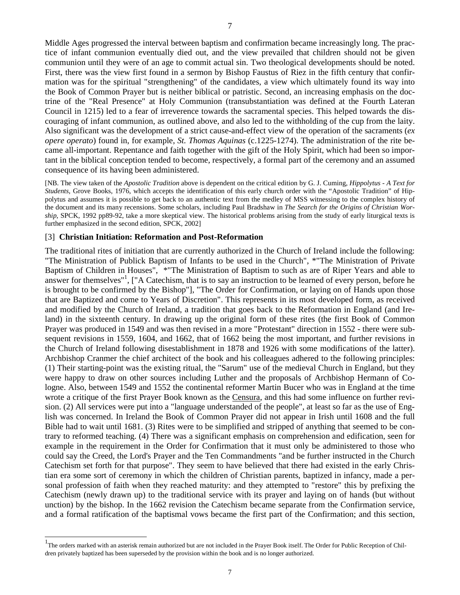Middle Ages progressed the interval between baptism and confirmation became increasingly long. The practice of infant communion eventually died out, and the view prevailed that children should not be given communion until they were of an age to commit actual sin. Two theological developments should be noted. First, there was the view first found in a sermon by Bishop Faustus of Riez in the fifth century that confirmation was for the spiritual "strengthening" of the candidates, a view which ultimately found its way into the Book of Common Prayer but is neither biblical or patristic. Second, an increasing emphasis on the doctrine of the "Real Presence" at Holy Communion (transubstantiation was defined at the Fourth Lateran Council in 1215) led to a fear of irreverence towards the sacramental species. This helped towards the discouraging of infant communion, as outlined above, and also led to the withholding of the cup from the laity. Also significant was the development of a strict cause-and-effect view of the operation of the sacraments (*ex opere operato*) found in, for example, *St. Thomas Aquinas* (c.1225-1274). The administration of the rite became all-important. Repentance and faith together with the gift of the Holy Spirit, which had been so important in the biblical conception tended to become, respectively, a formal part of the ceremony and an assumed consequence of its having been administered.

[NB. The view taken of the *Apostolic Tradition* above is dependent on the critical edition by G. J. Cuming, *Hippolytus - A Text for Students*, Grove Books, 1976, which accepts the identification of this early church order with the "Apostolic Tradition" of Hippolytus and assumes it is possible to get back to an authentic text from the medley of MSS witnessing to the complex history of the document and its many recensions. Some scholars, including Paul Bradshaw in *The Search for the Origins of Christian Worship*, SPCK, 1992 pp89-92, take a more skeptical view. The historical problems arising from the study of early liturgical texts is further emphasized in the second edition, SPCK, 2002]

#### [3] **Christian Initiation: Reformation and Post-Reformation**

 $\overline{a}$ 

The traditional rites of initiation that are currently authorized in the Church of Ireland include the following: "The Ministration of Publick Baptism of Infants to be used in the Church", \*"The Ministration of Private Baptism of Children in Houses", \*"The Ministration of Baptism to such as are of Riper Years and able to answer for themselves"<sup>1</sup>, ["A Catechism, that is to say an instruction to be learned of every person, before he is brought to be confirmed by the Bishop"], "The Order for Confirmation, or laying on of Hands upon those that are Baptized and come to Years of Discretion". This represents in its most developed form, as received and modified by the Church of Ireland, a tradition that goes back to the Reformation in England (and Ireland) in the sixteenth century. In drawing up the original form of these rites (the first Book of Common Prayer was produced in 1549 and was then revised in a more "Protestant" direction in 1552 - there were subsequent revisions in 1559, 1604, and 1662, that of 1662 being the most important, and further revisions in the Church of Ireland following disestablishment in 1878 and 1926 with some modifications of the latter). Archbishop Cranmer the chief architect of the book and his colleagues adhered to the following principles: (1) Their starting-point was the existing ritual, the "Sarum" use of the medieval Church in England, but they were happy to draw on other sources including Luther and the proposals of Archbishop Hermann of Cologne. Also, between 1549 and 1552 the continental reformer Martin Bucer who was in England at the time wrote a critique of the first Prayer Book known as the Censura, and this had some influence on further revision. (2) All services were put into a "language understanded of the people", at least so far as the use of English was concerned. In Ireland the Book of Common Prayer did not appear in Irish until 1608 and the full Bible had to wait until 1681. (3) Rites were to be simplified and stripped of anything that seemed to be contrary to reformed teaching. (4) There was a significant emphasis on comprehension and edification, seen for example in the requirement in the Order for Confirmation that it must only be administered to those who could say the Creed, the Lord's Prayer and the Ten Commandments "and be further instructed in the Church Catechism set forth for that purpose". They seem to have believed that there had existed in the early Christian era some sort of ceremony in which the children of Christian parents, baptized in infancy, made a personal profession of faith when they reached maturity: and they attempted to "restore" this by prefixing the Catechism (newly drawn up) to the traditional service with its prayer and laying on of hands (but without unction) by the bishop. In the 1662 revision the Catechism became separate from the Confirmation service, and a formal ratification of the baptismal vows became the first part of the Confirmation; and this section,

<sup>&</sup>lt;sup>1</sup>The orders marked with an asterisk remain authorized but are not included in the Prayer Book itself. The Order for Public Reception of Children privately baptized has been superseded by the provision within the book and is no longer authorized.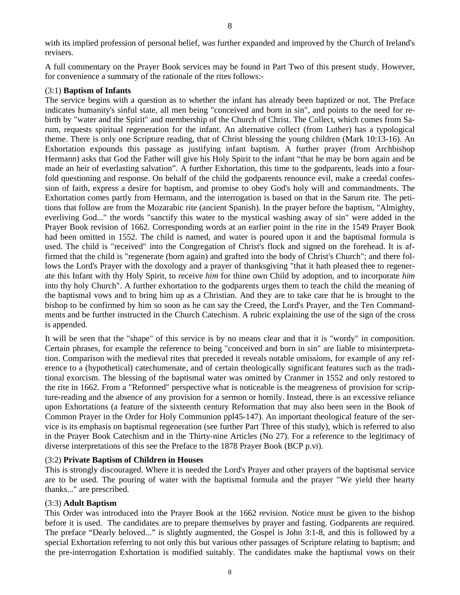with its implied profession of personal belief, was further expanded and improved by the Church of Ireland's revisers.

A full commentary on the Prayer Book services may be found in Part Two of this present study. However, for convenience a summary of the rationale of the rites follows:-

#### (3:1) **Baptism of Infants**

The service begins with a question as to whether the infant has already been baptized or not. The Preface indicates humanity's sinful state, all men being "conceived and born in sin", and points to the need for rebirth by "water and the Spirit" and membership of the Church of Christ. The Collect, which comes from Sarum, requests spiritual regeneration for the infant. An alternative collect (from Luther) has a typological theme. There is only one Scripture reading, that of Christ blessing the young children (Mark 10:13-16). An Exhortation expounds this passage as justifying infant baptism. A further prayer (from Archbishop Hermann) asks that God the Father will give his Holy Spirit to the infant "that he may be born again and be made an heir of everlasting salvation". A further Exhortation, this time to the godparents, leads into a fourfold questioning and response. On behalf of the child the godparents renounce evil, make a creedal confession of faith, express a desire for baptism, and promise to obey God's holy will and commandments. The Exhortation comes partly from Hermann, and the interrogation is based on that in the Sarum rite. The petitions that follow are from the Mozarabic rite (ancient Spanish). In the prayer before the baptism, "Almighty, everliving God..." the words "sanctify this water to the mystical washing away of sin" were added in the Prayer Book revision of 1662. Corresponding words at an earlier point in the rite in the 1549 Prayer Book had been omitted in 1552. The child is named, and water is poured upon it and the baptismal formula is used. The child is "received" into the Congregation of Christ's flock and signed on the forehead. It is affirmed that the child is "regenerate (born again) and grafted into the body of Christ's Church"; and there follows the Lord's Prayer with the doxology and a prayer of thanksgiving "that it hath pleased thee to regenerate this Infant with thy Holy Spirit, to receive *him* for thine own Child by adoption, and to incorporate *him* into thy holy Church". A further exhortation to the godparents urges them to teach the child the meaning of the baptismal vows and to bring him up as a Christian. And they are to take care that he is brought to the bishop to be confirmed by him so soon as he can say the Creed, the Lord's Prayer, and the Ten Commandments and be further instructed in the Church Catechism. A rubric explaining the use of the sign of the cross is appended.

It will be seen that the "shape" of this service is by no means clear and that it is "wordy" in composition. Certain phrases, for example the reference to being "conceived and born in sin" are liable to misinterpretation. Comparison with the medieval rites that preceded it reveals notable omissions, for example of any reference to a (hypothetical) catechumenate, and of certain theologically significant features such as the traditional exorcism. The blessing of the baptismal water was omitted by Cranmer in 1552 and only restored to the rite in 1662. From a "Reformed" perspective what is noticeable is the meagreness of provision for scripture-reading and the absence of any provision for a sermon or homily. Instead, there is an excessive reliance upon Exhortations (a feature of the sixteenth century Reformation that may also been seen in the Book of Common Prayer in the Order for Holy Communion ppl45-147). An important theological feature of the service is its emphasis on baptismal regeneration (see further Part Three of this study), which is referred to also in the Prayer Book Catechism and in the Thirty-nine Articles (No 27). For a reference to the legitimacy of diverse interpretations of this see the Preface to the 1878 Prayer Book (BCP p.vi).

#### (3:2) **Private Baptism of Children in Houses**

This is strongly discouraged. Where it is needed the Lord's Prayer and other prayers of the baptismal service are to be used. The pouring of water with the baptismal formula and the prayer "We yield thee hearty thanks..." are prescribed.

#### (3:3) **Adult Baptism**

This Order was introduced into the Prayer Book at the 1662 revision. Notice must be given to the bishop before it is used. The candidates are to prepare themselves by prayer and fasting. Godparents are required. The preface "Dearly beloved..." is slightly augmented, the Gospel is John 3:1-8, and this is followed by a special Exhortation referring to not only this but various other passages of Scripture relating to baptism; and the pre-interrogation Exhortation is modified suitably. The candidates make the baptismal vows on their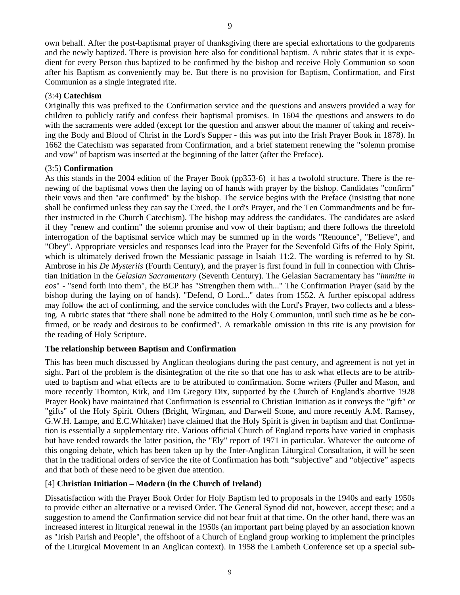own behalf. After the post-baptismal prayer of thanksgiving there are special exhortations to the godparents and the newly baptized. There is provision here also for conditional baptism. A rubric states that it is expedient for every Person thus baptized to be confirmed by the bishop and receive Holy Communion so soon after his Baptism as conveniently may be. But there is no provision for Baptism, Confirmation, and First Communion as a single integrated rite.

## (3:4) **Catechism**

Originally this was prefixed to the Confirmation service and the questions and answers provided a way for children to publicly ratify and confess their baptismal promises. In 1604 the questions and answers to do with the sacraments were added (except for the question and answer about the manner of taking and receiving the Body and Blood of Christ in the Lord's Supper - this was put into the Irish Prayer Book in 1878). In 1662 the Catechism was separated from Confirmation, and a brief statement renewing the "solemn promise and vow" of baptism was inserted at the beginning of the latter (after the Preface).

# (3:5) **Confirmation**

As this stands in the 2004 edition of the Prayer Book (pp353-6) it has a twofold structure. There is the renewing of the baptismal vows then the laying on of hands with prayer by the bishop. Candidates "confirm" their vows and then "are confirmed" by the bishop. The service begins with the Preface (insisting that none shall be confirmed unless they can say the Creed, the Lord's Prayer, and the Ten Commandments and be further instructed in the Church Catechism). The bishop may address the candidates. The candidates are asked if they "renew and confirm" the solemn promise and vow of their baptism; and there follows the threefold interrogation of the baptismal service which may be summed up in the words "Renounce", "Believe", and "Obey". Appropriate versicles and responses lead into the Prayer for the Sevenfold Gifts of the Holy Spirit, which is ultimately derived frown the Messianic passage in Isaiah 11:2. The wording is referred to by St. Ambrose in his *De Mysteriis* (Fourth Century), and the prayer is first found in full in connection with Christian Initiation in the *Gelasian Sacramentary* (Seventh Century). The Gelasian Sacramentary has "*immitte in eos*" - "send forth into them", the BCP has "Strengthen them with..." The Confirmation Prayer (said by the bishop during the laying on of hands). "Defend, O Lord..." dates from 1552. A further episcopal address may follow the act of confirming, and the service concludes with the Lord's Prayer, two collects and a blessing. A rubric states that "there shall none be admitted to the Holy Communion, until such time as he be confirmed, or be ready and desirous to be confirmed". A remarkable omission in this rite is any provision for the reading of Holy Scripture.

# **The relationship between Baptism and Confirmation**

This has been much discussed by Anglican theologians during the past century, and agreement is not yet in sight. Part of the problem is the disintegration of the rite so that one has to ask what effects are to be attributed to baptism and what effects are to be attributed to confirmation. Some writers (Puller and Mason, and more recently Thornton, Kirk, and Dm Gregory Dix, supported by the Church of England's abortive 1928 Prayer Book) have maintained that Confirmation is essential to Christian Initiation as it conveys the "gift" or "gifts" of the Holy Spirit. Others (Bright, Wirgman, and Darwell Stone, and more recently A.M. Ramsey, G.W.H. Lampe, and E.C.Whitaker) have claimed that the Holy Spirit is given in baptism and that Confirmation is essentially a supplementary rite. Various official Church of England reports have varied in emphasis but have tended towards the latter position, the "Ely" report of 1971 in particular. Whatever the outcome of this ongoing debate, which has been taken up by the Inter-Anglican Liturgical Consultation, it will be seen that in the traditional orders of service the rite of Confirmation has both "subjective" and "objective" aspects and that both of these need to be given due attention.

# [4] **Christian Initiation – Modern (in the Church of Ireland)**

Dissatisfaction with the Prayer Book Order for Holy Baptism led to proposals in the 1940s and early 1950s to provide either an alternative or a revised Order. The General Synod did not, however, accept these; and a suggestion to amend the Confirmation service did not bear fruit at that time. On the other hand, there was an increased interest in liturgical renewal in the 1950s (an important part being played by an association known as "Irish Parish and People", the offshoot of a Church of England group working to implement the principles of the Liturgical Movement in an Anglican context). In 1958 the Lambeth Conference set up a special sub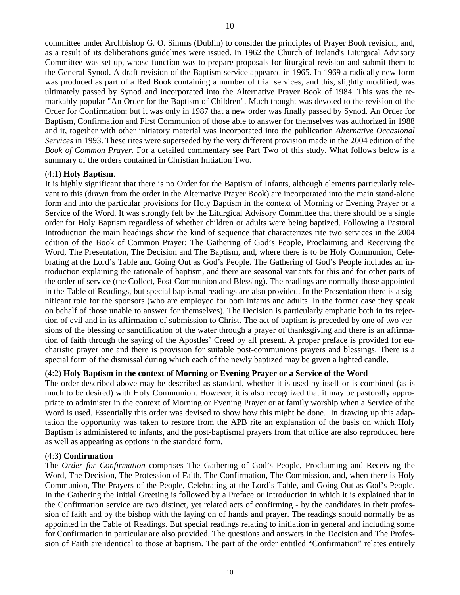committee under Archbishop G. O. Simms (Dublin) to consider the principles of Prayer Book revision, and, as a result of its deliberations guidelines were issued. In 1962 the Church of Ireland's Liturgical Advisory Committee was set up, whose function was to prepare proposals for liturgical revision and submit them to the General Synod. A draft revision of the Baptism service appeared in 1965. In 1969 a radically new form was produced as part of a Red Book containing a number of trial services, and this, slightly modified, was ultimately passed by Synod and incorporated into the Alternative Prayer Book of 1984. This was the remarkably popular "An Order for the Baptism of Children". Much thought was devoted to the revision of the Order for Confirmation; but it was only in 1987 that a new order was finally passed by Synod. An Order for Baptism, Confirmation and First Communion of those able to answer for themselves was authorized in 1988 and it, together with other initiatory material was incorporated into the publication *Alternative Occasional Services* in 1993. These rites were superseded by the very different provision made in the 2004 edition of the *Book of Common Prayer*. For a detailed commentary see Part Two of this study. What follows below is a summary of the orders contained in Christian Initiation Two.

#### (4:1) **Holy Baptism**.

It is highly significant that there is no Order for the Baptism of Infants, although elements particularly relevant to this (drawn from the order in the Alternative Prayer Book) are incorporated into the main stand-alone form and into the particular provisions for Holy Baptism in the context of Morning or Evening Prayer or a Service of the Word. It was strongly felt by the Liturgical Advisory Committee that there should be a single order for Holy Baptism regardless of whether children or adults were being baptized. Following a Pastoral Introduction the main headings show the kind of sequence that characterizes rite two services in the 2004 edition of the Book of Common Prayer: The Gathering of God's People, Proclaiming and Receiving the Word, The Presentation, The Decision and The Baptism, and, where there is to be Holy Communion, Celebrating at the Lord's Table and Going Out as God's People. The Gathering of God's People includes an introduction explaining the rationale of baptism, and there are seasonal variants for this and for other parts of the order of service (the Collect, Post-Communion and Blessing). The readings are normally those appointed in the Table of Readings, but special baptismal readings are also provided. In the Presentation there is a significant role for the sponsors (who are employed for both infants and adults. In the former case they speak on behalf of those unable to answer for themselves). The Decision is particularly emphatic both in its rejection of evil and in its affirmation of submission to Christ. The act of baptism is preceded by one of two versions of the blessing or sanctification of the water through a prayer of thanksgiving and there is an affirmation of faith through the saying of the Apostles' Creed by all present. A proper preface is provided for eucharistic prayer one and there is provision for suitable post-communions prayers and blessings. There is a special form of the dismissal during which each of the newly baptized may be given a lighted candle.

#### (4:2) **Holy Baptism in the context of Morning or Evening Prayer or a Service of the Word**

The order described above may be described as standard, whether it is used by itself or is combined (as is much to be desired) with Holy Communion. However, it is also recognized that it may be pastorally appropriate to administer in the context of Morning or Evening Prayer or at family worship when a Service of the Word is used. Essentially this order was devised to show how this might be done. In drawing up this adaptation the opportunity was taken to restore from the APB rite an explanation of the basis on which Holy Baptism is administered to infants, and the post-baptismal prayers from that office are also reproduced here as well as appearing as options in the standard form.

#### (4:3) **Confirmation**

The *Order for Confirmation* comprises The Gathering of God's People, Proclaiming and Receiving the Word, The Decision, The Profession of Faith, The Confirmation, The Commission, and, when there is Holy Communion, The Prayers of the People, Celebrating at the Lord's Table, and Going Out as God's People. In the Gathering the initial Greeting is followed by a Preface or Introduction in which it is explained that in the Confirmation service are two distinct, yet related acts of confirming - by the candidates in their profession of faith and by the bishop with the laying on of hands and prayer. The readings should normally be as appointed in the Table of Readings. But special readings relating to initiation in general and including some for Confirmation in particular are also provided. The questions and answers in the Decision and The Profession of Faith are identical to those at baptism. The part of the order entitled "Confirmation" relates entirely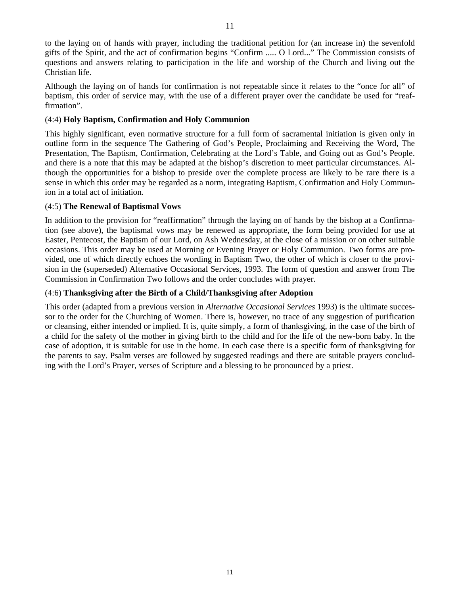to the laying on of hands with prayer, including the traditional petition for (an increase in) the sevenfold gifts of the Spirit, and the act of confirmation begins "Confirm ..... O Lord..." The Commission consists of questions and answers relating to participation in the life and worship of the Church and living out the Christian life.

Although the laying on of hands for confirmation is not repeatable since it relates to the "once for all" of baptism, this order of service may, with the use of a different prayer over the candidate be used for "reaffirmation".

### (4:4) **Holy Baptism, Confirmation and Holy Communion**

This highly significant, even normative structure for a full form of sacramental initiation is given only in outline form in the sequence The Gathering of God's People, Proclaiming and Receiving the Word, The Presentation, The Baptism, Confirmation, Celebrating at the Lord's Table, and Going out as God's People. and there is a note that this may be adapted at the bishop's discretion to meet particular circumstances. Although the opportunities for a bishop to preside over the complete process are likely to be rare there is a sense in which this order may be regarded as a norm, integrating Baptism, Confirmation and Holy Communion in a total act of initiation.

# (4:5) **The Renewal of Baptismal Vows**

In addition to the provision for "reaffirmation" through the laying on of hands by the bishop at a Confirmation (see above), the baptismal vows may be renewed as appropriate, the form being provided for use at Easter, Pentecost, the Baptism of our Lord, on Ash Wednesday, at the close of a mission or on other suitable occasions. This order may be used at Morning or Evening Prayer or Holy Communion. Two forms are provided, one of which directly echoes the wording in Baptism Two, the other of which is closer to the provision in the (superseded) Alternative Occasional Services, 1993. The form of question and answer from The Commission in Confirmation Two follows and the order concludes with prayer.

# (4:6) **Thanksgiving after the Birth of a Child/Thanksgiving after Adoption**

This order (adapted from a previous version in *Alternative Occasional Services* 1993) is the ultimate successor to the order for the Churching of Women. There is, however, no trace of any suggestion of purification or cleansing, either intended or implied. It is, quite simply, a form of thanksgiving, in the case of the birth of a child for the safety of the mother in giving birth to the child and for the life of the new-born baby. In the case of adoption, it is suitable for use in the home. In each case there is a specific form of thanksgiving for the parents to say. Psalm verses are followed by suggested readings and there are suitable prayers concluding with the Lord's Prayer, verses of Scripture and a blessing to be pronounced by a priest.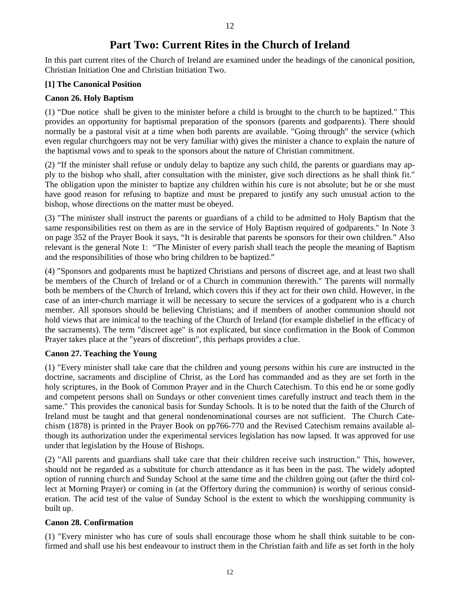# **Part Two: Current Rites in the Church of Ireland**

In this part current rites of the Church of Ireland are examined under the headings of the canonical position, Christian Initiation One and Christian Initiation Two.

# **[1] The Canonical Position**

# **Canon 26. Holy Baptism**

(1) "Due notice shall be given to the minister before a child is brought to the church to be baptized." This provides an opportunity for baptismal preparation of the sponsors (parents and godparents). There should normally be a pastoral visit at a time when both parents are available. "Going through" the service (which even regular churchgoers may not be very familiar with) gives the minister a chance to explain the nature of the baptismal vows and to speak to the sponsors about the nature of Christian commitment.

(2) "If the minister shall refuse or unduly delay to baptize any such child, the parents or guardians may apply to the bishop who shall, after consultation with the minister, give such directions as he shall think fit." The obligation upon the minister to baptize any children within his cure is not absolute; but he or she must have good reason for refusing to baptize and must be prepared to justify any such unusual action to the bishop, whose directions on the matter must be obeyed.

(3) "The minister shall instruct the parents or guardians of a child to be admitted to Holy Baptism that the same responsibilities rest on them as are in the service of Holy Baptism required of godparents." In Note 3 on page 352 of the Prayer Book it says, "It is desirable that parents be sponsors for their own children." Also relevant is the general Note 1: "The Minister of every parish shall teach the people the meaning of Baptism and the responsibilities of those who bring children to be baptized."

(4) "Sponsors and godparents must be baptized Christians and persons of discreet age, and at least two shall be members of the Church of Ireland or of a Church in communion therewith." The parents will normally both be members of the Church of Ireland, which covers this if they act for their own child. However, in the case of an inter-church marriage it will be necessary to secure the services of a godparent who is a church member. All sponsors should be believing Christians; and if members of another communion should not hold views that are inimical to the teaching of the Church of Ireland (for example disbelief in the efficacy of the sacraments). The term "discreet age" is not explicated, but since confirmation in the Book of Common Prayer takes place at the "years of discretion", this perhaps provides a clue.

# **Canon 27. Teaching the Young**

(1) "Every minister shall take care that the children and young persons within his cure are instructed in the doctrine, sacraments and discipline of Christ, as the Lord has commanded and as they are set forth in the holy scriptures, in the Book of Common Prayer and in the Church Catechism. To this end he or some godly and competent persons shall on Sundays or other convenient times carefully instruct and teach them in the same." This provides the canonical basis for Sunday Schools. It is to be noted that the faith of the Church of Ireland must be taught and that general nondenominational courses are not sufficient. The Church Catechism (1878) is printed in the Prayer Book on pp766-770 and the Revised Catechism remains available although its authorization under the experimental services legislation has now lapsed. It was approved for use under that legislation by the House of Bishops.

(2) "All parents and guardians shall take care that their children receive such instruction." This, however, should not be regarded as a substitute for church attendance as it has been in the past. The widely adopted option of running church and Sunday School at the same time and the children going out (after the third collect at Morning Prayer) or coming in (at the Offertory during the communion) is worthy of serious consideration. The acid test of the value of Sunday School is the extent to which the worshipping community is built up.

# **Canon 28. Confirmation**

(1) "Every minister who has cure of souls shall encourage those whom he shall think suitable to be confirmed and shall use his best endeavour to instruct them in the Christian faith and life as set forth in the holy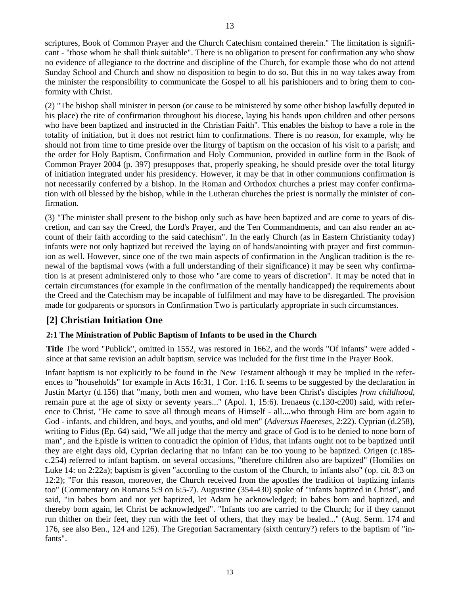scriptures, Book of Common Prayer and the Church Catechism contained therein." The limitation is significant - "those whom he shall think suitable". There is no obligation to present for confirmation any who show no evidence of allegiance to the doctrine and discipline of the Church, for example those who do not attend Sunday School and Church and show no disposition to begin to do so. But this in no way takes away from the minister the responsibility to communicate the Gospel to all his parishioners and to bring them to conformity with Christ.

(2) "The bishop shall minister in person (or cause to be ministered by some other bishop lawfully deputed in his place) the rite of confirmation throughout his diocese, laying his hands upon children and other persons who have been baptized and instructed in the Christian Faith". This enables the bishop to have a role in the totality of initiation, but it does not restrict him to confirmations. There is no reason, for example, why he should not from time to time preside over the liturgy of baptism on the occasion of his visit to a parish; and the order for Holy Baptism, Confirmation and Holy Communion, provided in outline form in the Book of Common Prayer 2004 (p. 397) presupposes that, properly speaking, he should preside over the total liturgy of initiation integrated under his presidency. However, it may be that in other communions confirmation is not necessarily conferred by a bishop. In the Roman and Orthodox churches a priest may confer confirmation with oil blessed by the bishop, while in the Lutheran churches the priest is normally the minister of confirmation.

(3) "The minister shall present to the bishop only such as have been baptized and are come to years of discretion, and can say the Creed, the Lord's Prayer, and the Ten Commandments, and can also render an account of their faith according to the said catechism". In the early Church (as in Eastern Christianity today) infants were not only baptized but received the laying on of hands/anointing with prayer and first communion as well. However, since one of the two main aspects of confirmation in the Anglican tradition is the renewal of the baptismal vows (with a full understanding of their significance) it may be seen why confirmation is at present administered only to those who "are come to years of discretion". It may be noted that in certain circumstances (for example in the confirmation of the mentally handicapped) the requirements about the Creed and the Catechism may be incapable of fulfilment and may have to be disregarded. The provision made for godparents or sponsors in Confirmation Two is particularly appropriate in such circumstances.

# **[2] Christian Initiation One**

# **2:1 The Ministration of Public Baptism of Infants to be used in the Church**

**Title** The word "Publick", omitted in 1552, was restored in 1662, and the words "Of infants" were added since at that same revision an adult baptism, service was included for the first time in the Prayer Book.

Infant baptism is not explicitly to be found in the New Testament although it may be implied in the references to "households" for example in Acts 16:31, 1 Cor. 1:16. It seems to be suggested by the declaration in Justin Martyr (d.156) that "many, both men and women, who have been Christ's disciples *from childhood*, remain pure at the age of sixty or seventy years..." (Apol. 1, 15:6). Irenaeus (c.130-c200) said, with reference to Christ, "He came to save all through means of Himself - all....who through Him are born again to God - infants, and children, and boys, and youths, and old men" (*Adversus Haereses*, 2:22). Cyprian (d.258), writing to Fidus (Ep. 64) said, "We all judge that the mercy and grace of God is to be denied to none born of man", and the Epistle is written to contradict the opinion of Fidus, that infants ought not to be baptized until they are eight days old, Cyprian declaring that no infant can be too young to be baptized. Origen (c.185 c.254) referred to infant baptism. on several occasions, "therefore children also are baptized" (Homilies on Luke 14: on 2:22a); baptism is given "according to the custom of the Church, to infants also" (op. cit. 8:3 on 12:2); "For this reason, moreover, the Church received from the apostles the tradition of baptizing infants too" (Commentary on Romans 5:9 on 6:5-7). Augustine (354-430) spoke of "infants baptized in Christ", and said, "in babes born and not yet baptized, let Adam be acknowledged; in babes born and baptized, and thereby born again, let Christ be acknowledged". "Infants too are carried to the Church; for if they cannot run thither on their feet, they run with the feet of others, that they may be healed..." (Aug. Serm. 174 and 176, see also Ben., 124 and 126). The Gregorian Sacramentary (sixth century?) refers to the baptism of "infants".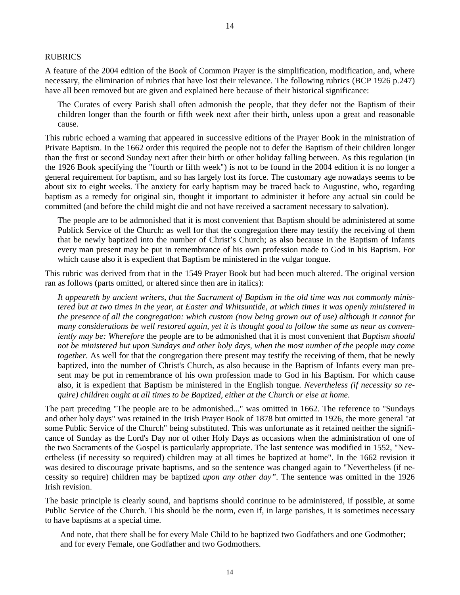#### RUBRICS

A feature of the 2004 edition of the Book of Common Prayer is the simplification, modification, and, where necessary, the elimination of rubrics that have lost their relevance. The following rubrics (BCP 1926 p.247) have all been removed but are given and explained here because of their historical significance:

The Curates of every Parish shall often admonish the people, that they defer not the Baptism of their children longer than the fourth or fifth week next after their birth, unless upon a great and reasonable cause.

This rubric echoed a warning that appeared in successive editions of the Prayer Book in the ministration of Private Baptism. In the 1662 order this required the people not to defer the Baptism of their children longer than the first or second Sunday next after their birth or other holiday falling between. As this regulation (in the 1926 Book specifying the "fourth or fifth week") is not to be found in the 2004 edition it is no longer a general requirement for baptism, and so has largely lost its force. The customary age nowadays seems to be about six to eight weeks. The anxiety for early baptism may be traced back to Augustine, who, regarding baptism as a remedy for original sin, thought it important to administer it before any actual sin could be committed (and before the child might die and not have received a sacrament necessary to salvation).

The people are to be admonished that it is most convenient that Baptism should be administered at some Publick Service of the Church: as well for that the congregation there may testify the receiving of them that be newly baptized into the number of Christ's Church; as also because in the Baptism of Infants every man present may be put in remembrance of his own profession made to God in his Baptism. For which cause also it is expedient that Baptism be ministered in the vulgar tongue.

This rubric was derived from that in the 1549 Prayer Book but had been much altered. The original version ran as follows (parts omitted, or altered since then are in italics):

*It appeareth by ancient writers, that the Sacrament of Baptism in the old time was not commonly ministered but at two times in the year, at Easter and Whitsuntide, at which times it was openly ministered in the presence of all the congregation: which custom (now being grown out of use) although it cannot for many considerations be well restored again, yet it is thought good to follow the same as near as conveniently may be: Wherefore* the people are to be admonished that it is most convenient that *Baptism should not be ministered but upon Sundays and other holy days, when the most number of the people may come together*. As well for that the congregation there present may testify the receiving of them, that be newly baptized, into the number of Christ's Church, as also because in the Baptism of Infants every man present may be put in remembrance of his own profession made to God in his Baptism. For which cause also, it is expedient that Baptism be ministered in the English tongue*. Nevertheless (if necessity so require) children ought at all times to be Baptized, either at the Church or else at home.* 

The part preceding "The people are to be admonished..." was omitted in 1662. The reference to "Sundays and other holy days" was retained in the Irish Prayer Book of 1878 but omitted in 1926, the more general "at some Public Service of the Church" being substituted. This was unfortunate as it retained neither the significance of Sunday as the Lord's Day nor of other Holy Days as occasions when the administration of one of the two Sacraments of the Gospel is particularly appropriate. The last sentence was modified in 1552, "Nevertheless (if necessity so required) children may at all times be baptized at home". In the 1662 revision it was desired to discourage private baptisms, and so the sentence was changed again to "Nevertheless (if necessity so require) children may be baptized *upon any other day"*. The sentence was omitted in the 1926 Irish revision.

The basic principle is clearly sound, and baptisms should continue to be administered, if possible, at some Public Service of the Church. This should be the norm, even if, in large parishes, it is sometimes necessary to have baptisms at a special time.

And note, that there shall be for every Male Child to be baptized two Godfathers and one Godmother; and for every Female, one Godfather and two Godmothers.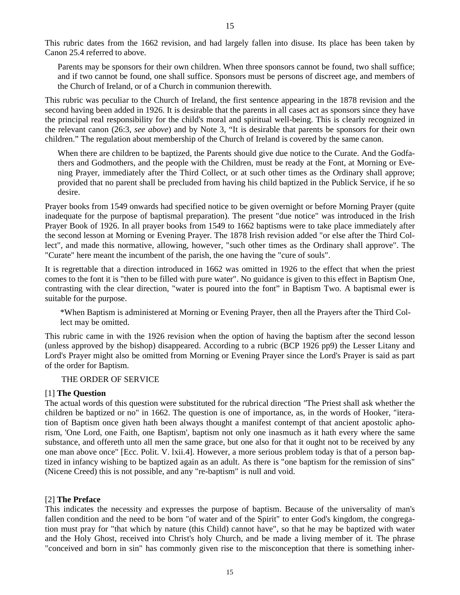This rubric dates from the 1662 revision, and had largely fallen into disuse. Its place has been taken by Canon 25.4 referred to above.

Parents may be sponsors for their own children. When three sponsors cannot be found, two shall suffice; and if two cannot be found, one shall suffice. Sponsors must be persons of discreet age, and members of the Church of Ireland, or of a Church in communion therewith.

This rubric was peculiar to the Church of Ireland, the first sentence appearing in the 1878 revision and the second having been added in 1926. It is desirable that the parents in all cases act as sponsors since they have the principal real responsibility for the child's moral and spiritual well-being. This is clearly recognized in the relevant canon (26:3, *see above*) and by Note 3, "It is desirable that parents be sponsors for their own children." The regulation about membership of the Church of Ireland is covered by the same canon.

When there are children to be baptized, the Parents should give due notice to the Curate. And the Godfathers and Godmothers, and the people with the Children, must be ready at the Font, at Morning or Evening Prayer, immediately after the Third Collect, or at such other times as the Ordinary shall approve; provided that no parent shall be precluded from having his child baptized in the Publick Service, if he so desire.

Prayer books from 1549 onwards had specified notice to be given overnight or before Morning Prayer (quite inadequate for the purpose of baptismal preparation). The present "due notice" was introduced in the Irish Prayer Book of 1926. In all prayer books from 1549 to 1662 baptisms were to take place immediately after the second lesson at Morning or Evening Prayer. The 1878 Irish revision added "or else after the Third Collect", and made this normative, allowing, however, "such other times as the Ordinary shall approve". The "Curate" here meant the incumbent of the parish, the one having the "cure of souls".

It is regrettable that a direction introduced in 1662 was omitted in 1926 to the effect that when the priest comes to the font it is "then to be filled with pure water". No guidance is given to this effect in Baptism One, contrasting with the clear direction, "water is poured into the font" in Baptism Two. A baptismal ewer is suitable for the purpose.

\*When Baptism is administered at Morning or Evening Prayer, then all the Prayers after the Third Collect may be omitted.

This rubric came in with the 1926 revision when the option of having the baptism after the second lesson (unless approved by the bishop) disappeared. According to a rubric (BCP 1926 pp9) the Lesser Litany and Lord's Prayer might also be omitted from Morning or Evening Prayer since the Lord's Prayer is said as part of the order for Baptism.

#### THE ORDER OF SERVICE

#### [1] **The Question**

The actual words of this question were substituted for the rubrical direction *"*The Priest shall ask whether the children be baptized or no" in 1662. The question is one of importance, as, in the words of Hooker, "iteration of Baptism once given hath been always thought a manifest contempt of that ancient apostolic aphorism, 'One Lord, one Faith, one Baptism', baptism not only one inasmuch as it hath every where the same substance, and offereth unto all men the same grace, but one also for that it ought not to be received by any one man above once" [Ecc*.* Polit. V. lxii.4]. However, a more serious problem today is that of a person baptized in infancy wishing to be baptized again as an adult. As there is "one baptism for the remission of sins" (Nicene Creed) this is not possible, and any "re-baptism" is null and void.

#### [2] **The Preface**

This indicates the necessity and expresses the purpose of baptism. Because of the universality of man's fallen condition and the need to be born "of water and of the Spirit" to enter God's kingdom, the congregation must pray for "that which by nature (this Child) cannot have", so that he may be baptized with water and the Holy Ghost, received into Christ's holy Church, and be made a living member of it. The phrase "conceived and born in sin" has commonly given rise to the misconception that there is something inher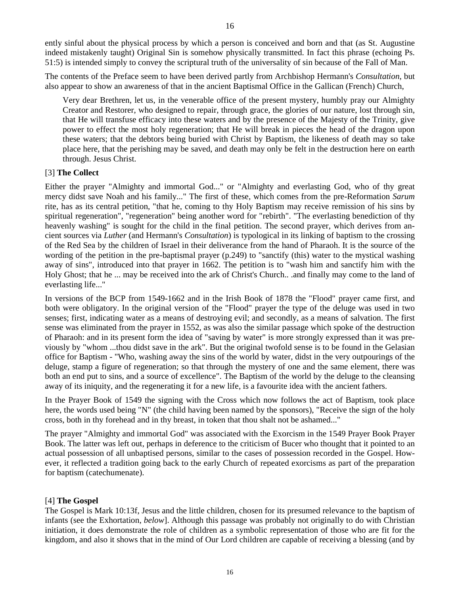ently sinful about the physical process by which a person is conceived and born and that (as St. Augustine indeed mistakenly taught) Original Sin is somehow physically transmitted. In fact this phrase (echoing Ps. 51:5) is intended simply to convey the scriptural truth of the universality of sin because of the Fall of Man.

The contents of the Preface seem to have been derived partly from Archbishop Hermann's *Consultation*, but also appear to show an awareness of that in the ancient Baptismal Office in the Gallican (French) Church,

Very dear Brethren, let us, in the venerable office of the present mystery, humbly pray our Almighty Creator and Restorer, who designed to repair, through grace, the glories of our nature, lost through sin, that He will transfuse efficacy into these waters and by the presence of the Majesty of the Trinity, give power to effect the most holy regeneration; that He will break in pieces the head of the dragon upon these waters; that the debtors being buried with Christ by Baptism, the likeness of death may so take place here, that the perishing may be saved, and death may only be felt in the destruction here on earth through. Jesus Christ.

# [3] **The Collect**

Either the prayer "Almighty and immortal God..." or "Almighty and everlasting God, who of thy great mercy didst save Noah and his family..." The first of these, which comes from the pre-Reformation *Sarum* rite, has as its central petition, "that he, coming to thy Holy Baptism may receive remission of his sins by spiritual regeneration", "regeneration" being another word for "rebirth". "The everlasting benediction of thy heavenly washing" is sought for the child in the final petition. The second prayer, which derives from ancient sources via *Luther* (and Hermann's *Consultation*) is typological in its linking of baptism to the crossing of the Red Sea by the children of Israel in their deliverance from the hand of Pharaoh. It is the source of the wording of the petition in the pre-baptismal prayer (p.249) to "sanctify (this) water to the mystical washing away of sins", introduced into that prayer in 1662. The petition is to "wash him and sanctify him with the Holy Ghost; that he ... may be received into the ark of Christ's Church.. .and finally may come to the land of everlasting life..."

In versions of the BCP from 1549-1662 and in the Irish Book of 1878 the "Flood" prayer came first, and both were obligatory. In the original version of the "Flood" prayer the type of the deluge was used in two senses; first, indicating water as a means of destroying evil; and secondly, as a means of salvation. The first sense was eliminated from the prayer in 1552, as was also the similar passage which spoke of the destruction of Pharaoh: and in its present form the idea of "saving by water" is more strongly expressed than it was previously by "whom ...thou didst save in the ark". But the original twofold sense is to be found in the Gelasian office for Baptism - "Who, washing away the sins of the world by water, didst in the very outpourings of the deluge, stamp a figure of regeneration; so that through the mystery of one and the same element, there was both an end put to sins, and a source of excellence". The Baptism of the world by the deluge to the cleansing away of its iniquity, and the regenerating it for a new life, is a favourite idea with the ancient fathers.

In the Prayer Book of 1549 the signing with the Cross which now follows the act of Baptism, took place here, the words used being "N" (the child having been named by the sponsors), "Receive the sign of the holy cross, both in thy forehead and in thy breast, in token that thou shalt not be ashamed..."

The prayer "Almighty and immortal God" was associated with the Exorcism in the 1549 Prayer Book Prayer Book. The latter was left out, perhaps in deference to the criticism of Bucer who thought that it pointed to an actual possession of all unbaptised persons, similar to the cases of possession recorded in the Gospel. However, it reflected a tradition going back to the early Church of repeated exorcisms as part of the preparation for baptism (catechumenate).

#### [4] **The Gospel**

The Gospel is Mark 10:13f, Jesus and the little children, chosen for its presumed relevance to the baptism of infants (see the Exhortation, *below*]. Although this passage was probably not originally to do with Christian initiation, it does demonstrate the role of children as a symbolic representation of those who are fit for the kingdom, and also it shows that in the mind of Our Lord children are capable of receiving a blessing (and by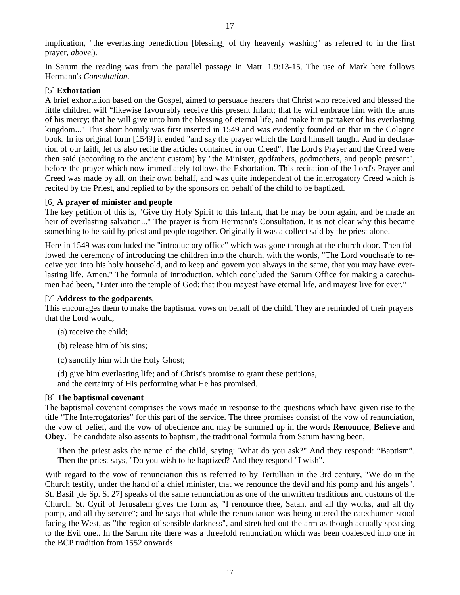In Sarum the reading was from the parallel passage in Matt. 1.9:13-15. The use of Mark here follows Hermann's *Consultation.*

# [5] **Exhortation**

A brief exhortation based on the Gospel, aimed to persuade hearers that Christ who received and blessed the little children will "likewise favourably receive this present Infant; that he will embrace him with the arms of his mercy; that he will give unto him the blessing of eternal life, and make him partaker of his everlasting kingdom..." This short homily was first inserted in 1549 and was evidently founded on that in the Cologne book. In its original form [1549] it ended "and say the prayer which the Lord himself taught. And in declaration of our faith, let us also recite the articles contained in our Creed". The Lord's Prayer and the Creed were then said (according to the ancient custom) by "the Minister, godfathers, godmothers, and people present", before the prayer which now immediately follows the Exhortation. This recitation of the Lord's Prayer and Creed was made by all, on their own behalf, and was quite independent of the interrogatory Creed which is recited by the Priest, and replied to by the sponsors on behalf of the child to be baptized.

# [6] **A prayer of minister and people**

The key petition of this is, "Give thy Holy Spirit to this Infant, that he may be born again, and be made an heir of everlasting salvation..." The prayer is from Hermann's Consultation. It is not clear why this became something to be said by priest and people together. Originally it was a collect said by the priest alone.

Here in 1549 was concluded the "introductory office" which was gone through at the church door. Then followed the ceremony of introducing the children into the church, with the words, "The Lord vouchsafe to receive you into his holy household, and to keep and govern you always in the same, that you may have everlasting life. Amen." The formula of introduction, which concluded the Sarum Office for making a catechumen had been, "Enter into the temple of God: that thou mayest have eternal life, and mayest live for ever."

## [7] **Address to the godparents**,

This encourages them to make the baptismal vows on behalf of the child. They are reminded of their prayers that the Lord would,

- (a) receive the child;
- (b) release him of his sins;
- (c) sanctify him with the Holy Ghost;
- (d) give him everlasting life; and of Christ's promise to grant these petitions,
- and the certainty of His performing what He has promised.

#### [8] **The baptismal covenant**

The baptismal covenant comprises the vows made in response to the questions which have given rise to the title "The Interrogatories" for this part of the service. The three promises consist of the vow of renunciation, the vow of belief, and the vow of obedience and may be summed up in the words **Renounce**, **Believe** and **Obey.** The candidate also assents to baptism, the traditional formula from Sarum having been,

Then the priest asks the name of the child, saying: 'What do you ask?" And they respond: "Baptism". Then the priest says, "Do you wish to be baptized? And they respond "I wish".

With regard to the vow of renunciation this is referred to by Tertullian in the 3rd century, "We do in the Church testify, under the hand of a chief minister, that we renounce the devil and his pomp and his angels". St. Basil [de Sp. S. 27] speaks of the same renunciation as one of the unwritten traditions and customs of the Church. St. Cyril of Jerusalem gives the form as, "I renounce thee, Satan, and all thy works, and all thy pomp, and all thy service"; and he says that while the renunciation was being uttered the catechumen stood facing the West, as "the region of sensible darkness", and stretched out the arm as though actually speaking to the Evil one.. In the Sarum rite there was a threefold renunciation which was been coalesced into one in the BCP tradition from 1552 onwards.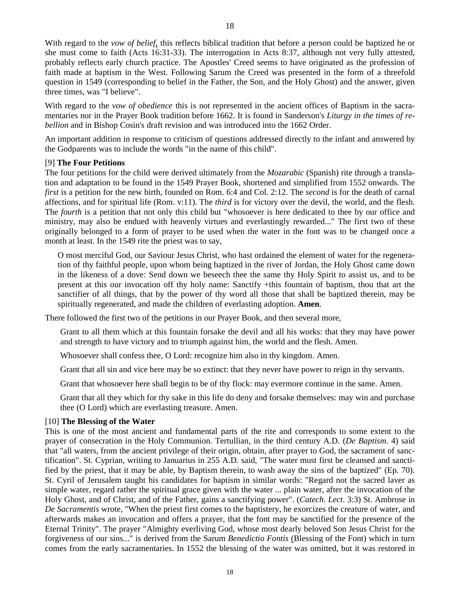With regard to the *vow of belief*, this reflects biblical tradition that before a person could be baptized he or she must come to faith (Acts 16:31-33). The interrogation in Acts 8:37, although not very fully attested, probably reflects early church practice. The Apostles' Creed seems to have originated as the profession of faith made at baptism in the West. Following Sarum the Creed was presented in the form of a threefold question in 1549 (corresponding to belief in the Father, the Son, and the Holy Ghost) and the answer, given three times, was "I believe".

With regard to the *vow of obedience* this is not represented in the ancient offices of Baptism in the sacramentaries nor in the Prayer Book tradition before 1662. It is found in Sanderson's *Liturgy in the times of rebellion* and in Bishop Cosin's draft revision and was introduced into the 1662 Order.

An important addition in response to criticism of questions addressed directly to the infant and answered by the Godparents was to include the words "in the name of this child".

#### [9] **The Four Petitions**

The four petitions for the child were derived ultimately from the *Mozarabic* (Spanish) rite through a translation and adaptation to be found in the 1549 Prayer Book, shortened and simplified from 1552 onwards. The *first* is a petition for the new birth, founded on Rom. 6:4 and Col. 2:12. The *second* is for the death of carnal affections, and for spiritual life (Rom. v:11). The *third* is for victory over the devil, the world, and the flesh. The *fourth* is a petition that not only this child but "whosoever is here dedicated to thee by our office and ministry, may also be endued with heavenly virtues and everlastingly rewarded..." The first two of these originally belonged to a form of prayer to be used when the water in the font was to be changed once a month at least. In the 1549 rite the priest was to say,

O most merciful God, our Saviour Jesus Christ, who hast ordained the element of water for the regeneration of thy faithful people, upon whom being baptized in the river of Jordan, the Holy Ghost came down in the likeness of a dove: Send down we beseech thee the same thy Holy Spirit to assist us, and to be present at this our invocation off thy holy name: Sanctify +this fountain of baptism, thou that art the sanctifier of all things, that by the power of thy word all those that shall be baptized therein, may be spiritually regenerated, and made the children of everlasting adoption. **Amen**.

There followed the first two of the petitions in our Prayer Book, and then several more,

Grant to all them which at this fountain forsake the devil and all his works: that they may have power and strength to have victory and to triumph against him, the world and the flesh. Amen.

Whosoever shall confess thee, O Lord: recognize him also in thy kingdom. Amen.

Grant that all sin and vice here may be so extinct: that they never have power to reign in thy servants.

Grant that whosoever here shall begin to be of thy flock: may evermore continue in the same. Amen.

Grant that all they which for thy sake in this life do deny and forsake themselves: may win and purchase thee (O Lord) which are everlasting treasure. Amen.

#### [10] **The Blessing of the Water**

This is one of the most ancient and fundamental parts of the rite and corresponds to some extent to the prayer of consecration in the Holy Communion. Tertullian, in the third century A.D. (*De Baptism*. 4) said that "all waters, from the ancient privilege of their origin, obtain, after prayer to God, the sacrament of sanctification". St. Cyprian, writing to Januarius in 255 A.D. said, "The water must first be cleansed and sanctified by the priest, that it may be able, by Baptism therein, to wash away the sins of the baptized" (Ep. 70). St. Cyril of Jerusalem taught his candidates for baptism in similar words: "Regard not the sacred laver as simple water, regard rather the spiritual grace given with the water ... plain water, after the invocation of the Holy Ghost, and of Christ, and of the Father, gains a sanctifying power". (*Catech. Lect*. 3:3) St. Ambrose in *De Sacramentis* wrote, "When the priest first comes to the baptistery, he exorcizes the creature of water, and afterwards makes an invocation and offers a prayer, that the font may be sanctified for the presence of the Eternal Trinity". The prayer "Almighty everliving God, whose most dearly beloved Son Jesus Christ for the forgiveness of our sins..." is derived from the Sarum *Benedictio Fontis* (Blessing of the Font) which in turn comes from the early sacramentaries. In 1552 the blessing of the water was omitted, but it was restored in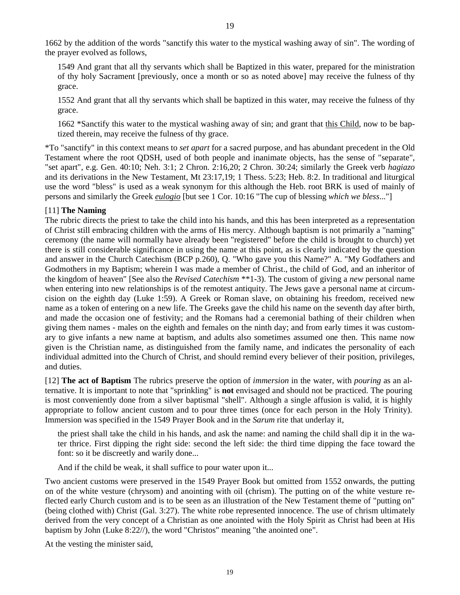1662 by the addition of the words "sanctify this water to the mystical washing away of sin". The wording of the prayer evolved as follows,

1549 And grant that all thy servants which shall be Baptized in this water, prepared for the ministration of thy holy Sacrament [previously, once a month or so as noted above] may receive the fulness of thy grace.

1552 And grant that all thy servants which shall be baptized in this water, may receive the fulness of thy grace.

1662 \*Sanctify this water to the mystical washing away of sin; and grant that this Child, now to be baptized therein, may receive the fulness of thy grace.

\*To "sanctify" in this context means to *set apart* for a sacred purpose, and has abundant precedent in the Old Testament where the root QDSH, used of both people and inanimate objects, has the sense of "separate", "set apart", e.g. Gen. 40:10; Neh. 3:1; 2 Chron. 2:16,20; 2 Chron. 30:24; similarly the Greek verb *hagiazo* and its derivations in the New Testament, Mt 23:17,19; 1 Thess. 5:23; Heb. 8:2. In traditional and liturgical use the word "bless" is used as a weak synonym for this although the Heb. root BRK is used of mainly of persons and similarly the Greek *eulogio* [but see 1 Cor. 10:16 "The cup of blessing *which we bless*..."]

# [11] **The Naming**

The rubric directs the priest to take the child into his hands, and this has been interpreted as a representation of Christ still embracing children with the arms of His mercy. Although baptism is not primarily a "naming" ceremony (the name will normally have already been "registered" before the child is brought to church) yet there is still considerable significance in using the name at this point, as is clearly indicated by the question and answer in the Church Catechism (BCP p.260), Q. "Who gave you this Name?" A. "My Godfathers and Godmothers in my Baptism; wherein I was made a member of Christ., the child of God, and an inheritor of the kingdom of heaven" [See also the *Revised Catechism* \*\*1-3). The custom of giving a *new* personal name when entering into new relationships is of the remotest antiquity. The Jews gave a personal name at circumcision on the eighth day (Luke 1:59). A Greek or Roman slave, on obtaining his freedom, received new name as a token of entering on a new life. The Greeks gave the child his name on the seventh day after birth, and made the occasion one of festivity; and the Romans had a ceremonial bathing of their children when giving them names - males on the eighth and females on the ninth day; and from early times it was customary to give infants a new name at baptism, and adults also sometimes assumed one then. This name now given is the Christian name, as distinguished from the family name, and indicates the personality of each individual admitted into the Church of Christ, and should remind every believer of their position, privileges, and duties.

[12] **The act of Baptism** The rubrics preserve the option of *immersion* in the water, with *pouring* as an alternative. It is important to note that "sprinkling" is **not** envisaged and should not be practiced. The pouring is most conveniently done from a silver baptismal "shell". Although a single affusion is valid, it is highly appropriate to follow ancient custom and to pour three times (once for each person in the Holy Trinity). Immersion was specified in the 1549 Prayer Book and in the *Sarum* rite that underlay it,

the priest shall take the child in his hands, and ask the name: and naming the child shall dip it in the water thrice. First dipping the right side: second the left side: the third time dipping the face toward the font: so it be discreetly and warily done...

And if the child be weak, it shall suffice to pour water upon it...

Two ancient customs were preserved in the 1549 Prayer Book but omitted from 1552 onwards, the putting on of the white vesture (chrysom) and anointing with oil (chrism). The putting on of the white vesture reflected early Church custom and is to be seen as an illustration of the New Testament theme of "putting on" (being clothed with) Christ (Gal. 3:27). The white robe represented innocence. The use of chrism ultimately derived from the very concept of a Christian as one anointed with the Holy Spirit as Christ had been at His baptism by John (Luke 8:22//), the word "Christos" meaning "the anointed one".

At the vesting the minister said,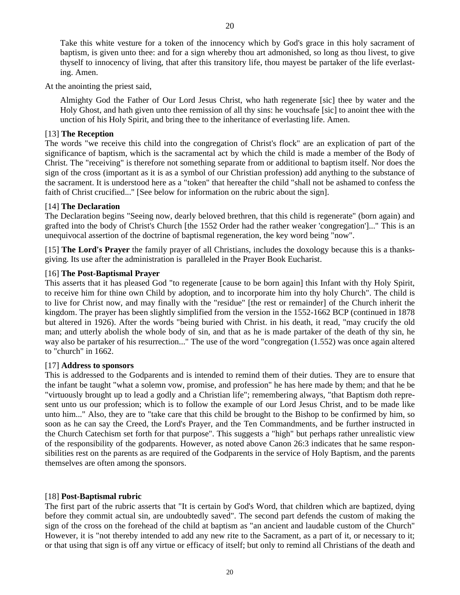Take this white vesture for a token of the innocency which by God's grace in this holy sacrament of baptism, is given unto thee: and for a sign whereby thou art admonished, so long as thou livest, to give thyself to innocency of living, that after this transitory life, thou mayest be partaker of the life everlasting. Amen.

At the anointing the priest said,

Almighty God the Father of Our Lord Jesus Christ, who hath regenerate [sic] thee by water and the Holy Ghost, and hath given unto thee remission of all thy sins: he vouchsafe [sic] to anoint thee with the unction of his Holy Spirit, and bring thee to the inheritance of everlasting life. Amen.

# [13] **The Reception**

The words "we receive this child into the congregation of Christ's flock" are an explication of part of the significance of baptism, which is the sacramental act by which the child is made a member of the Body of Christ. The "receiving" is therefore not something separate from or additional to baptism itself. Nor does the sign of the cross (important as it is as a symbol of our Christian profession) add anything to the substance of the sacrament. It is understood here as a "token" that hereafter the child "shall not be ashamed to confess the faith of Christ crucified..." [See below for information on the rubric about the sign].

# [14] **The Declaration**

The Declaration begins "Seeing now, dearly beloved brethren, that this child is regenerate" (born again) and grafted into the body of Christ's Church [the 1552 Order had the rather weaker 'congregation']..." This is an unequivocal assertion of the doctrine of baptismal regeneration, the key word being "now".

[15] **The Lord's Prayer** the family prayer of all Christians, includes the doxology because this is a thanksgiving. Its use after the administration is paralleled in the Prayer Book Eucharist.

# [16] **The Post-Baptismal Prayer**

This asserts that it has pleased God "to regenerate [cause to be born again] this Infant with thy Holy Spirit, to receive him for thine own Child by adoption, and to incorporate him into thy holy Church". The child is to live for Christ now, and may finally with the "residue" [the rest or remainder] of the Church inherit the kingdom. The prayer has been slightly simplified from the version in the 1552-1662 BCP (continued in 1878 but altered in 1926). After the words "being buried with Christ. in his death, it read, "may crucify the old man; and utterly abolish the whole body of sin, and that as he is made partaker of the death of thy sin, he way also be partaker of his resurrection..." The use of the word "congregation (1.552) was once again altered to "church" in 1662.

#### [17] **Address to sponsors**

This is addressed to the Godparents and is intended to remind them of their duties. They are to ensure that the infant be taught "what a solemn vow, promise, and profession" he has here made by them; and that he be "virtuously brought up to lead a godly and a Christian life"; remembering always, "that Baptism doth represent unto us our profession; which is to follow the example of our Lord Jesus Christ, and to be made like unto him..." Also, they are to "take care that this child be brought to the Bishop to be confirmed by him, so soon as he can say the Creed, the Lord's Prayer, and the Ten Commandments, and be further instructed in the Church Catechism set forth for that purpose". This suggests a "high" but perhaps rather unrealistic view of the responsibility of the godparents. However, as noted above Canon 26:3 indicates that he same responsibilities rest on the parents as are required of the Godparents in the service of Holy Baptism, and the parents themselves are often among the sponsors.

# [18] **Post-Baptismal rubric**

The first part of the rubric asserts that "It is certain by God's Word, that children which are baptized, dying before they commit actual sin, are undoubtedly saved". The second part defends the custom of making the sign of the cross on the forehead of the child at baptism as "an ancient and laudable custom of the Church" However, it is "not thereby intended to add any new rite to the Sacrament, as a part of it, or necessary to it; or that using that sign is off any virtue or efficacy of itself; but only to remind all Christians of the death and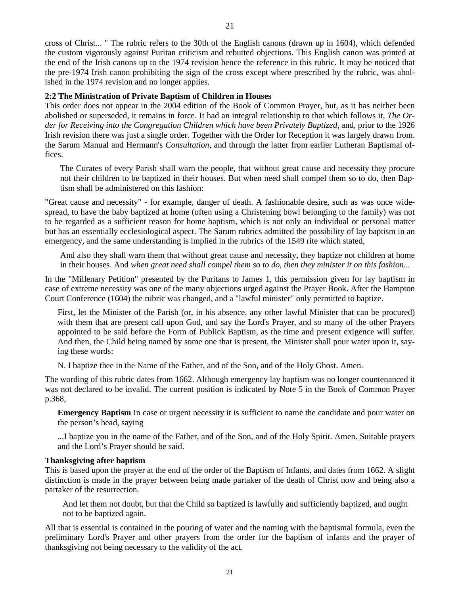cross of Christ... " The rubric refers to the 30th of the English canons (drawn up in 1604), which defended the custom vigorously against Puritan criticism and rebutted objections. This English canon was printed at the end of the Irish canons up to the 1974 revision hence the reference in this rubric. It may be noticed that the pre-1974 Irish canon prohibiting the sign of the cross except where prescribed by the rubric, was abolished in the 1974 revision and no longer applies.

#### **2:2 The Ministration of Private Baptism of Children in Houses**

This order does not appear in the 2004 edition of the Book of Common Prayer, but, as it has neither been abolished or superseded, it remains in force. It had an integral relationship to that which follows it, *The Order for Receiving into the Congregation Children which have been Privately Baptized*, and, prior to the 1926 Irish revision there was just a single order. Together with the Order for Reception it was largely drawn from. the Sarum Manual and Hermann's *Consultation*, and through the latter from earlier Lutheran Baptismal offices.

The Curates of every Parish shall warn the people, that without great cause and necessity they procure not their children to be baptized in their houses. But when need shall compel them so to do, then Baptism shall be administered on this fashion:

"Great cause and necessity" - for example, danger of death. A fashionable desire, such as was once widespread, to have the baby baptized at home (often using a Christening bowl belonging to the family) was not to be regarded as a sufficient reason for home baptism, which is not only an individual or personal matter but has an essentially ecclesiological aspect. The Sarum rubrics admitted the possibility of lay baptism in an emergency, and the same understanding is implied in the rubrics of the 1549 rite which stated,

And also they shall warn them that without great cause and necessity, they baptize not children at home in their houses. And *when great need shall compel them so to do, then they minister it on this fashion*...

In the "Millenary Petition" presented by the Puritans to James 1, this permission given for lay baptism in case of extreme necessity was one of the many objections urged against the Prayer Book. After the Hampton Court Conference (1604) the rubric was changed, and a "lawful minister" only permitted to baptize.

First, let the Minister of the Parish (or, in his absence, any other lawful Minister that can be procured) with them that are present call upon God, and say the Lord's Prayer, and so many of the other Prayers appointed to be said before the Form of Publick Baptism, as the time and present exigence will suffer. And then, the Child being named by some one that is present, the Minister shall pour water upon it, saying these words:

N. I baptize thee in the Name of the Father, and of the Son, and of the Holy Ghost. Amen.

The wording of this rubric dates from 1662. Although emergency lay baptism was no longer countenanced it was not declared to be invalid. The current position is indicated by Note 5 in the Book of Common Prayer p.368,

**Emergency Baptism** In case or urgent necessity it is sufficient to name the candidate and pour water on the person's head, saying

...I baptize you in the name of the Father, and of the Son, and of the Holy Spirit. Amen. Suitable prayers and the Lord's Prayer should be said.

#### **Thanksgiving after baptism**

This is based upon the prayer at the end of the order of the Baptism of Infants, and dates from 1662. A slight distinction is made in the prayer between being made partaker of the death of Christ now and being also a partaker of the resurrection.

And let them not doubt, but that the Child so baptized is lawfully and sufficiently baptized, and ought not to be baptized again.

All that is essential is contained in the pouring of water and the naming with the baptismal formula, even the preliminary Lord's Prayer and other prayers from the order for the baptism of infants and the prayer of thanksgiving not being necessary to the validity of the act.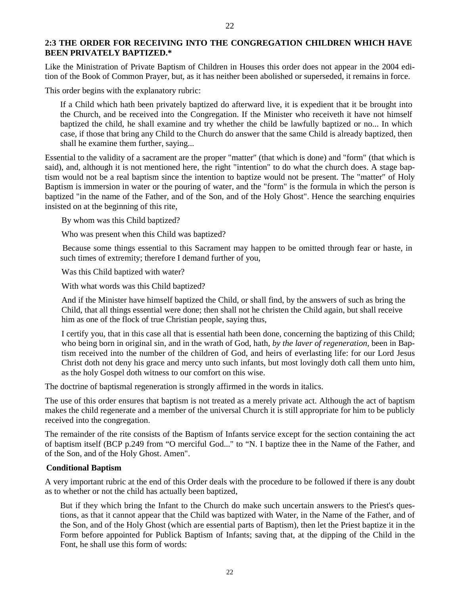#### **2:3 THE ORDER FOR RECEIVING INTO THE CONGREGATION CHILDREN WHICH HAVE BEEN PRIVATELY BAPTIZED.\***

Like the Ministration of Private Baptism of Children in Houses this order does not appear in the 2004 edition of the Book of Common Prayer, but, as it has neither been abolished or superseded, it remains in force.

This order begins with the explanatory rubric:

If a Child which hath been privately baptized do afterward live, it is expedient that it be brought into the Church, and be received into the Congregation. If the Minister who receiveth it have not himself baptized the child, he shall examine and try whether the child be lawfully baptized or no... In which case, if those that bring any Child to the Church do answer that the same Child is already baptized, then shall he examine them further, saying...

Essential to the validity of a sacrament are the proper "matter" (that which is done) and "form" (that which is said), and, although it is not mentioned here, the right "intention" to do what the church does. A stage baptism would not be a real baptism since the intention to baptize would not be present. The "matter" of Holy Baptism is immersion in water or the pouring of water, and the "form" is the formula in which the person is baptized "in the name of the Father, and of the Son, and of the Holy Ghost". Hence the searching enquiries insisted on at the beginning of this rite,

By whom was this Child baptized?

Who was present when this Child was baptized?

 Because some things essential to this Sacrament may happen to be omitted through fear or haste, in such times of extremity; therefore I demand further of you,

Was this Child baptized with water?

With what words was this Child baptized?

And if the Minister have himself baptized the Child, or shall find, by the answers of such as bring the Child, that all things essential were done; then shall not he christen the Child again, but shall receive him as one of the flock of true Christian people, saying thus,

I certify you, that in this case all that is essential hath been done, concerning the baptizing of this Child; who being born in original sin, and in the wrath of God, hath, *by the laver of regeneration*, been in Baptism received into the number of the children of God, and heirs of everlasting life: for our Lord Jesus Christ doth not deny his grace and mercy unto such infants, but most lovingly doth call them unto him, as the holy Gospel doth witness to our comfort on this wise.

The doctrine of baptismal regeneration is strongly affirmed in the words in italics.

The use of this order ensures that baptism is not treated as a merely private act. Although the act of baptism makes the child regenerate and a member of the universal Church it is still appropriate for him to be publicly received into the congregation.

The remainder of the rite consists of the Baptism of Infants service except for the section containing the act of baptism itself (BCP p.249 from "O merciful God..." to "N. I baptize thee in the Name of the Father, and of the Son, and of the Holy Ghost. Amen".

#### **Conditional Baptism**

A very important rubric at the end of this Order deals with the procedure to be followed if there is any doubt as to whether or not the child has actually been baptized,

But if they which bring the Infant to the Church do make such uncertain answers to the Priest's questions, as that it cannot appear that the Child was baptized with Water, in the Name of the Father, and of the Son, and of the Holy Ghost (which are essential parts of Baptism), then let the Priest baptize it in the Form before appointed for Publick Baptism of Infants; saving that, at the dipping of the Child in the Font, he shall use this form of words: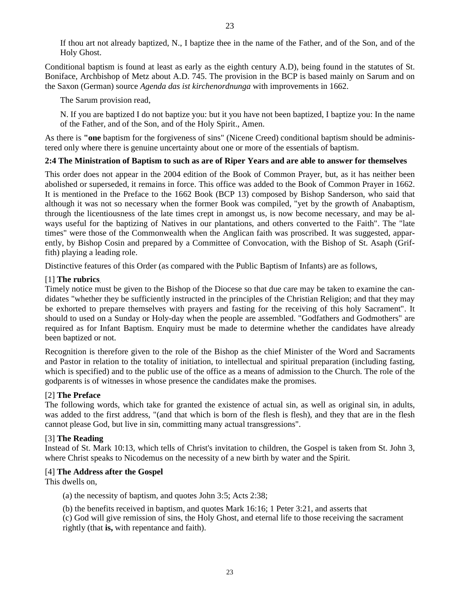If thou art not already baptized, N., I baptize thee in the name of the Father, and of the Son, and of the Holy Ghost.

Conditional baptism is found at least as early as the eighth century A.D), being found in the statutes of St. Boniface, Archbishop of Metz about A.D. 745. The provision in the BCP is based mainly on Sarum and on the Saxon (German) source *Agenda das ist kirchenordnunga* with improvements in 1662.

The Sarum provision read,

N. If you are baptized I do not baptize you: but it you have not been baptized, I baptize you: In the name of the Father, and of the Son, and of the Holy Spirit., Amen.

As there is **"one** baptism for the forgiveness of sins" (Nicene Creed) conditional baptism should be administered only where there is genuine uncertainty about one or more of the essentials of baptism.

# **2:4 The Ministration of Baptism to such as are of Riper Years and are able to answer for themselves**

This order does not appear in the 2004 edition of the Book of Common Prayer, but, as it has neither been abolished or superseded, it remains in force. This office was added to the Book of Common Prayer in 1662. It is mentioned in the Preface to the 1662 Book (BCP 13) composed by Bishop Sanderson, who said that although it was not so necessary when the former Book was compiled, "yet by the growth of Anabaptism, through the licentiousness of the late times crept in amongst us, is now become necessary, and may be always useful for the baptizing of Natives in our plantations, and others converted to the Faith". The "late times" were those of the Commonwealth when the Anglican faith was proscribed. It was suggested, apparently, by Bishop Cosin and prepared by a Committee of Convocation, with the Bishop of St. Asaph (Griffith) playing a leading role.

Distinctive features of this Order (as compared with the Public Baptism of Infants) are as follows,

# [1] **The rubrics**.

Timely notice must be given to the Bishop of the Diocese so that due care may be taken to examine the candidates "whether they be sufficiently instructed in the principles of the Christian Religion; and that they may be exhorted to prepare themselves with prayers and fasting for the receiving of this holy Sacrament". It should to used on a Sunday or Holy-day when the people are assembled. "Godfathers and Godmothers" are required as for Infant Baptism. Enquiry must be made to determine whether the candidates have already been baptized or not.

Recognition is therefore given to the role of the Bishop as the chief Minister of the Word and Sacraments and Pastor in relation to the totality of initiation, to intellectual and spiritual preparation (including fasting, which is specified) and to the public use of the office as a means of admission to the Church. The role of the godparents is of witnesses in whose presence the candidates make the promises.

# [2] **The Preface**

The following words, which take for granted the existence of actual sin, as well as original sin, in adults, was added to the first address, "(and that which is born of the flesh is flesh), and they that are in the flesh cannot please God, but live in sin, committing many actual transgressions".

# [3] **The Reading**

Instead of St. Mark 10:13, which tells of Christ's invitation to children, the Gospel is taken from St. John 3, where Christ speaks to Nicodemus on the necessity of a new birth by water and the Spirit.

# [4] **The Address after the Gospel**

This dwells on,

- (a) the necessity of baptism, and quotes John 3:5; Acts 2:38;
- (b) the benefits received in baptism, and quotes Mark 16:16; 1 Peter 3:21, and asserts that
- (c) God will give remission of sins, the Holy Ghost, and eternal life to those receiving the sacrament rightly (that **is,** with repentance and faith).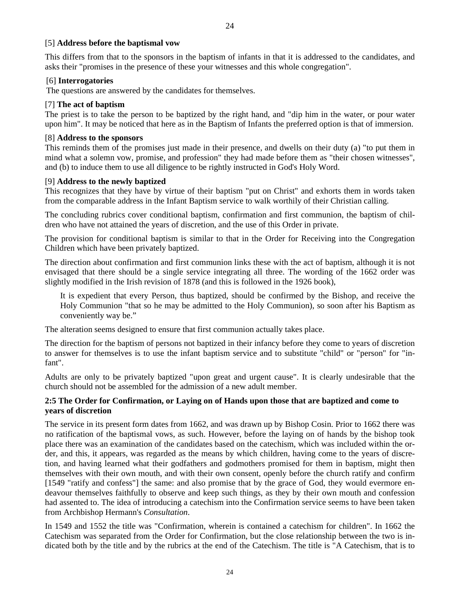#### [5] **Address before the baptismal vow**

This differs from that to the sponsors in the baptism of infants in that it is addressed to the candidates, and asks their "promises in the presence of these your witnesses and this whole congregation".

24

#### [6] **Interrogatories**

The questions are answered by the candidates for themselves.

#### [7] **The act of baptism**

The priest is to take the person to be baptized by the right hand, and "dip him in the water, or pour water upon him". It may be noticed that here as in the Baptism of Infants the preferred option is that of immersion.

#### [8] **Address to the sponsors**

This reminds them of the promises just made in their presence, and dwells on their duty (a) "to put them in mind what a solemn vow, promise, and profession" they had made before them as "their chosen witnesses", and (b) to induce them to use all diligence to be rightly instructed in God's Holy Word.

#### [9] **Address to the newly baptized**

This recognizes that they have by virtue of their baptism "put on Christ" and exhorts them in words taken from the comparable address in the Infant Baptism service to walk worthily of their Christian calling.

The concluding rubrics cover conditional baptism, confirmation and first communion, the baptism of children who have not attained the years of discretion, and the use of this Order in private.

The provision for conditional baptism is similar to that in the Order for Receiving into the Congregation Children which have been privately baptized.

The direction about confirmation and first communion links these with the act of baptism, although it is not envisaged that there should be a single service integrating all three. The wording of the 1662 order was slightly modified in the Irish revision of 1878 (and this is followed in the 1926 book),

It is expedient that every Person, thus baptized, should be confirmed by the Bishop, and receive the Holy Communion "that so he may be admitted to the Holy Communion), so soon after his Baptism as conveniently way be."

The alteration seems designed to ensure that first communion actually takes place.

The direction for the baptism of persons not baptized in their infancy before they come to years of discretion to answer for themselves is to use the infant baptism service and to substitute "child" or "person" for "infant".

Adults are only to be privately baptized "upon great and urgent cause". It is clearly undesirable that the church should not be assembled for the admission of a new adult member.

# **2:5 The Order for Confirmation, or Laying on of Hands upon those that are baptized and come to years of discretion**

The service in its present form dates from 1662, and was drawn up by Bishop Cosin. Prior to 1662 there was no ratification of the baptismal vows, as such. However, before the laying on of hands by the bishop took place there was an examination of the candidates based on the catechism, which was included within the order, and this, it appears, was regarded as the means by which children, having come to the years of discretion, and having learned what their godfathers and godmothers promised for them in baptism, might then themselves with their own mouth, and with their own consent, openly before the church ratify and confirm [1549 "ratify and confess"] the same: and also promise that by the grace of God, they would evermore endeavour themselves faithfully to observe and keep such things, as they by their own mouth and confession had assented to. The idea of introducing a catechism into the Confirmation service seems to have been taken from Archbishop Hermann's *Consultation*.

In 1549 and 1552 the title was "Confirmation, wherein is contained a catechism for children". In 1662 the Catechism was separated from the Order for Confirmation, but the close relationship between the two is indicated both by the title and by the rubrics at the end of the Catechism. The title is "A Catechism, that is to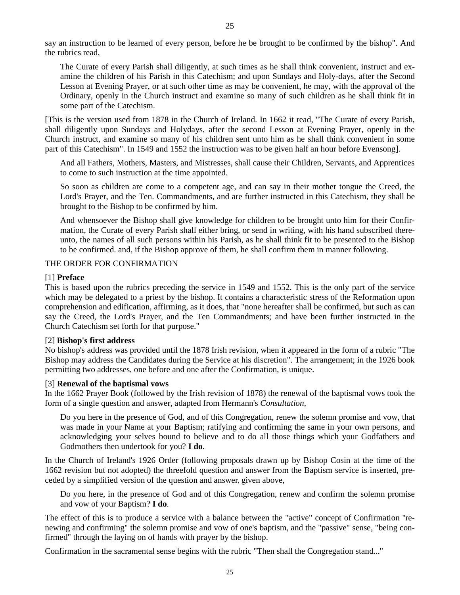say an instruction to be learned of every person, before he be brought to be confirmed by the bishop". And the rubrics read,

The Curate of every Parish shall diligently, at such times as he shall think convenient, instruct and examine the children of his Parish in this Catechism; and upon Sundays and Holy-days, after the Second Lesson at Evening Prayer, or at such other time as may be convenient, he may, with the approval of the Ordinary, openly in the Church instruct and examine so many of such children as he shall think fit in some part of the Catechism.

[This is the version used from 1878 in the Church of Ireland. In 1662 it read, "The Curate of every Parish, shall diligently upon Sundays and Holydays, after the second Lesson at Evening Prayer, openly in the Church instruct, and examine so many of his children sent unto him as he shall think convenient in some part of this Catechism". In 1549 and 1552 the instruction was to be given half an hour before Evensong].

And all Fathers, Mothers, Masters, and Mistresses, shall cause their Children, Servants, and Apprentices to come to such instruction at the time appointed.

So soon as children are come to a competent age, and can say in their mother tongue the Creed, the Lord's Prayer, and the Ten. Commandments, and are further instructed in this Catechism, they shall be brought to the Bishop to be confirmed by him.

And whensoever the Bishop shall give knowledge for children to be brought unto him for their Confirmation, the Curate of every Parish shall either bring, or send in writing, with his hand subscribed thereunto, the names of all such persons within his Parish, as he shall think fit to be presented to the Bishop to be confirmed. and, if the Bishop approve of them, he shall confirm them in manner following.

#### THE ORDER FOR CONFIRMATION

#### [1] **Preface**

This is based upon the rubrics preceding the service in 1549 and 1552. This is the only part of the service which may be delegated to a priest by the bishop. It contains a characteristic stress of the Reformation upon comprehension and edification, affirming, as it does, that "none hereafter shall be confirmed, but such as can say the Creed, the Lord's Prayer, and the Ten Commandments; and have been further instructed in the Church Catechism set forth for that purpose."

#### [2] **Bishop's first address**

No bishop's address was provided until the 1878 Irish revision, when it appeared in the form of a rubric "The Bishop may address the Candidates during the Service at his discretion". The arrangement; in the 1926 book permitting two addresses, one before and one after the Confirmation, is unique.

#### [3] **Renewal of the baptismal vows**

In the 1662 Prayer Book (followed by the Irish revision of 1878) the renewal of the baptismal vows took the form of a single question and answer, adapted from Hermann's *Consultation*,

Do you here in the presence of God, and of this Congregation, renew the solemn promise and vow, that was made in your Name at your Baptism; ratifying and confirming the same in your own persons, and acknowledging your selves bound to believe and to do all those things which your Godfathers and Godmothers then undertook for you? **I do**.

In the Church of Ireland's 1926 Order (following proposals drawn up by Bishop Cosin at the time of the 1662 revision but not adopted) the threefold question and answer from the Baptism service is inserted, preceded by a simplified version of the question and answer, given above,

Do you here, in the presence of God and of this Congregation, renew and confirm the solemn promise and vow of your Baptism? **I do**.

The effect of this is to produce a service with a balance between the "active" concept of Confirmation ''renewing and confirming" the solemn promise and vow of one's baptism, and the "passive" sense, "being confirmed" through the laying on of hands with prayer by the bishop.

Confirmation in the sacramental sense begins with the rubric "Then shall the Congregation stand..."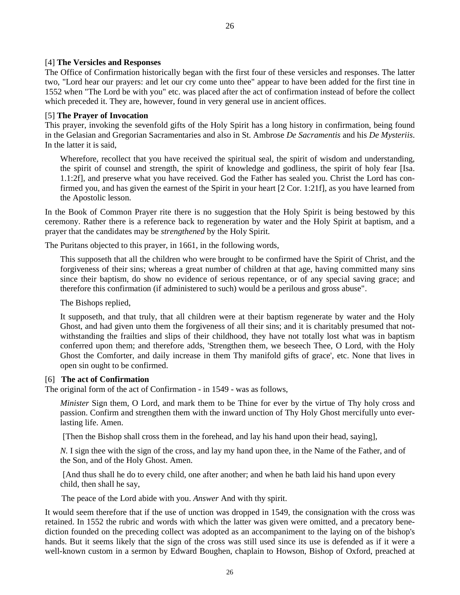#### [4] **The Versicles and Responses**

The Office of Confirmation historically began with the first four of these versicles and responses. The latter two, "Lord hear our prayers: and let our cry come unto thee" appear to have been added for the first tine in 1552 when "The Lord be with you" etc. was placed after the act of confirmation instead of before the collect which preceded it. They are, however, found in very general use in ancient offices.

#### [5] **The Prayer of Invocation**

This prayer, invoking the sevenfold gifts of the Holy Spirit has a long history in confirmation, being found in the Gelasian and Gregorian Sacramentaries and also in St. Ambrose *De Sacramentis* and his *De Mysteriis*. In the latter it is said,

Wherefore, recollect that you have received the spiritual seal, the spirit of wisdom and understanding, the spirit of counsel and strength, the spirit of knowledge and godliness, the spirit of holy fear [Isa. 1.1:2f], and preserve what you have received. God the Father has sealed you. Christ the Lord has confirmed you, and has given the earnest of the Spirit in your heart [2 Cor. 1:21f], as you have learned from the Apostolic lesson.

In the Book of Common Prayer rite there is no suggestion that the Holy Spirit is being bestowed by this ceremony. Rather there is a reference back to regeneration by water and the Holy Spirit at baptism, and a prayer that the candidates may be *strengthened* by the Holy Spirit.

The Puritans objected to this prayer, in 1661, in the following words,

This supposeth that all the children who were brought to be confirmed have the Spirit of Christ, and the forgiveness of their sins; whereas a great number of children at that age, having committed many sins since their baptism, do show no evidence of serious repentance, or of any special saving grace; and therefore this confirmation (if administered to such) would be a perilous and gross abuse".

The Bishops replied,

It supposeth, and that truly, that all children were at their baptism regenerate by water and the Holy Ghost, and had given unto them the forgiveness of all their sins; and it is charitably presumed that notwithstanding the frailties and slips of their childhood, they have not totally lost what was in baptism conferred upon them; and therefore adds, 'Strengthen them, we beseech Thee, O Lord, with the Holy Ghost the Comforter, and daily increase in them Thy manifold gifts of grace', etc. None that lives in open sin ought to be confirmed.

#### [6] **The act of Confirmation**

The original form of the act of Confirmation - in 1549 - was as follows,

*Minister* Sign them, O Lord, and mark them to be Thine for ever by the virtue of Thy holy cross and passion. Confirm and strengthen them with the inward unction of Thy Holy Ghost mercifully unto everlasting life. Amen.

[Then the Bishop shall cross them in the forehead, and lay his hand upon their head, saying],

*N.* I sign thee with the sign of the cross, and lay my hand upon thee, in the Name of the Father, and of the Son, and of the Holy Ghost. Amen.

[And thus shall he do to every child, one after another; and when he bath laid his hand upon every child, then shall he say,

The peace of the Lord abide with you. *Answer* And with thy spirit.

It would seem therefore that if the use of unction was dropped in 1549, the consignation with the cross was retained. In 1552 the rubric and words with which the latter was given were omitted, and a precatory benediction founded on the preceding collect was adopted as an accompaniment to the laying on of the bishop's hands. But it seems likely that the sign of the cross was still used since its use is defended as if it were a well-known custom in a sermon by Edward Boughen, chaplain to Howson, Bishop of Oxford, preached at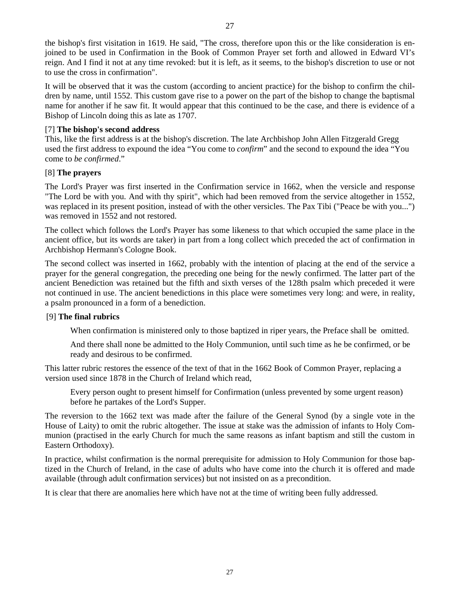the bishop's first visitation in 1619. He said, "The cross, therefore upon this or the like consideration is enjoined to be used in Confirmation in the Book of Common Prayer set forth and allowed in Edward VI's reign. And I find it not at any time revoked: but it is left, as it seems, to the bishop's discretion to use or not to use the cross in confirmation".

It will be observed that it was the custom (according to ancient practice) for the bishop to confirm the children by name, until 1552. This custom gave rise to a power on the part of the bishop to change the baptismal name for another if he saw fit. It would appear that this continued to be the case, and there is evidence of a Bishop of Lincoln doing this as late as 1707.

# [7] **The bishop's second address**

This, like the first address is at the bishop's discretion. The late Archbishop John Allen Fitzgerald Gregg used the first address to expound the idea "You come to *confirm*" and the second to expound the idea "You come to *be confirmed*."

# [8] **The prayers**

The Lord's Prayer was first inserted in the Confirmation service in 1662, when the versicle and response "The Lord be with you. And with thy spirit", which had been removed from the service altogether in 1552, was replaced in its present position, instead of with the other versicles. The Pax Tibi ("Peace be with you...") was removed in 1552 and not restored.

The collect which follows the Lord's Prayer has some likeness to that which occupied the same place in the ancient office, but its words are taker) in part from a long collect which preceded the act of confirmation in Archbishop Hermann's Cologne Book.

The second collect was inserted in 1662, probably with the intention of placing at the end of the service a prayer for the general congregation, the preceding one being for the newly confirmed. The latter part of the ancient Benediction was retained but the fifth and sixth verses of the 128th psalm which preceded it were not continued in use. The ancient benedictions in this place were sometimes very long: and were, in reality, a psalm pronounced in a form of a benediction.

# [9] **The final rubrics**

When confirmation is ministered only to those baptized in riper years, the Preface shall be omitted.

 And there shall none be admitted to the Holy Communion, until such time as he be confirmed, or be ready and desirous to be confirmed.

This latter rubric restores the essence of the text of that in the 1662 Book of Common Prayer, replacing a version used since 1878 in the Church of Ireland which read,

 Every person ought to present himself for Confirmation (unless prevented by some urgent reason) before he partakes of the Lord's Supper.

The reversion to the 1662 text was made after the failure of the General Synod (by a single vote in the House of Laity) to omit the rubric altogether. The issue at stake was the admission of infants to Holy Communion (practised in the early Church for much the same reasons as infant baptism and still the custom in Eastern Orthodoxy).

In practice, whilst confirmation is the normal prerequisite for admission to Holy Communion for those baptized in the Church of Ireland, in the case of adults who have come into the church it is offered and made available (through adult confirmation services) but not insisted on as a precondition.

It is clear that there are anomalies here which have not at the time of writing been fully addressed.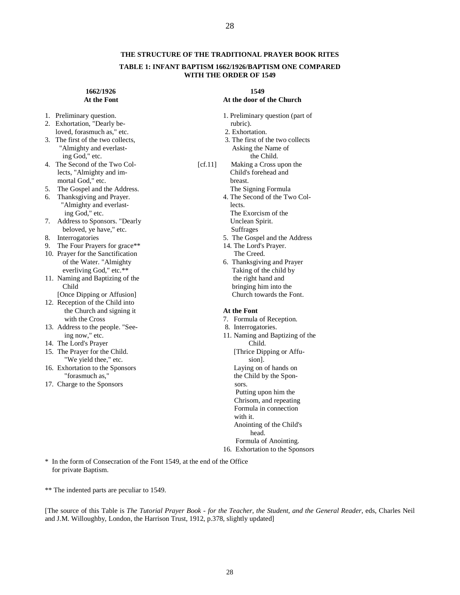#### **THE STRUCTURE OF THE TRADITIONAL PRAYER BOOK RITES**

#### **TABLE 1: INFANT BAPTISM 1662/1926/BAPTISM ONE COMPARED WITH THE ORDER OF 1549**

# **1662/1926** 1549<br>**At the Font** 2008 1549

- 
- 2. Exhortation, "Dearly be-<br>
loved. forasmuch as." etc. 2. Exhortation. loved, forasmuch as," etc.
- "Almighty and everlasting God," etc. the Child.
- mortal God," etc. breast.
- 
- 6. Thanksgiving and Prayer. "Almighty and everlast- lects. ing God," etc. The Exorcism of the
- 7. Address to Sponsors. "Dearly Unclean Spirit. beloved, ye have," etc.<br>
8. Interrogatories 5. The Gosp
- 
- 9. The Four Prayers for grace\*\* 14. The Lord's Prayer.
- 10. Prayer for the Sanctification The Creed.<br>
of the Water. "Almighty be the Sanctification The Creed.
- 11. Naming and Baptizing of the
- [Once Dipping or Affusion] 12. Reception of the Child into
- the Church and signing it **At the Font**  with the Cross 7. Formula of Reception.
- 13. Address to the people. "See- 8. Interrogatories.
- 
- 15. The Prayer for the Child.
- 16. Exhortation to the Sponsors<br>"forasmuch as,"
- 17. Charge to the Sponsors sors.

## At the door of the Church

- 1. Preliminary question.<br>
2. Exhortation. "Dearly be-<br>
1. Preliminary question (part of rubric).
	-
- 3. The first of the two collects,<br>  $\frac{3}{2}$ . The first of the two collects<br>  $\frac{3}{2}$ . The first of the two collects<br>  $\frac{3}{2}$ . Asking the Name of
- 4. The Second of the Two Col- [cf.11] Making a Cross upon the lects, "Almighty and im- Child's forehead and
- 5. The Gospel and the Address.<br>
5. The Signing Formula<br>
5. The Second of the Two Col-<br>
1. The Second of the Two Col-

- 5. The Gospel and the Address
- 
- 6. Thanksgiving and Prayer everliving God," etc.\*\*<br>
Taking of the child by<br>
the right hand and<br>
the right hand and Child<br>
Dnce Dipping or Affusion and the Church towards the Font.<br>
Church towards the Font.

- 
- 
- ing now," etc. 11. Naming and Baptizing of the 14. The Lord's Prayer Child.<br>
15. The Prayer for the Child. [Thrice Dipping or Affu-
	- We yield thee," etc.<br>
	hortation to the Sponsors<br>
	Laying on of hands on
		- the Child by the Spon-

 Putting upon him the Chrisom, and repeating Formula in connection with it. Anointing of the Child's head.

 Formula of Anointing. 16. Exhortation to the Sponsors

\* In the form of Consecration of the Font 1549, at the end of the Office for private Baptism.

\*\* The indented parts are peculiar to 1549.

[The source of this Table is *The Tutorial Prayer Book - for the Teacher, the Student, and the General Reader*, eds, Charles Neil and J.M. Willoughby, London, the Harrison Trust, 1912, p.378, slightly updated]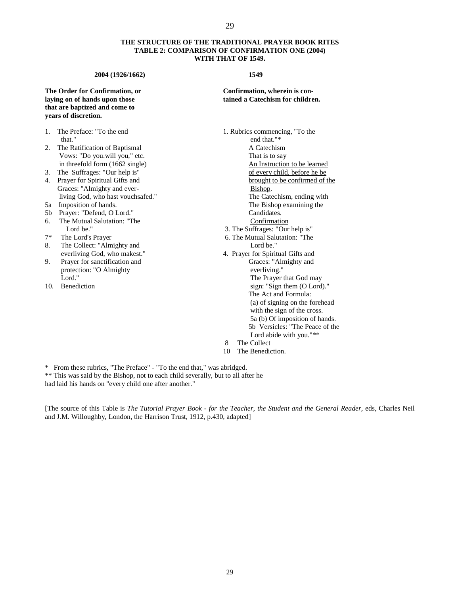#### **THE STRUCTURE OF THE TRADITIONAL PRAYER BOOK RITES TABLE 2: COMPARISON OF CONFIRMATION ONE (2004) WITH THAT OF 1549.**

#### **2004 (1926/1662) 1549**

# **that are baptized and come to years of discretion.**

- that." end that."\*
- 2. The Ratification of Baptismal<br>
Vows: "Do you.will you," etc.<br>
That is to say Vows: "Do you.will you," etc.
- 
- Graces: "Almighty and ever-<br>Bishop.
- 
- 
- 6. The Mutual Salutation: "The Lord be."
- 
- 8. The Collect: "Almighty and Lord be."
- 9. Prayer for sanctification and Graces: "Almighty and protection: "O Almighty everliving."<br>
Lord." The Praver
- 

#### **The Order for Confirmation, or Confirmation, wherein is conlaying on of hands upon those tained a Catechism for children.**

1. The Preface: "To the end 1. Rubrics commencing, "To the in threefold form (1662 single) An Instruction to be learned 3. The Suffrages: "Our help is" of every child, before he be 4. Prayer for Spiritual Gifts and brought to be confirmed of the *living God, who hast vouchsafed."* The Catechism, ending with 5a Imposition of hands. The Bishop examining the 5b Prayer: "Defend, O Lord." Candidates.<br>
5c. The Mutual Salutation: "The Confirmation Confirmation Lord be." 1998 Lord be." 1999 Lord be." 1999 Lord be." 1999 S. The Suffrages: "Our help is" 1999 S. The Mutual Salutation: "The Lord's Prayer 1999 S. The Mutual Salutation: "The  $\frac{1}{2}$ 6. The Mutual Salutation: "The everliving God, who makest." 4. Prayer for Spiritual Gifts and Lord." The Prayer that God may<br>
10. Benediction sign: "Sign them (O Lord" sign: "Sign them (O Lord") sign: "Sign them (O Lord)." The Act and Formula: (a) of signing on the forehead with the sign of the cross. 5a (b) Of imposition of hands. 5b Versicles: "The Peace of the Lord abide with you."\*\* 8 The Collect

10 The Benediction.

\* From these rubrics, "The Preface" - "To the end that," was abridged.

\*\* This was said by the Bishop, not to each child severally, but to all after he had laid his hands on "every child one after another."

[The source of this Table is *The Tutorial Prayer Book - for the Teacher, the Student and the General Reader*, eds, Charles Neil and J.M. Willoughby, London, the Harrison Trust, 1912, p.430, adapted]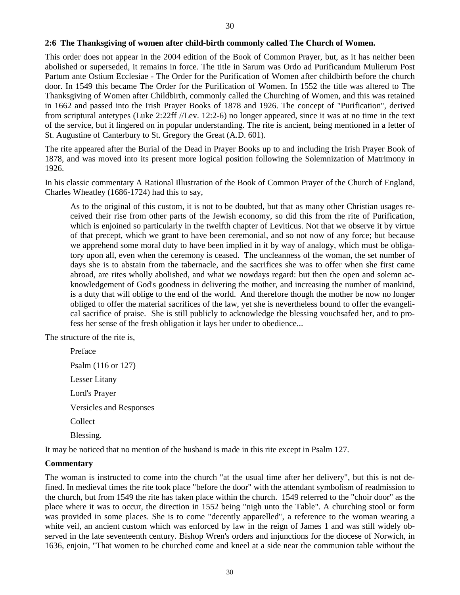#### **2:6 The Thanksgiving of women after child-birth commonly called The Church of Women.**

This order does not appear in the 2004 edition of the Book of Common Prayer, but, as it has neither been abolished or superseded, it remains in force. The title in Sarum was Ordo ad Purificandum Mulierum Post Partum ante Ostium Ecclesiae - The Order for the Purification of Women after childbirth before the church door. In 1549 this became The Order for the Purification of Women. In 1552 the title was altered to The Thanksgiving of Women after Childbirth, commonly called the Churching of Women, and this was retained in 1662 and passed into the Irish Prayer Books of 1878 and 1926. The concept of "Purification", derived from scriptural antetypes (Luke 2:22ff //Lev. 12:2-6) no longer appeared, since it was at no time in the text of the service, but it lingered on in popular understanding. The rite is ancient, being mentioned in a letter of St. Augustine of Canterbury to St. Gregory the Great (A.D. 601).

The rite appeared after the Burial of the Dead in Prayer Books up to and including the Irish Prayer Book of 1878, and was moved into its present more logical position following the Solemnization of Matrimony in 1926.

In his classic commentary A Rational Illustration of the Book of Common Prayer of the Church of England, Charles Wheatley (1686-1724) had this to say,

As to the original of this custom, it is not to be doubted, but that as many other Christian usages received their rise from other parts of the Jewish economy, so did this from the rite of Purification, which is enjoined so particularly in the twelfth chapter of Leviticus. Not that we observe it by virtue of that precept, which we grant to have been ceremonial, and so not now of any force; but because we apprehend some moral duty to have been implied in it by way of analogy, which must be obligatory upon all, even when the ceremony is ceased. The uncleanness of the woman, the set number of days she is to abstain from the tabernacle, and the sacrifices she was to offer when she first came abroad, are rites wholly abolished, and what we nowdays regard: but then the open and solemn acknowledgement of God's goodness in delivering the mother, and increasing the number of mankind, is a duty that will oblige to the end of the world. And therefore though the mother be now no longer obliged to offer the material sacrifices of the law, yet she is nevertheless bound to offer the evangelical sacrifice of praise. She is still publicly to acknowledge the blessing vouchsafed her, and to profess her sense of the fresh obligation it lays her under to obedience...

The structure of the rite is,

Preface Psalm (116 or 127) Lesser Litany Lord's Prayer Versicles and Responses Collect Blessing.

It may be noticed that no mention of the husband is made in this rite except in Psalm 127.

#### **Commentary**

The woman is instructed to come into the church "at the usual time after her delivery", but this is not defined. In medieval times the rite took place "before the door" with the attendant symbolism of readmission to the church, but from 1549 the rite has taken place within the church. 1549 referred to the "choir door" as the place where it was to occur, the direction in 1552 being "nigh unto the Table". A churching stool or form was provided in some places. She is to come "decently apparelled", a reference to the woman wearing a white veil, an ancient custom which was enforced by law in the reign of James 1 and was still widely observed in the late seventeenth century. Bishop Wren's orders and injunctions for the diocese of Norwich, in 1636, enjoin, "That women to be churched come and kneel at a side near the communion table without the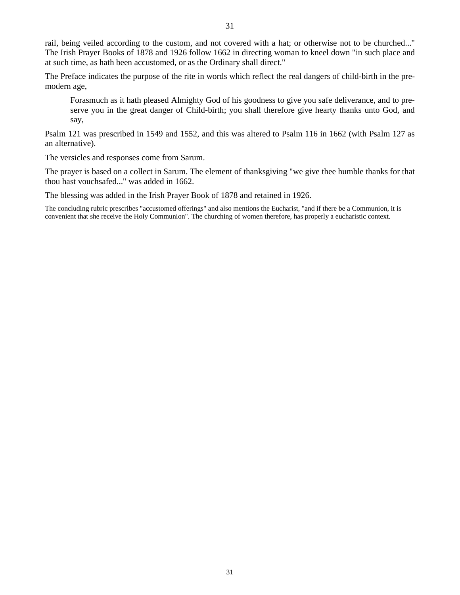31

rail, being veiled according to the custom, and not covered with a hat; or otherwise not to be churched..." The Irish Prayer Books of 1878 and 1926 follow 1662 in directing woman to kneel down "in such place and at such time, as hath been accustomed, or as the Ordinary shall direct."

The Preface indicates the purpose of the rite in words which reflect the real dangers of child-birth in the premodern age,

Forasmuch as it hath pleased Almighty God of his goodness to give you safe deliverance, and to preserve you in the great danger of Child-birth; you shall therefore give hearty thanks unto God, and say,

Psalm 121 was prescribed in 1549 and 1552, and this was altered to Psalm 116 in 1662 (with Psalm 127 as an alternative).

The versicles and responses come from Sarum.

The prayer is based on a collect in Sarum. The element of thanksgiving "we give thee humble thanks for that thou hast vouchsafed..." was added in 1662.

The blessing was added in the Irish Prayer Book of 1878 and retained in 1926.

The concluding rubric prescribes "accustomed offerings" and also mentions the Eucharist, "and if there be a Communion, it is convenient that she receive the Holy Communion". The churching of women therefore, has properly a eucharistic context.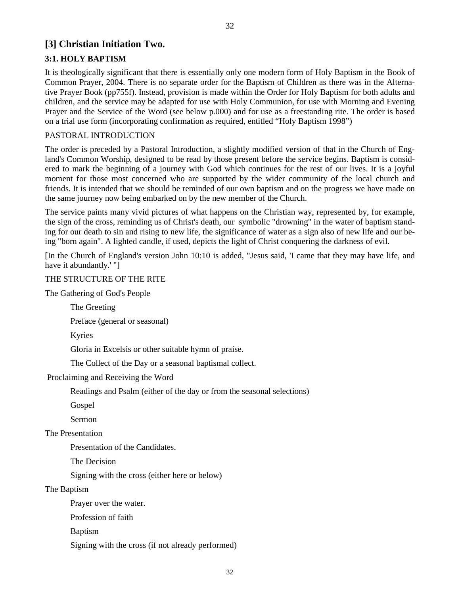# **[3] Christian Initiation Two.**

# **3:1. HOLY BAPTISM**

It is theologically significant that there is essentially only one modern form of Holy Baptism in the Book of Common Prayer, 2004. There is no separate order for the Baptism of Children as there was in the Alternative Prayer Book (pp755f). Instead, provision is made within the Order for Holy Baptism for both adults and children, and the service may be adapted for use with Holy Communion, for use with Morning and Evening Prayer and the Service of the Word (see below p.000) and for use as a freestanding rite. The order is based on a trial use form (incorporating confirmation as required, entitled "Holy Baptism 1998")

## PASTORAL INTRODUCTION

The order is preceded by a Pastoral Introduction, a slightly modified version of that in the Church of England's Common Worship, designed to be read by those present before the service begins. Baptism is considered to mark the beginning of a journey with God which continues for the rest of our lives. It is a joyful moment for those most concerned who are supported by the wider community of the local church and friends. It is intended that we should be reminded of our own baptism and on the progress we have made on the same journey now being embarked on by the new member of the Church.

The service paints many vivid pictures of what happens on the Christian way, represented by, for example, the sign of the cross, reminding us of Christ's death, our symbolic "drowning" in the water of baptism standing for our death to sin and rising to new life, the significance of water as a sign also of new life and our being "born again". A lighted candle, if used, depicts the light of Christ conquering the darkness of evil.

[In the Church of England's version John 10:10 is added, "Jesus said, 'I came that they may have life, and have it abundantly.' "]

# THE STRUCTURE OF THE RITE

The Gathering of God's People

The Greeting

Preface (general or seasonal)

Kyries

Gloria in Excelsis or other suitable hymn of praise.

The Collect of the Day or a seasonal baptismal collect.

Proclaiming and Receiving the Word

Readings and Psalm (either of the day or from the seasonal selections)

Gospel

Sermon

The Presentation

Presentation of the Candidates.

The Decision

Signing with the cross (either here or below)

#### The Baptism

Prayer over the water.

Profession of faith

Baptism

Signing with the cross (if not already performed)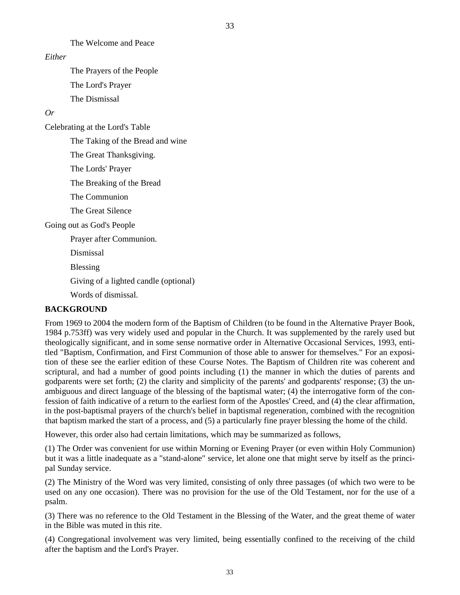33

The Welcome and Peace

#### *Either*

 The Prayers of the People The Lord's Prayer The Dismissal

# *Or*

Celebrating at the Lord's Table

The Taking of the Bread and wine

The Great Thanksgiving.

The Lords' Prayer

The Breaking of the Bread

The Communion

The Great Silence

Going out as God's People

Prayer after Communion.

Dismissal

Blessing

Giving of a lighted candle (optional)

Words of dismissal.

# **BACKGROUND**

From 1969 to 2004 the modern form of the Baptism of Children (to be found in the Alternative Prayer Book, 1984 p.753ff) was very widely used and popular in the Church. It was supplemented by the rarely used but theologically significant, and in some sense normative order in Alternative Occasional Services, 1993, entitled "Baptism, Confirmation, and First Communion of those able to answer for themselves." For an exposition of these see the earlier edition of these Course Notes. The Baptism of Children rite was coherent and scriptural, and had a number of good points including (1) the manner in which the duties of parents and godparents were set forth; (2) the clarity and simplicity of the parents' and godparents' response; (3) the unambiguous and direct language of the blessing of the baptismal water; (4) the interrogative form of the confession of faith indicative of a return to the earliest form of the Apostles' Creed, and (4) the clear affirmation, in the post-baptismal prayers of the church's belief in baptismal regeneration, combined with the recognition that baptism marked the start of a process, and (5) a particularly fine prayer blessing the home of the child.

However, this order also had certain limitations, which may be summarized as follows,

(1) The Order was convenient for use within Morning or Evening Prayer (or even within Holy Communion) but it was a little inadequate as a "stand-alone" service, let alone one that might serve by itself as the principal Sunday service.

(2) The Ministry of the Word was very limited, consisting of only three passages (of which two were to be used on any one occasion). There was no provision for the use of the Old Testament, nor for the use of a psalm.

(3) There was no reference to the Old Testament in the Blessing of the Water, and the great theme of water in the Bible was muted in this rite.

(4) Congregational involvement was very limited, being essentially confined to the receiving of the child after the baptism and the Lord's Prayer.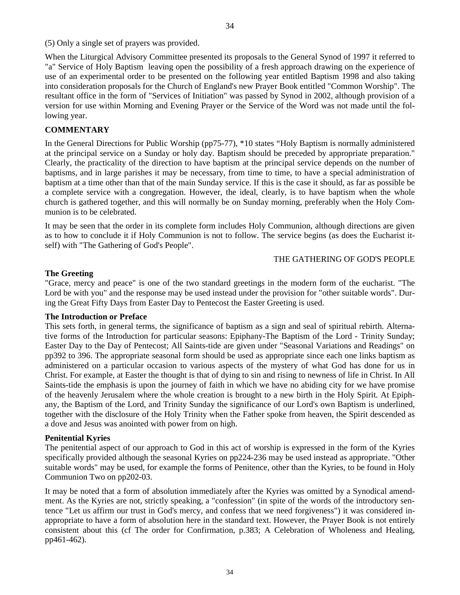(5) Only a single set of prayers was provided.

When the Liturgical Advisory Committee presented its proposals to the General Synod of 1997 it referred to "a" Service of Holy Baptism leaving open the possibility of a fresh approach drawing on the experience of use of an experimental order to be presented on the following year entitled Baptism 1998 and also taking into consideration proposals for the Church of England's new Prayer Book entitled "Common Worship". The resultant office in the form of "Services of Initiation" was passed by Synod in 2002, although provision of a version for use within Morning and Evening Prayer or the Service of the Word was not made until the following year.

34

# **COMMENTARY**

In the General Directions for Public Worship (pp75-77), \*10 states "Holy Baptism is normally administered at the principal service on a Sunday or holy day. Baptism should be preceded by appropriate preparation." Clearly, the practicality of the direction to have baptism at the principal service depends on the number of baptisms, and in large parishes it may be necessary, from time to time, to have a special administration of baptism at a time other than that of the main Sunday service. If this is the case it should, as far as possible be a complete service with a congregation. However, the ideal, clearly, is to have baptism when the whole church is gathered together, and this will normally be on Sunday morning, preferably when the Holy Communion is to be celebrated.

It may be seen that the order in its complete form includes Holy Communion, although directions are given as to how to conclude it if Holy Communion is not to follow. The service begins (as does the Eucharist itself) with "The Gathering of God's People".

#### THE GATHERING OF GOD'S PEOPLE

#### **The Greeting**

"Grace, mercy and peace" is one of the two standard greetings in the modern form of the eucharist. "The Lord be with you" and the response may be used instead under the provision for "other suitable words". During the Great Fifty Days from Easter Day to Pentecost the Easter Greeting is used.

#### **The Introduction or Preface**

This sets forth, in general terms, the significance of baptism as a sign and seal of spiritual rebirth. Alternative forms of the Introduction for particular seasons: Epiphany-The Baptism of the Lord - Trinity Sunday; Easter Day to the Day of Pentecost; All Saints-tide are given under "Seasonal Variations and Readings" on pp392 to 396. The appropriate seasonal form should be used as appropriate since each one links baptism as administered on a particular occasion to various aspects of the mystery of what God has done for us in Christ. For example, at Easter the thought is that of dying to sin and rising to newness of life in Christ. In All Saints-tide the emphasis is upon the journey of faith in which we have no abiding city for we have promise of the heavenly Jerusalem where the whole creation is brought to a new birth in the Holy Spirit. At Epiphany, the Baptism of the Lord, and Trinity Sunday the significance of our Lord's own Baptism is underlined, together with the disclosure of the Holy Trinity when the Father spoke from heaven, the Spirit descended as a dove and Jesus was anointed with power from on high.

#### **Penitential Kyries**

The penitential aspect of our approach to God in this act of worship is expressed in the form of the Kyries specifically provided although the seasonal Kyries on pp224-236 may be used instead as appropriate. "Other suitable words" may be used, for example the forms of Penitence, other than the Kyries, to be found in Holy Communion Two on pp202-03.

It may be noted that a form of absolution immediately after the Kyries was omitted by a Synodical amendment. As the Kyries are not, strictly speaking, a "confession" (in spite of the words of the introductory sentence "Let us affirm our trust in God's mercy, and confess that we need forgiveness") it was considered inappropriate to have a form of absolution here in the standard text. However, the Prayer Book is not entirely consistent about this (cf The order for Confirmation, p.383; A Celebration of Wholeness and Healing, pp461-462).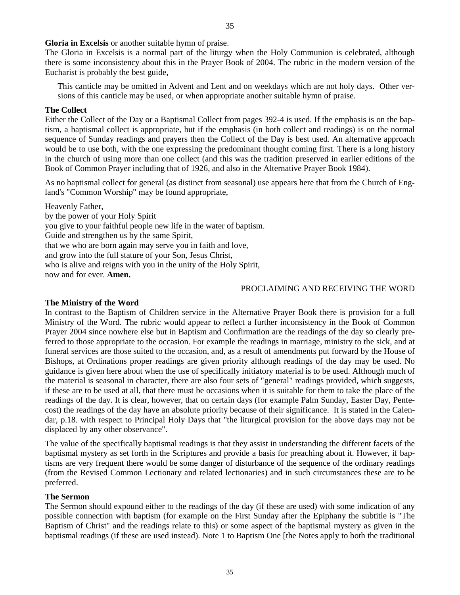**Gloria in Excelsis** or another suitable hymn of praise.

The Gloria in Excelsis is a normal part of the liturgy when the Holy Communion is celebrated, although there is some inconsistency about this in the Prayer Book of 2004. The rubric in the modern version of the Eucharist is probably the best guide,

35

This canticle may be omitted in Advent and Lent and on weekdays which are not holy days. Other versions of this canticle may be used, or when appropriate another suitable hymn of praise.

#### **The Collect**

Either the Collect of the Day or a Baptismal Collect from pages 392-4 is used. If the emphasis is on the baptism, a baptismal collect is appropriate, but if the emphasis (in both collect and readings) is on the normal sequence of Sunday readings and prayers then the Collect of the Day is best used. An alternative approach would be to use both, with the one expressing the predominant thought coming first. There is a long history in the church of using more than one collect (and this was the tradition preserved in earlier editions of the Book of Common Prayer including that of 1926, and also in the Alternative Prayer Book 1984).

As no baptismal collect for general (as distinct from seasonal) use appears here that from the Church of England's "Common Worship" may be found appropriate,

Heavenly Father,

by the power of your Holy Spirit you give to your faithful people new life in the water of baptism. Guide and strengthen us by the same Spirit, that we who are born again may serve you in faith and love, and grow into the full stature of your Son, Jesus Christ, who is alive and reigns with you in the unity of the Holy Spirit, now and for ever. **Amen.**

#### PROCLAIMING AND RECEIVING THE WORD

#### **The Ministry of the Word**

In contrast to the Baptism of Children service in the Alternative Prayer Book there is provision for a full Ministry of the Word. The rubric would appear to reflect a further inconsistency in the Book of Common Prayer 2004 since nowhere else but in Baptism and Confirmation are the readings of the day so clearly preferred to those appropriate to the occasion. For example the readings in marriage, ministry to the sick, and at funeral services are those suited to the occasion, and, as a result of amendments put forward by the House of Bishops, at Ordinations proper readings are given priority although readings of the day may be used. No guidance is given here about when the use of specifically initiatory material is to be used. Although much of the material is seasonal in character, there are also four sets of "general" readings provided, which suggests, if these are to be used at all, that there must be occasions when it is suitable for them to take the place of the readings of the day. It is clear, however, that on certain days (for example Palm Sunday, Easter Day, Pentecost) the readings of the day have an absolute priority because of their significance. It is stated in the Calendar, p.18. with respect to Principal Holy Days that "the liturgical provision for the above days may not be displaced by any other observance".

The value of the specifically baptismal readings is that they assist in understanding the different facets of the baptismal mystery as set forth in the Scriptures and provide a basis for preaching about it. However, if baptisms are very frequent there would be some danger of disturbance of the sequence of the ordinary readings (from the Revised Common Lectionary and related lectionaries) and in such circumstances these are to be preferred.

#### **The Sermon**

The Sermon should expound either to the readings of the day (if these are used) with some indication of any possible connection with baptism (for example on the First Sunday after the Epiphany the subtitle is "The Baptism of Christ" and the readings relate to this) or some aspect of the baptismal mystery as given in the baptismal readings (if these are used instead). Note 1 to Baptism One [the Notes apply to both the traditional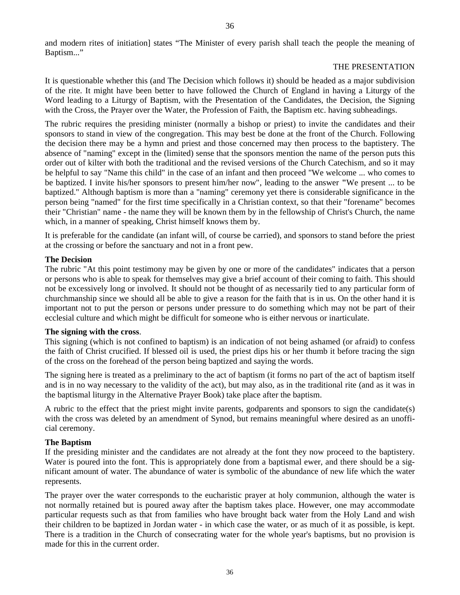and modern rites of initiation] states "The Minister of every parish shall teach the people the meaning of Baptism..."

#### THE PRESENTATION

It is questionable whether this (and The Decision which follows it) should be headed as a major subdivision of the rite. It might have been better to have followed the Church of England in having a Liturgy of the Word leading to a Liturgy of Baptism, with the Presentation of the Candidates, the Decision, the Signing with the Cross, the Prayer over the Water, the Profession of Faith, the Baptism etc. having subheadings.

The rubric requires the presiding minister (normally a bishop or priest) to invite the candidates and their sponsors to stand in view of the congregation. This may best be done at the front of the Church. Following the decision there may be a hymn and priest and those concerned may then process to the baptistery. The absence of "naming" except in the (limited) sense that the sponsors mention the name of the person puts this order out of kilter with both the traditional and the revised versions of the Church Catechism, and so it may be helpful to say "Name this child" in the case of an infant and then proceed "We welcome ... who comes to be baptized. I invite his/her sponsors to present him/her now", leading to the answer **"**We present ... to be baptized." Although baptism is more than a "naming" ceremony yet there is considerable significance in the person being "named" for the first time specifically in a Christian context, so that their "forename" becomes their "Christian" name - the name they will be known them by in the fellowship of Christ's Church, the name which, in a manner of speaking, Christ himself knows them by.

It is preferable for the candidate (an infant will, of course be carried), and sponsors to stand before the priest at the crossing or before the sanctuary and not in a front pew.

#### **The Decision**

The rubric "At this point testimony may be given by one or more of the candidates" indicates that a person or persons who is able to speak for themselves may give a brief account of their coming to faith. This should not be excessively long or involved. It should not be thought of as necessarily tied to any particular form of churchmanship since we should all be able to give a reason for the faith that is in us. On the other hand it is important not to put the person or persons under pressure to do something which may not be part of their ecclesial culture and which might be difficult for someone who is either nervous or inarticulate.

#### **The signing with the cross**.

This signing (which is not confined to baptism) is an indication of not being ashamed (or afraid) to confess the faith of Christ crucified. If blessed oil is used, the priest dips his or her thumb it before tracing the sign of the cross on the forehead of the person being baptized and saying the words.

The signing here is treated as a preliminary to the act of baptism (it forms no part of the act of baptism itself and is in no way necessary to the validity of the act), but may also, as in the traditional rite (and as it was in the baptismal liturgy in the Alternative Prayer Book) take place after the baptism.

A rubric to the effect that the priest might invite parents, godparents and sponsors to sign the candidate(s) with the cross was deleted by an amendment of Synod, but remains meaningful where desired as an unofficial ceremony.

#### **The Baptism**

If the presiding minister and the candidates are not already at the font they now proceed to the baptistery. Water is poured into the font. This is appropriately done from a baptismal ewer, and there should be a significant amount of water. The abundance of water is symbolic of the abundance of new life which the water represents.

The prayer over the water corresponds to the eucharistic prayer at holy communion, although the water is not normally retained but is poured away after the baptism takes place. However, one may accommodate particular requests such as that from families who have brought back water from the Holy Land and wish their children to be baptized in Jordan water - in which case the water, or as much of it as possible, is kept. There is a tradition in the Church of consecrating water for the whole year's baptisms, but no provision is made for this in the current order.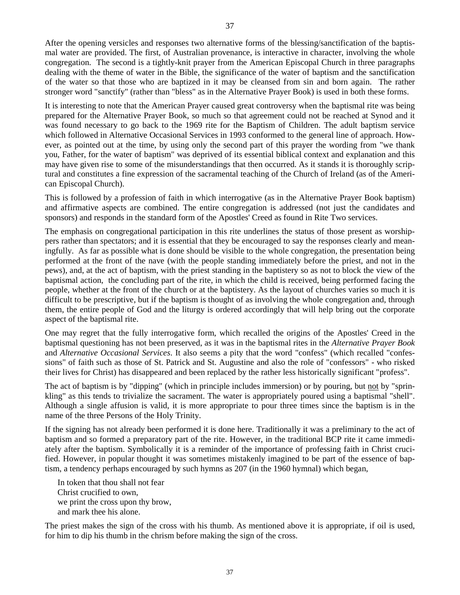After the opening versicles and responses two alternative forms of the blessing/sanctification of the baptismal water are provided. The first, of Australian provenance, is interactive in character, involving the whole congregation. The second is a tightly-knit prayer from the American Episcopal Church in three paragraphs dealing with the theme of water in the Bible, the significance of the water of baptism and the sanctification of the water so that those who are baptized in it may be cleansed from sin and born again. The rather stronger word "sanctify" (rather than "bless" as in the Alternative Prayer Book) is used in both these forms.

It is interesting to note that the American Prayer caused great controversy when the baptismal rite was being prepared for the Alternative Prayer Book, so much so that agreement could not be reached at Synod and it was found necessary to go back to the 1969 rite for the Baptism of Children. The adult baptism service which followed in Alternative Occasional Services in 1993 conformed to the general line of approach. However, as pointed out at the time, by using only the second part of this prayer the wording from "we thank you, Father, for the water of baptism" was deprived of its essential biblical context and explanation and this may have given rise to some of the misunderstandings that then occurred. As it stands it is thoroughly scriptural and constitutes a fine expression of the sacramental teaching of the Church of Ireland (as of the American Episcopal Church).

This is followed by a profession of faith in which interrogative (as in the Alternative Prayer Book baptism) and affirmative aspects are combined. The entire congregation is addressed (not just the candidates and sponsors) and responds in the standard form of the Apostles' Creed as found in Rite Two services.

The emphasis on congregational participation in this rite underlines the status of those present as worshippers rather than spectators; and it is essential that they be encouraged to say the responses clearly and meaningfully. As far as possible what is done should be visible to the whole congregation, the presentation being performed at the front of the nave (with the people standing immediately before the priest, and not in the pews), and, at the act of baptism, with the priest standing in the baptistery so as not to block the view of the baptismal action, the concluding part of the rite, in which the child is received, being performed facing the people, whether at the front of the church or at the baptistery. As the layout of churches varies so much it is difficult to be prescriptive, but if the baptism is thought of as involving the whole congregation and, through them, the entire people of God and the liturgy is ordered accordingly that will help bring out the corporate aspect of the baptismal rite.

One may regret that the fully interrogative form, which recalled the origins of the Apostles' Creed in the baptismal questioning has not been preserved, as it was in the baptismal rites in the *Alternative Prayer Book* and *Alternative Occasional Services*. It also seems a pity that the word "confess" (which recalled "confessions" of faith such as those of St. Patrick and St. Augustine and also the role of "confessors" - who risked their lives for Christ) has disappeared and been replaced by the rather less historically significant "profess".

The act of baptism is by "dipping" (which in principle includes immersion) or by pouring, but not by "sprinkling" as this tends to trivialize the sacrament. The water is appropriately poured using a baptismal "shell". Although a single affusion is valid, it is more appropriate to pour three times since the baptism is in the name of the three Persons of the Holy Trinity.

If the signing has not already been performed it is done here. Traditionally it was a preliminary to the act of baptism and so formed a preparatory part of the rite. However, in the traditional BCP rite it came immediately after the baptism. Symbolically it is a reminder of the importance of professing faith in Christ crucified. However, in popular thought it was sometimes mistakenly imagined to be part of the essence of baptism, a tendency perhaps encouraged by such hymns as 207 (in the 1960 hymnal) which began,

In token that thou shall not fear Christ crucified to own, we print the cross upon thy brow, and mark thee his alone.

The priest makes the sign of the cross with his thumb. As mentioned above it is appropriate, if oil is used, for him to dip his thumb in the chrism before making the sign of the cross.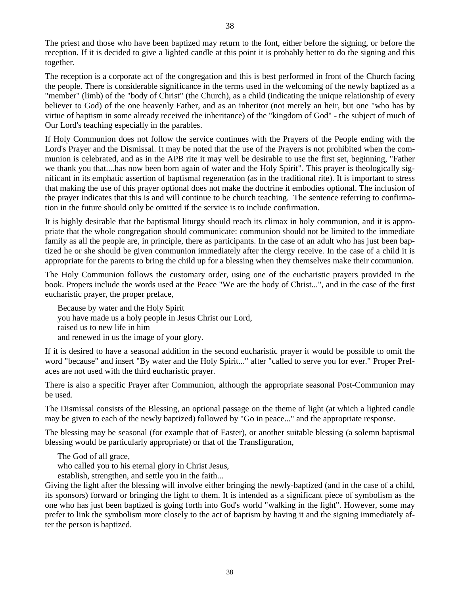The priest and those who have been baptized may return to the font, either before the signing, or before the reception. If it is decided to give a lighted candle at this point it is probably better to do the signing and this together.

The reception is a corporate act of the congregation and this is best performed in front of the Church facing the people. There is considerable significance in the terms used in the welcoming of the newly baptized as a "member" (limb) of the "body of Christ" (the Church), as a child (indicating the unique relationship of every believer to God) of the one heavenly Father, and as an inheritor (not merely an heir, but one "who has by virtue of baptism in some already received the inheritance) of the "kingdom of God" - the subject of much of Our Lord's teaching especially in the parables.

If Holy Communion does not follow the service continues with the Prayers of the People ending with the Lord's Prayer and the Dismissal. It may be noted that the use of the Prayers is not prohibited when the communion is celebrated, and as in the APB rite it may well be desirable to use the first set, beginning, "Father we thank you that....has now been born again of water and the Holy Spirit". This prayer is theologically significant in its emphatic assertion of baptismal regeneration (as in the traditional rite). It is important to stress that making the use of this prayer optional does not make the doctrine it embodies optional. The inclusion of the prayer indicates that this is and will continue to be church teaching. The sentence referring to confirmation in the future should only be omitted if the service is to include confirmation.

It is highly desirable that the baptismal liturgy should reach its climax in holy communion, and it is appropriate that the whole congregation should communicate: communion should not be limited to the immediate family as all the people are, in principle, there as participants. In the case of an adult who has just been baptized he or she should be given communion immediately after the clergy receive. In the case of a child it is appropriate for the parents to bring the child up for a blessing when they themselves make their communion.

The Holy Communion follows the customary order, using one of the eucharistic prayers provided in the book. Propers include the words used at the Peace "We are the body of Christ...", and in the case of the first eucharistic prayer, the proper preface,

Because by water and the Holy Spirit you have made us a holy people in Jesus Christ our Lord, raised us to new life in him and renewed in us the image of your glory.

If it is desired to have a seasonal addition in the second eucharistic prayer it would be possible to omit the word "because" and insert "By water and the Holy Spirit..." after "called to serve you for ever." Proper Prefaces are not used with the third eucharistic prayer.

There is also a specific Prayer after Communion, although the appropriate seasonal Post-Communion may be used.

The Dismissal consists of the Blessing, an optional passage on the theme of light (at which a lighted candle may be given to each of the newly baptized) followed by "Go in peace..." and the appropriate response.

The blessing may be seasonal (for example that of Easter), or another suitable blessing (a solemn baptismal blessing would be particularly appropriate) or that of the Transfiguration,

The God of all grace,

who called you to his eternal glory in Christ Jesus,

establish, strengthen, and settle you in the faith...

Giving the light after the blessing will involve either bringing the newly-baptized (and in the case of a child, its sponsors) forward or bringing the light to them. It is intended as a significant piece of symbolism as the one who has just been baptized is going forth into God's world "walking in the light". However, some may prefer to link the symbolism more closely to the act of baptism by having it and the signing immediately after the person is baptized.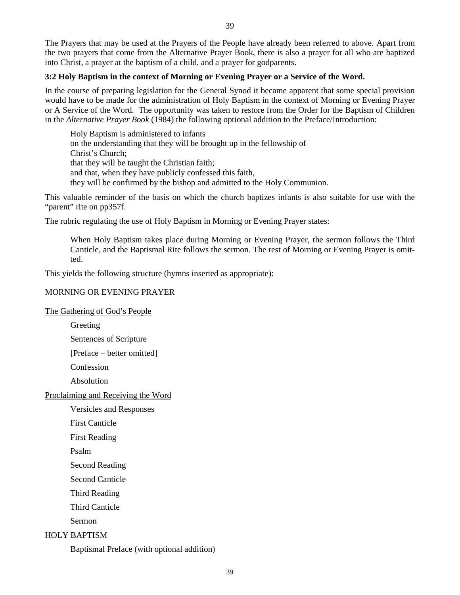The Prayers that may be used at the Prayers of the People have already been referred to above. Apart from the two prayers that come from the Alternative Prayer Book, there is also a prayer for all who are baptized into Christ, a prayer at the baptism of a child, and a prayer for godparents.

# **3:2 Holy Baptism in the context of Morning or Evening Prayer or a Service of the Word.**

In the course of preparing legislation for the General Synod it became apparent that some special provision would have to be made for the administration of Holy Baptism in the context of Morning or Evening Prayer or A Service of the Word. The opportunity was taken to restore from the Order for the Baptism of Children in the *Alternative Prayer Book* (1984) the following optional addition to the Preface/Introduction:

Holy Baptism is administered to infants on the understanding that they will be brought up in the fellowship of Christ's Church; that they will be taught the Christian faith; and that, when they have publicly confessed this faith, they will be confirmed by the bishop and admitted to the Holy Communion.

This valuable reminder of the basis on which the church baptizes infants is also suitable for use with the "parent" rite on pp357f.

The rubric regulating the use of Holy Baptism in Morning or Evening Prayer states:

When Holy Baptism takes place during Morning or Evening Prayer, the sermon follows the Third Canticle, and the Baptismal Rite follows the sermon. The rest of Morning or Evening Prayer is omitted.

This yields the following structure (hymns inserted as appropriate):

# MORNING OR EVENING PRAYER

The Gathering of God's People

Greeting

Sentences of Scripture

[Preface – better omitted]

Confession

Absolution

Proclaiming and Receiving the Word

Versicles and Responses

First Canticle

First Reading

Psalm

Second Reading

Second Canticle

Third Reading

Third Canticle

Sermon

# HOLY BAPTISM

Baptismal Preface (with optional addition)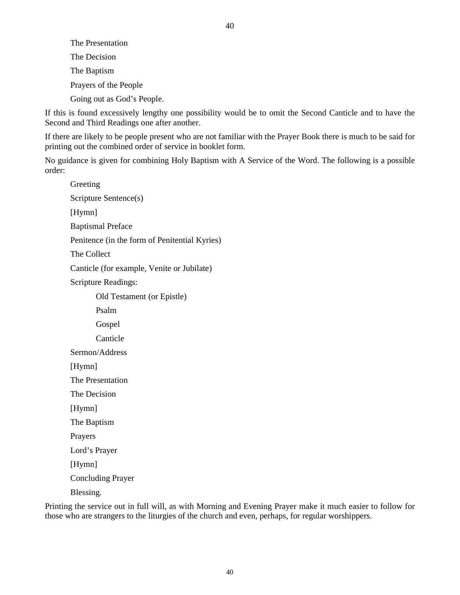The Presentation The Decision The Baptism Prayers of the People Going out as God's People.

If this is found excessively lengthy one possibility would be to omit the Second Canticle and to have the Second and Third Readings one after another.

If there are likely to be people present who are not familiar with the Prayer Book there is much to be said for printing out the combined order of service in booklet form.

No guidance is given for combining Holy Baptism with A Service of the Word. The following is a possible order:

Greeting Scripture Sentence(s) [Hymn] Baptismal Preface Penitence (in the form of Penitential Kyries) The Collect Canticle (for example, Venite or Jubilate) Scripture Readings: Old Testament (or Epistle) Psalm Gospel Canticle Sermon/Address [Hymn] The Presentation The Decision [Hymn] The Baptism Prayers Lord's Prayer [Hymn] Concluding Prayer Blessing.

Printing the service out in full will, as with Morning and Evening Prayer make it much easier to follow for those who are strangers to the liturgies of the church and even, perhaps, for regular worshippers.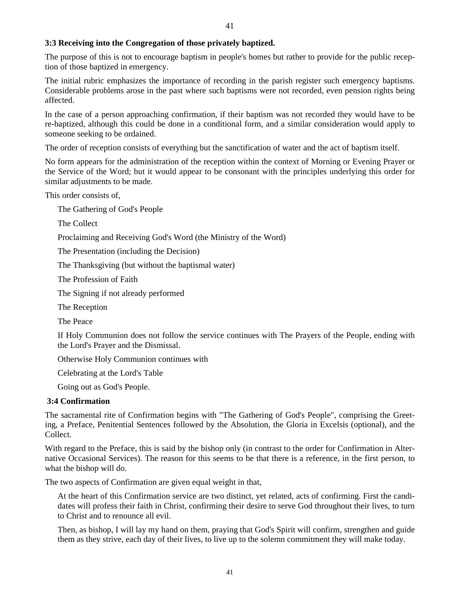# **3:3 Receiving into the Congregation of those privately baptized.**

The purpose of this is not to encourage baptism in people's homes but rather to provide for the public reception of those baptized in emergency.

41

The initial rubric emphasizes the importance of recording in the parish register such emergency baptisms. Considerable problems arose in the past where such baptisms were not recorded, even pension rights being affected.

In the case of a person approaching confirmation, if their baptism was not recorded they would have to be re-baptized, although this could be done in a conditional form, and a similar consideration would apply to someone seeking to be ordained.

The order of reception consists of everything but the sanctification of water and the act of baptism itself.

No form appears for the administration of the reception within the context of Morning or Evening Prayer or the Service of the Word; but it would appear to be consonant with the principles underlying this order for similar adjustments to be made.

This order consists of,

The Gathering of God's People

The Collect

Proclaiming and Receiving God's Word (the Ministry of the Word)

The Presentation (including the Decision)

The Thanksgiving (but without the baptismal water)

The Profession of Faith

The Signing if not already performed

The Reception

The Peace

If Holy Communion does not follow the service continues with The Prayers of the People, ending with the Lord's Prayer and the Dismissal.

Otherwise Holy Communion continues with

Celebrating at the Lord's Table

Going out as God's People.

#### **3:4 Confirmation**

The sacramental rite of Confirmation begins with "The Gathering of God's People", comprising the Greeting, a Preface, Penitential Sentences followed by the Absolution, the Gloria in Excelsis (optional), and the Collect.

With regard to the Preface, this is said by the bishop only (in contrast to the order for Confirmation in Alternative Occasional Services). The reason for this seems to be that there is a reference, in the first person, to what the bishop will do.

The two aspects of Confirmation are given equal weight in that,

At the heart of this Confirmation service are two distinct, yet related, acts of confirming. First the candidates will profess their faith in Christ, confirming their desire to serve God throughout their lives, to turn to Christ and to renounce all evil.

Then, as bishop, I will lay my hand on them, praying that God's Spirit will confirm, strengthen and guide them as they strive, each day of their lives, to live up to the solemn commitment they will make today.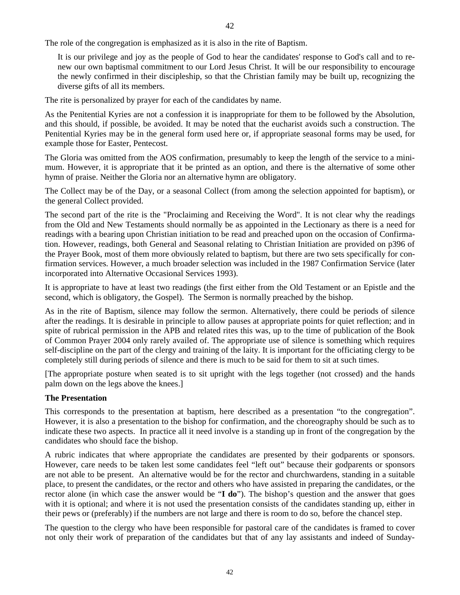The role of the congregation is emphasized as it is also in the rite of Baptism.

It is our privilege and joy as the people of God to hear the candidates' response to God's call and to renew our own baptismal commitment to our Lord Jesus Christ. It will be our responsibility to encourage the newly confirmed in their discipleship, so that the Christian family may be built up, recognizing the diverse gifts of all its members.

The rite is personalized by prayer for each of the candidates by name.

As the Penitential Kyries are not a confession it is inappropriate for them to be followed by the Absolution, and this should, if possible, be avoided. It may be noted that the eucharist avoids such a construction. The Penitential Kyries may be in the general form used here or, if appropriate seasonal forms may be used, for example those for Easter, Pentecost.

The Gloria was omitted from the AOS confirmation, presumably to keep the length of the service to a minimum. However, it is appropriate that it be printed as an option, and there is the alternative of some other hymn of praise. Neither the Gloria nor an alternative hymn are obligatory.

The Collect may be of the Day, or a seasonal Collect (from among the selection appointed for baptism), or the general Collect provided.

The second part of the rite is the "Proclaiming and Receiving the Word". It is not clear why the readings from the Old and New Testaments should normally be as appointed in the Lectionary as there is a need for readings with a bearing upon Christian initiation to be read and preached upon on the occasion of Confirmation. However, readings, both General and Seasonal relating to Christian Initiation are provided on p396 of the Prayer Book, most of them more obviously related to baptism, but there are two sets specifically for confirmation services. However, a much broader selection was included in the 1987 Confirmation Service (later incorporated into Alternative Occasional Services 1993).

It is appropriate to have at least two readings (the first either from the Old Testament or an Epistle and the second, which is obligatory, the Gospel). The Sermon is normally preached by the bishop.

As in the rite of Baptism, silence may follow the sermon. Alternatively, there could be periods of silence after the readings. It is desirable in principle to allow pauses at appropriate points for quiet reflection; and in spite of rubrical permission in the APB and related rites this was, up to the time of publication of the Book of Common Prayer 2004 only rarely availed of. The appropriate use of silence is something which requires self-discipline on the part of the clergy and training of the laity. It is important for the officiating clergy to be completely still during periods of silence and there is much to be said for them to sit at such times.

[The appropriate posture when seated is to sit upright with the legs together (not crossed) and the hands palm down on the legs above the knees.]

#### **The Presentation**

This corresponds to the presentation at baptism, here described as a presentation "to the congregation". However, it is also a presentation to the bishop for confirmation, and the choreography should be such as to indicate these two aspects. In practice all it need involve is a standing up in front of the congregation by the candidates who should face the bishop.

A rubric indicates that where appropriate the candidates are presented by their godparents or sponsors. However, care needs to be taken lest some candidates feel "left out" because their godparents or sponsors are not able to be present. An alternative would be for the rector and churchwardens, standing in a suitable place, to present the candidates, or the rector and others who have assisted in preparing the candidates, or the rector alone (in which case the answer would be "**I do**"). The bishop's question and the answer that goes with it is optional; and where it is not used the presentation consists of the candidates standing up, either in their pews or (preferably) if the numbers are not large and there is room to do so, before the chancel step.

The question to the clergy who have been responsible for pastoral care of the candidates is framed to cover not only their work of preparation of the candidates but that of any lay assistants and indeed of Sunday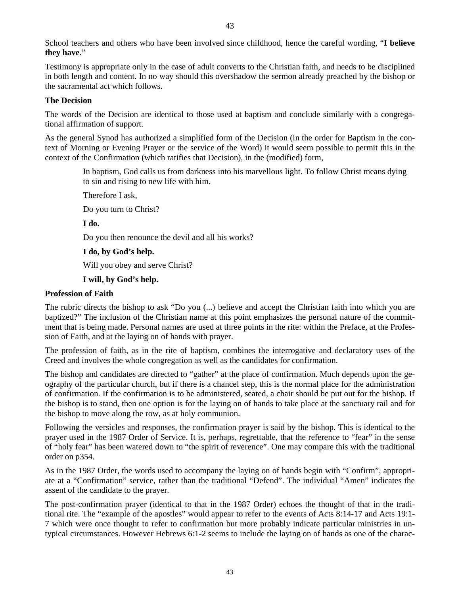School teachers and others who have been involved since childhood, hence the careful wording, "**I believe they have**."

43

Testimony is appropriate only in the case of adult converts to the Christian faith, and needs to be disciplined in both length and content. In no way should this overshadow the sermon already preached by the bishop or the sacramental act which follows.

#### **The Decision**

The words of the Decision are identical to those used at baptism and conclude similarly with a congregational affirmation of support.

As the general Synod has authorized a simplified form of the Decision (in the order for Baptism in the context of Morning or Evening Prayer or the service of the Word) it would seem possible to permit this in the context of the Confirmation (which ratifies that Decision), in the (modified) form,

> In baptism, God calls us from darkness into his marvellous light. To follow Christ means dying to sin and rising to new life with him.

Therefore I ask,

Do you turn to Christ?

**I do.** 

Do you then renounce the devil and all his works?

**I do, by God's help.** 

Will you obey and serve Christ?

**I will, by God's help.** 

#### **Profession of Faith**

The rubric directs the bishop to ask "Do you (...) believe and accept the Christian faith into which you are baptized?" The inclusion of the Christian name at this point emphasizes the personal nature of the commitment that is being made. Personal names are used at three points in the rite: within the Preface, at the Profession of Faith, and at the laying on of hands with prayer.

The profession of faith, as in the rite of baptism, combines the interrogative and declaratory uses of the Creed and involves the whole congregation as well as the candidates for confirmation.

The bishop and candidates are directed to "gather" at the place of confirmation. Much depends upon the geography of the particular church, but if there is a chancel step, this is the normal place for the administration of confirmation. If the confirmation is to be administered, seated, a chair should be put out for the bishop. If the bishop is to stand, then one option is for the laying on of hands to take place at the sanctuary rail and for the bishop to move along the row, as at holy communion.

Following the versicles and responses, the confirmation prayer is said by the bishop. This is identical to the prayer used in the 1987 Order of Service. It is, perhaps, regrettable, that the reference to "fear" in the sense of "holy fear" has been watered down to "the spirit of reverence". One may compare this with the traditional order on p354.

As in the 1987 Order, the words used to accompany the laying on of hands begin with "Confirm", appropriate at a "Confirmation" service, rather than the traditional "Defend". The individual "Amen" indicates the assent of the candidate to the prayer.

The post-confirmation prayer (identical to that in the 1987 Order) echoes the thought of that in the traditional rite. The "example of the apostles" would appear to refer to the events of Acts 8:14-17 and Acts 19:1- 7 which were once thought to refer to confirmation but more probably indicate particular ministries in untypical circumstances. However Hebrews 6:1-2 seems to include the laying on of hands as one of the charac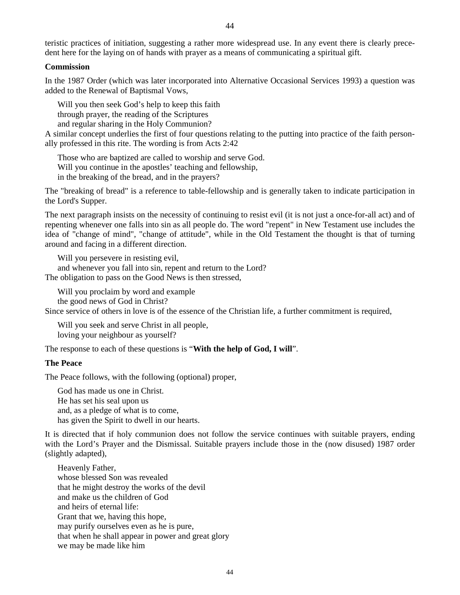teristic practices of initiation, suggesting a rather more widespread use. In any event there is clearly precedent here for the laying on of hands with prayer as a means of communicating a spiritual gift.

#### **Commission**

In the 1987 Order (which was later incorporated into Alternative Occasional Services 1993) a question was added to the Renewal of Baptismal Vows,

Will you then seek God's help to keep this faith

through prayer, the reading of the Scriptures

and regular sharing in the Holy Communion?

A similar concept underlies the first of four questions relating to the putting into practice of the faith personally professed in this rite. The wording is from Acts 2:42

Those who are baptized are called to worship and serve God. Will you continue in the apostles' teaching and fellowship, in the breaking of the bread, and in the prayers?

The "breaking of bread" is a reference to table-fellowship and is generally taken to indicate participation in the Lord's Supper.

The next paragraph insists on the necessity of continuing to resist evil (it is not just a once-for-all act) and of repenting whenever one falls into sin as all people do. The word "repent" in New Testament use includes the idea of "change of mind", "change of attitude", while in the Old Testament the thought is that of turning around and facing in a different direction.

Will you persevere in resisting evil,

and whenever you fall into sin, repent and return to the Lord?

The obligation to pass on the Good News is then stressed,

Will you proclaim by word and example the good news of God in Christ?

Since service of others in love is of the essence of the Christian life, a further commitment is required,

Will you seek and serve Christ in all people, loving your neighbour as yourself?

The response to each of these questions is "**With the help of God, I will**".

#### **The Peace**

The Peace follows, with the following (optional) proper,

God has made us one in Christ. He has set his seal upon us and, as a pledge of what is to come, has given the Spirit to dwell in our hearts.

It is directed that if holy communion does not follow the service continues with suitable prayers, ending with the Lord's Prayer and the Dismissal. Suitable prayers include those in the (now disused) 1987 order (slightly adapted),

Heavenly Father, whose blessed Son was revealed that he might destroy the works of the devil and make us the children of God and heirs of eternal life: Grant that we, having this hope, may purify ourselves even as he is pure, that when he shall appear in power and great glory we may be made like him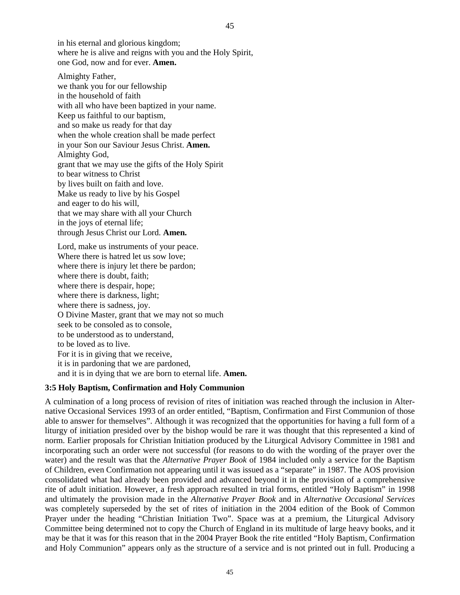in his eternal and glorious kingdom; where he is alive and reigns with you and the Holy Spirit, one God, now and for ever. **Amen.** 

Almighty Father, we thank you for our fellowship in the household of faith with all who have been baptized in your name. Keep us faithful to our baptism, and so make us ready for that day when the whole creation shall be made perfect in your Son our Saviour Jesus Christ. **Amen.**  Almighty God, grant that we may use the gifts of the Holy Spirit to bear witness to Christ by lives built on faith and love. Make us ready to live by his Gospel and eager to do his will, that we may share with all your Church in the joys of eternal life; through Jesus Christ our Lord. **Amen.** 

Lord, make us instruments of your peace. Where there is hatred let us sow love; where there is injury let there be pardon; where there is doubt, faith; where there is despair, hope; where there is darkness, light; where there is sadness, joy. O Divine Master, grant that we may not so much seek to be consoled as to console, to be understood as to understand, to be loved as to live. For it is in giving that we receive, it is in pardoning that we are pardoned, and it is in dying that we are born to eternal life. **Amen.** 

#### **3:5 Holy Baptism, Confirmation and Holy Communion**

A culmination of a long process of revision of rites of initiation was reached through the inclusion in Alternative Occasional Services 1993 of an order entitled, "Baptism, Confirmation and First Communion of those able to answer for themselves". Although it was recognized that the opportunities for having a full form of a liturgy of initiation presided over by the bishop would be rare it was thought that this represented a kind of norm. Earlier proposals for Christian Initiation produced by the Liturgical Advisory Committee in 1981 and incorporating such an order were not successful (for reasons to do with the wording of the prayer over the water) and the result was that the *Alternative Prayer Book* of 1984 included only a service for the Baptism of Children, even Confirmation not appearing until it was issued as a "separate" in 1987. The AOS provision consolidated what had already been provided and advanced beyond it in the provision of a comprehensive rite of adult initiation. However, a fresh approach resulted in trial forms, entitled "Holy Baptism" in 1998 and ultimately the provision made in the *Alternative Prayer Book* and in *Alternative Occasional Services* was completely superseded by the set of rites of initiation in the 2004 edition of the Book of Common Prayer under the heading "Christian Initiation Two". Space was at a premium, the Liturgical Advisory Committee being determined not to copy the Church of England in its multitude of large heavy books, and it may be that it was for this reason that in the 2004 Prayer Book the rite entitled "Holy Baptism, Confirmation and Holy Communion" appears only as the structure of a service and is not printed out in full. Producing a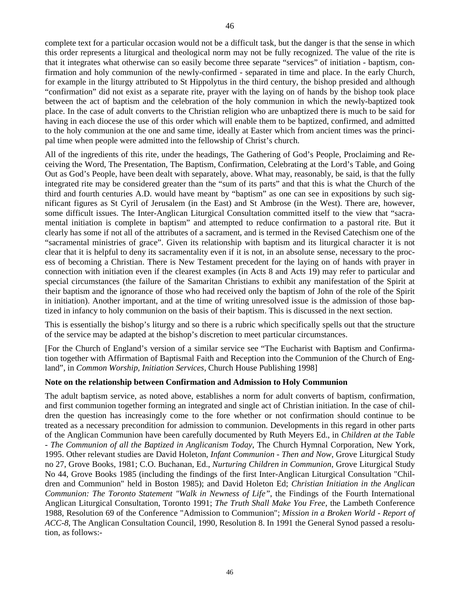complete text for a particular occasion would not be a difficult task, but the danger is that the sense in which this order represents a liturgical and theological norm may not be fully recognized. The value of the rite is that it integrates what otherwise can so easily become three separate "services" of initiation - baptism, confirmation and holy communion of the newly-confirmed - separated in time and place. In the early Church, for example in the liturgy attributed to St Hippolytus in the third century, the bishop presided and although "confirmation" did not exist as a separate rite, prayer with the laying on of hands by the bishop took place between the act of baptism and the celebration of the holy communion in which the newly-baptized took place. In the case of adult converts to the Christian religion who are unbaptized there is much to be said for having in each diocese the use of this order which will enable them to be baptized, confirmed, and admitted to the holy communion at the one and same time, ideally at Easter which from ancient times was the principal time when people were admitted into the fellowship of Christ's church.

All of the ingredients of this rite, under the headings, The Gathering of God's People, Proclaiming and Receiving the Word, The Presentation, The Baptism, Confirmation, Celebrating at the Lord's Table, and Going Out as God's People, have been dealt with separately, above. What may, reasonably, be said, is that the fully integrated rite may be considered greater than the "sum of its parts" and that this is what the Church of the third and fourth centuries A.D. would have meant by "baptism" as one can see in expositions by such significant figures as St Cyril of Jerusalem (in the East) and St Ambrose (in the West). There are, however, some difficult issues. The Inter-Anglican Liturgical Consultation committed itself to the view that "sacramental initiation is complete in baptism" and attempted to reduce confirmation to a pastoral rite. But it clearly has some if not all of the attributes of a sacrament, and is termed in the Revised Catechism one of the "sacramental ministries of grace". Given its relationship with baptism and its liturgical character it is not clear that it is helpful to deny its sacramentality even if it is not, in an absolute sense, necessary to the process of becoming a Christian. There is New Testament precedent for the laying on of hands with prayer in connection with initiation even if the clearest examples (in Acts 8 and Acts 19) may refer to particular and special circumstances (the failure of the Samaritan Christians to exhibit any manifestation of the Spirit at their baptism and the ignorance of those who had received only the baptism of John of the role of the Spirit in initiation). Another important, and at the time of writing unresolved issue is the admission of those baptized in infancy to holy communion on the basis of their baptism. This is discussed in the next section.

This is essentially the bishop's liturgy and so there is a rubric which specifically spells out that the structure of the service may be adapted at the bishop's discretion to meet particular circumstances.

[For the Church of England's version of a similar service see "The Eucharist with Baptism and Confirmation together with Affirmation of Baptismal Faith and Reception into the Communion of the Church of England", in *Common Worship, Initiation Services,* Church House Publishing 1998]

#### **Note on the relationship between Confirmation and Admission to Holy Communion**

The adult baptism service, as noted above, establishes a norm for adult converts of baptism, confirmation, and first communion together forming an integrated and single act of Christian initiation. In the case of children the question has increasingly come to the fore whether or not confirmation should continue to be treated as a necessary precondition for admission to communion. Developments in this regard in other parts of the Anglican Communion have been carefully documented by Ruth Meyers Ed., in *Children at the Table - The Communion of all the Baptized in Anglicanism Today*, The Church Hymnal Corporation, New York, 1995. Other relevant studies are David Holeton, *Infant Communion - Then and Now*, Grove Liturgical Study no 27, Grove Books, 1981; C.O. Buchanan, Ed., *Nurturing Children in Communion*, Grove Liturgical Study No 44, Grove Books 1985 (including the findings of the first Inter-Anglican Liturgical Consultation "Children and Communion" held in Boston 1985); and David Holeton Ed; *Christian Initiation in the Anglican Communion: The Toronto Statement "Walk in Newness of Life"*, the Findings of the Fourth International Anglican Liturgical Consultation, Toronto 1991; *The Truth Shall Make You Free*, the Lambeth Conference 1988, Resolution 69 of the Conference "Admission to Communion"; *Mission in a Broken World - Report of ACC-8*, The Anglican Consultation Council, 1990, Resolution 8. In 1991 the General Synod passed a resolution, as follows:-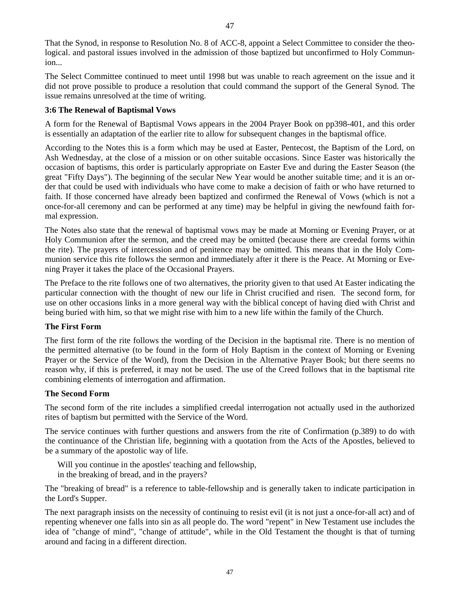That the Synod, in response to Resolution No. 8 of ACC-8, appoint a Select Committee to consider the theological. and pastoral issues involved in the admission of those baptized but unconfirmed to Holy Communion...

The Select Committee continued to meet until 1998 but was unable to reach agreement on the issue and it did not prove possible to produce a resolution that could command the support of the General Synod. The issue remains unresolved at the time of writing.

#### **3:6 The Renewal of Baptismal Vows**

A form for the Renewal of Baptismal Vows appears in the 2004 Prayer Book on pp398-401, and this order is essentially an adaptation of the earlier rite to allow for subsequent changes in the baptismal office.

According to the Notes this is a form which may be used at Easter, Pentecost, the Baptism of the Lord, on Ash Wednesday, at the close of a mission or on other suitable occasions. Since Easter was historically the occasion of baptisms, this order is particularly appropriate on Easter Eve and during the Easter Season (the great "Fifty Days"). The beginning of the secular New Year would be another suitable time; and it is an order that could be used with individuals who have come to make a decision of faith or who have returned to faith. If those concerned have already been baptized and confirmed the Renewal of Vows (which is not a once-for-all ceremony and can be performed at any time) may be helpful in giving the newfound faith formal expression.

The Notes also state that the renewal of baptismal vows may be made at Morning or Evening Prayer, or at Holy Communion after the sermon, and the creed may be omitted (because there are creedal forms within the rite). The prayers of intercession and of penitence may be omitted. This means that in the Holy Communion service this rite follows the sermon and immediately after it there is the Peace. At Morning or Evening Prayer it takes the place of the Occasional Prayers.

The Preface to the rite follows one of two alternatives, the priority given to that used At Easter indicating the particular connection with the thought of new our life in Christ crucified and risen. The second form, for use on other occasions links in a more general way with the biblical concept of having died with Christ and being buried with him, so that we might rise with him to a new life within the family of the Church.

#### **The First Form**

The first form of the rite follows the wording of the Decision in the baptismal rite. There is no mention of the permitted alternative (to be found in the form of Holy Baptism in the context of Morning or Evening Prayer or the Service of the Word), from the Decision in the Alternative Prayer Book; but there seems no reason why, if this is preferred, it may not be used. The use of the Creed follows that in the baptismal rite combining elements of interrogation and affirmation.

# **The Second Form**

The second form of the rite includes a simplified creedal interrogation not actually used in the authorized rites of baptism but permitted with the Service of the Word.

The service continues with further questions and answers from the rite of Confirmation (p.389) to do with the continuance of the Christian life, beginning with a quotation from the Acts of the Apostles, believed to be a summary of the apostolic way of life.

Will you continue in the apostles' teaching and fellowship, in the breaking of bread, and in the prayers?

The "breaking of bread" is a reference to table-fellowship and is generally taken to indicate participation in the Lord's Supper.

The next paragraph insists on the necessity of continuing to resist evil (it is not just a once-for-all act) and of repenting whenever one falls into sin as all people do. The word "repent" in New Testament use includes the idea of "change of mind", "change of attitude", while in the Old Testament the thought is that of turning around and facing in a different direction.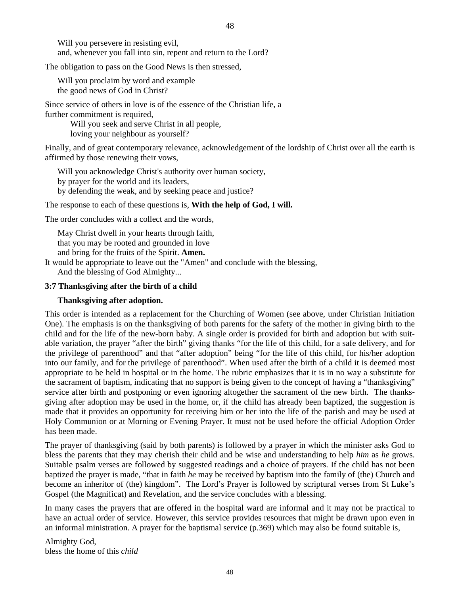Will you persevere in resisting evil, and, whenever you fall into sin, repent and return to the Lord?

The obligation to pass on the Good News is then stressed,

Will you proclaim by word and example the good news of God in Christ?

Since service of others in love is of the essence of the Christian life, a further commitment is required,

> Will you seek and serve Christ in all people, loving your neighbour as yourself?

Finally, and of great contemporary relevance, acknowledgement of the lordship of Christ over all the earth is affirmed by those renewing their vows,

Will you acknowledge Christ's authority over human society, by prayer for the world and its leaders, by defending the weak, and by seeking peace and justice?

The response to each of these questions is, **With the help of God, I will.** 

The order concludes with a collect and the words,

May Christ dwell in your hearts through faith, that you may be rooted and grounded in love and bring for the fruits of the Spirit. **Amen.** 

It would be appropriate to leave out the "Amen" and conclude with the blessing,

And the blessing of God Almighty...

### **3:7 Thanksgiving after the birth of a child**

## **Thanksgiving after adoption.**

This order is intended as a replacement for the Churching of Women (see above, under Christian Initiation One). The emphasis is on the thanksgiving of both parents for the safety of the mother in giving birth to the child and for the life of the new-born baby. A single order is provided for birth and adoption but with suitable variation, the prayer "after the birth" giving thanks "for the life of this child, for a safe delivery, and for the privilege of parenthood" and that "after adoption" being "for the life of this child, for his/her adoption into our family, and for the privilege of parenthood". When used after the birth of a child it is deemed most appropriate to be held in hospital or in the home. The rubric emphasizes that it is in no way a substitute for the sacrament of baptism, indicating that no support is being given to the concept of having a "thanksgiving" service after birth and postponing or even ignoring altogether the sacrament of the new birth. The thanksgiving after adoption may be used in the home, or, if the child has already been baptized, the suggestion is made that it provides an opportunity for receiving him or her into the life of the parish and may be used at Holy Communion or at Morning or Evening Prayer. It must not be used before the official Adoption Order has been made.

The prayer of thanksgiving (said by both parents) is followed by a prayer in which the minister asks God to bless the parents that they may cherish their child and be wise and understanding to help *him* as *he* grows. Suitable psalm verses are followed by suggested readings and a choice of prayers. If the child has not been baptized the prayer is made, "that in faith *he* may be received by baptism into the family of (the) Church and become an inheritor of (the) kingdom". The Lord's Prayer is followed by scriptural verses from St Luke's Gospel (the Magnificat) and Revelation, and the service concludes with a blessing.

In many cases the prayers that are offered in the hospital ward are informal and it may not be practical to have an actual order of service. However, this service provides resources that might be drawn upon even in an informal ministration. A prayer for the baptismal service (p.369) which may also be found suitable is,

Almighty God, bless the home of this *child*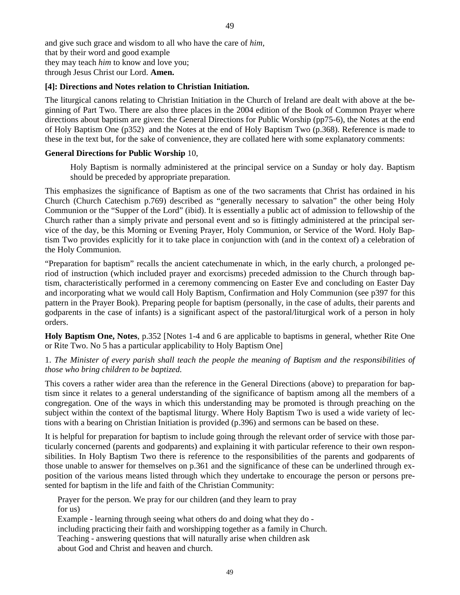and give such grace and wisdom to all who have the care of *him,*  that by their word and good example they may teach *him* to know and love you; through Jesus Christ our Lord. **Amen.** 

#### **[4]: Directions and Notes relation to Christian Initiation.**

The liturgical canons relating to Christian Initiation in the Church of Ireland are dealt with above at the beginning of Part Two. There are also three places in the 2004 edition of the Book of Common Prayer where directions about baptism are given: the General Directions for Public Worship (pp75-6), the Notes at the end of Holy Baptism One (p352) and the Notes at the end of Holy Baptism Two (p.368). Reference is made to these in the text but, for the sake of convenience, they are collated here with some explanatory comments:

# **General Directions for Public Worship** 10,

Holy Baptism is normally administered at the principal service on a Sunday or holy day. Baptism should be preceded by appropriate preparation.

This emphasizes the significance of Baptism as one of the two sacraments that Christ has ordained in his Church (Church Catechism p.769) described as "generally necessary to salvation" the other being Holy Communion or the "Supper of the Lord" (ibid). It is essentially a public act of admission to fellowship of the Church rather than a simply private and personal event and so is fittingly administered at the principal service of the day, be this Morning or Evening Prayer, Holy Communion, or Service of the Word. Holy Baptism Two provides explicitly for it to take place in conjunction with (and in the context of) a celebration of the Holy Communion.

"Preparation for baptism" recalls the ancient catechumenate in which, in the early church, a prolonged period of instruction (which included prayer and exorcisms) preceded admission to the Church through baptism, characteristically performed in a ceremony commencing on Easter Eve and concluding on Easter Day and incorporating what we would call Holy Baptism, Confirmation and Holy Communion (see p397 for this pattern in the Prayer Book). Preparing people for baptism (personally, in the case of adults, their parents and godparents in the case of infants) is a significant aspect of the pastoral/liturgical work of a person in holy orders.

**Holy Baptism One, Notes**, p.352 [Notes 1-4 and 6 are applicable to baptisms in general, whether Rite One or Rite Two. No 5 has a particular applicability to Holy Baptism One]

# 1. *The Minister of every parish shall teach the people the meaning of Baptism and the responsibilities of those who bring children to be baptized.*

This covers a rather wider area than the reference in the General Directions (above) to preparation for baptism since it relates to a general understanding of the significance of baptism among all the members of a congregation. One of the ways in which this understanding may be promoted is through preaching on the subject within the context of the baptismal liturgy. Where Holy Baptism Two is used a wide variety of lections with a bearing on Christian Initiation is provided (p.396) and sermons can be based on these.

It is helpful for preparation for baptism to include going through the relevant order of service with those particularly concerned (parents and godparents) and explaining it with particular reference to their own responsibilities. In Holy Baptism Two there is reference to the responsibilities of the parents and godparents of those unable to answer for themselves on p.361 and the significance of these can be underlined through exposition of the various means listed through which they undertake to encourage the person or persons presented for baptism in the life and faith of the Christian Community:

Prayer for the person. We pray for our children (and they learn to pray for us) Example - learning through seeing what others do and doing what they do -

including practicing their faith and worshipping together as a family in Church. Teaching - answering questions that will naturally arise when children ask about God and Christ and heaven and church.

49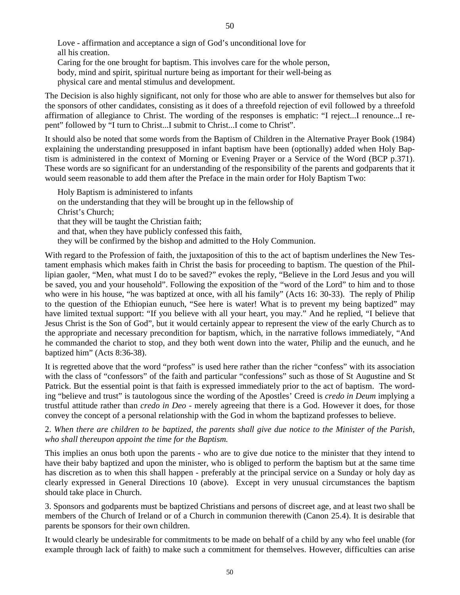50

Love - affirmation and acceptance a sign of God's unconditional love for all his creation. Caring for the one brought for baptism. This involves care for the whole person, body, mind and spirit, spiritual nurture being as important for their well-being as

physical care and mental stimulus and development.

The Decision is also highly significant, not only for those who are able to answer for themselves but also for the sponsors of other candidates, consisting as it does of a threefold rejection of evil followed by a threefold affirmation of allegiance to Christ. The wording of the responses is emphatic: "I reject...I renounce...I repent" followed by "I turn to Christ...I submit to Christ...I come to Christ".

It should also be noted that some words from the Baptism of Children in the Alternative Prayer Book (1984) explaining the understanding presupposed in infant baptism have been (optionally) added when Holy Baptism is administered in the context of Morning or Evening Prayer or a Service of the Word (BCP p.371). These words are so significant for an understanding of the responsibility of the parents and godparents that it would seem reasonable to add them after the Preface in the main order for Holy Baptism Two:

Holy Baptism is administered to infants on the understanding that they will be brought up in the fellowship of Christ's Church; that they will be taught the Christian faith; and that, when they have publicly confessed this faith, they will be confirmed by the bishop and admitted to the Holy Communion.

With regard to the Profession of faith, the juxtaposition of this to the act of baptism underlines the New Testament emphasis which makes faith in Christ the basis for proceeding to baptism. The question of the Phillipian gaoler, "Men, what must I do to be saved?" evokes the reply, "Believe in the Lord Jesus and you will be saved, you and your household". Following the exposition of the "word of the Lord" to him and to those who were in his house, "he was baptized at once, with all his family" (Acts 16: 30-33). The reply of Philip to the question of the Ethiopian eunuch, "See here is water! What is to prevent my being baptized" may have limited textual support: "If you believe with all your heart, you may." And he replied, "I believe that Jesus Christ is the Son of God", but it would certainly appear to represent the view of the early Church as to the appropriate and necessary precondition for baptism, which, in the narrative follows immediately, "And he commanded the chariot to stop, and they both went down into the water, Philip and the eunuch, and he baptized him" (Acts 8:36-38).

It is regretted above that the word "profess" is used here rather than the richer "confess" with its association with the class of "confessors" of the faith and particular "confessions" such as those of St Augustine and St Patrick. But the essential point is that faith is expressed immediately prior to the act of baptism. The wording "believe and trust" is tautologous since the wording of the Apostles' Creed is *credo in Deum* implying a trustful attitude rather than *credo in Deo* - merely agreeing that there is a God. However it does, for those convey the concept of a personal relationship with the God in whom the baptizand professes to believe.

2. *When there are children to be baptized, the parents shall give due notice to the Minister of the Parish, who shall thereupon appoint the time for the Baptism.* 

This implies an onus both upon the parents - who are to give due notice to the minister that they intend to have their baby baptized and upon the minister, who is obliged to perform the baptism but at the same time has discretion as to when this shall happen - preferably at the principal service on a Sunday or holy day as clearly expressed in General Directions 10 (above). Except in very unusual circumstances the baptism should take place in Church.

3. Sponsors and godparents must be baptized Christians and persons of discreet age, and at least two shall be members of the Church of Ireland or of a Church in communion therewith (Canon 25.4). It is desirable that parents be sponsors for their own children.

It would clearly be undesirable for commitments to be made on behalf of a child by any who feel unable (for example through lack of faith) to make such a commitment for themselves. However, difficulties can arise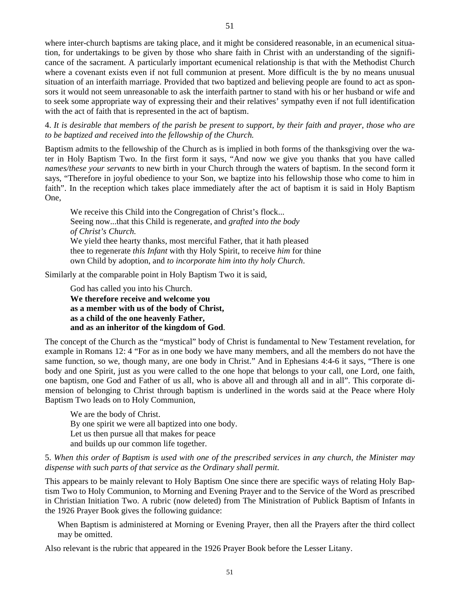where inter-church baptisms are taking place, and it might be considered reasonable, in an ecumenical situation, for undertakings to be given by those who share faith in Christ with an understanding of the significance of the sacrament. A particularly important ecumenical relationship is that with the Methodist Church where a covenant exists even if not full communion at present. More difficult is the by no means unusual situation of an interfaith marriage. Provided that two baptized and believing people are found to act as sponsors it would not seem unreasonable to ask the interfaith partner to stand with his or her husband or wife and to seek some appropriate way of expressing their and their relatives' sympathy even if not full identification with the act of faith that is represented in the act of baptism.

4. *It is desirable that members of the parish be present to support, by their faith and prayer, those who are to be baptized and received into the fellowship of the Church.* 

Baptism admits to the fellowship of the Church as is implied in both forms of the thanksgiving over the water in Holy Baptism Two. In the first form it says, "And now we give you thanks that you have called *names/these your servants* to new birth in your Church through the waters of baptism. In the second form it says, "Therefore in joyful obedience to your Son, we baptize into his fellowship those who come to him in faith". In the reception which takes place immediately after the act of baptism it is said in Holy Baptism One,

We receive this Child into the Congregation of Christ's flock... Seeing now...that this Child is regenerate, and *grafted into the body of Christ's Church.*  We yield thee hearty thanks, most merciful Father, that it hath pleased thee to regenerate *this Infant* with thy Holy Spirit, to receive *him* for thine own Child by adoption, and *to incorporate him into thy holy Church*.

Similarly at the comparable point in Holy Baptism Two it is said,

 God has called you into his Church.  **We therefore receive and welcome you as a member with us of the body of Christ, as a child of the one heavenly Father, and as an inheritor of the kingdom of God**.

The concept of the Church as the "mystical" body of Christ is fundamental to New Testament revelation, for example in Romans 12: 4 "For as in one body we have many members, and all the members do not have the same function, so we, though many, are one body in Christ." And in Ephesians 4:4-6 it says, "There is one body and one Spirit, just as you were called to the one hope that belongs to your call, one Lord, one faith, one baptism, one God and Father of us all, who is above all and through all and in all". This corporate dimension of belonging to Christ through baptism is underlined in the words said at the Peace where Holy Baptism Two leads on to Holy Communion,

We are the body of Christ. By one spirit we were all baptized into one body. Let us then pursue all that makes for peace and builds up our common life together.

#### 5. *When this order of Baptism is used with one of the prescribed services in any church, the Minister may dispense with such parts of that service as the Ordinary shall permit.*

This appears to be mainly relevant to Holy Baptism One since there are specific ways of relating Holy Baptism Two to Holy Communion, to Morning and Evening Prayer and to the Service of the Word as prescribed in Christian Initiation Two. A rubric (now deleted) from The Ministration of Publick Baptism of Infants in the 1926 Prayer Book gives the following guidance:

When Baptism is administered at Morning or Evening Prayer, then all the Prayers after the third collect may be omitted.

Also relevant is the rubric that appeared in the 1926 Prayer Book before the Lesser Litany.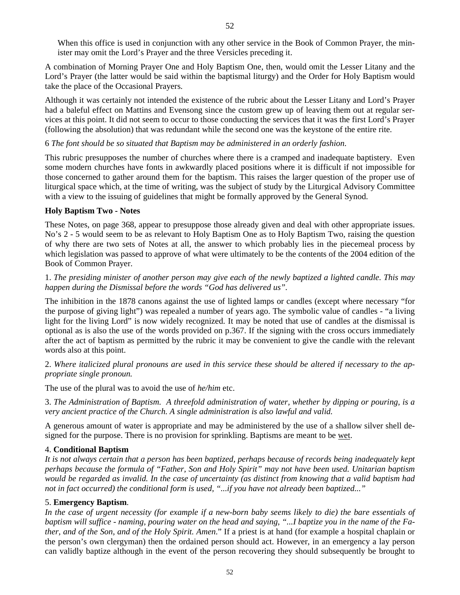When this office is used in conjunction with any other service in the Book of Common Prayer, the minister may omit the Lord's Prayer and the three Versicles preceding it.

A combination of Morning Prayer One and Holy Baptism One, then, would omit the Lesser Litany and the Lord's Prayer (the latter would be said within the baptismal liturgy) and the Order for Holy Baptism would take the place of the Occasional Prayers.

Although it was certainly not intended the existence of the rubric about the Lesser Litany and Lord's Prayer had a baleful effect on Mattins and Evensong since the custom grew up of leaving them out at regular services at this point. It did not seem to occur to those conducting the services that it was the first Lord's Prayer (following the absolution) that was redundant while the second one was the keystone of the entire rite.

## 6 *The font should be so situated that Baptism may be administered in an orderly fashion.*

This rubric presupposes the number of churches where there is a cramped and inadequate baptistery. Even some modern churches have fonts in awkwardly placed positions where it is difficult if not impossible for those concerned to gather around them for the baptism. This raises the larger question of the proper use of liturgical space which, at the time of writing, was the subject of study by the Liturgical Advisory Committee with a view to the issuing of guidelines that might be formally approved by the General Synod.

# **Holy Baptism Two - Notes**

These Notes, on page 368, appear to presuppose those already given and deal with other appropriate issues. No's 2 - 5 would seem to be as relevant to Holy Baptism One as to Holy Baptism Two, raising the question of why there are two sets of Notes at all, the answer to which probably lies in the piecemeal process by which legislation was passed to approve of what were ultimately to be the contents of the 2004 edition of the Book of Common Prayer.

# 1. *The presiding minister of another person may give each of the newly baptized a lighted candle. This may happen during the Dismissal before the words "God has delivered us".*

The inhibition in the 1878 canons against the use of lighted lamps or candles (except where necessary "for the purpose of giving light") was repealed a number of years ago. The symbolic value of candles - "a living light for the living Lord" is now widely recognized. It may be noted that use of candles at the dismissal is optional as is also the use of the words provided on p.367. If the signing with the cross occurs immediately after the act of baptism as permitted by the rubric it may be convenient to give the candle with the relevant words also at this point.

2. *Where italicized plural pronouns are used in this service these should be altered if necessary to the appropriate single pronoun.* 

The use of the plural was to avoid the use of *he/him* etc.

3. *The Administration of Baptism. A threefold administration of water, whether by dipping or pouring, is a very ancient practice of the Church. A single administration is also lawful and valid.* 

A generous amount of water is appropriate and may be administered by the use of a shallow silver shell designed for the purpose. There is no provision for sprinkling. Baptisms are meant to be wet.

#### 4. **Conditional Baptism**

*It is not always certain that a person has been baptized, perhaps because of records being inadequately kept perhaps because the formula of "Father, Son and Holy Spirit" may not have been used. Unitarian baptism would be regarded as invalid. In the case of uncertainty (as distinct from knowing that a valid baptism had not in fact occurred) the conditional form is used, "...if you have not already been baptized..."* 

#### 5. **Emergency Baptism**.

*In the case of urgent necessity (for example if a new-born baby seems likely to die) the bare essentials of baptism will suffice - naming, pouring water on the head and saying, "...I baptize you in the name of the Father, and of the Son, and of the Holy Spirit. Amen*." If a priest is at hand (for example a hospital chaplain or the person's own clergyman) then the ordained person should act. However, in an emergency a lay person can validly baptize although in the event of the person recovering they should subsequently be brought to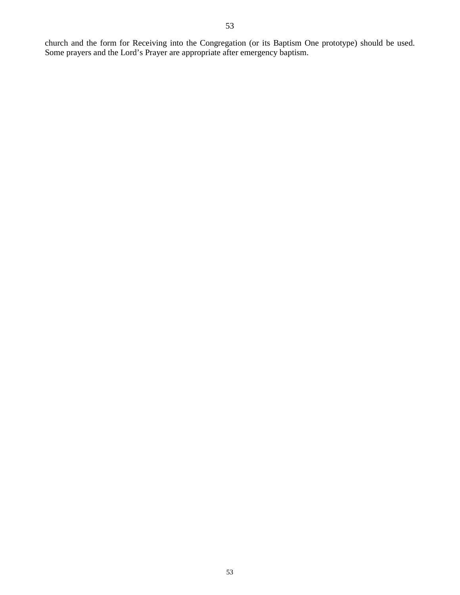church and the form for Receiving into the Congregation (or its Baptism One prototype) should be used. Some prayers and the Lord's Prayer are appropriate after emergency baptism.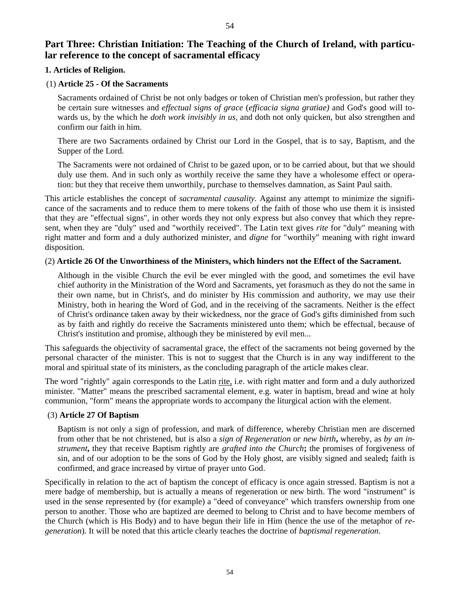# **Part Three: Christian Initiation: The Teaching of the Church of Ireland, with particular reference to the concept of sacramental efficacy**

# **1. Articles of Religion.**

#### (1) **Article 25 - Of the Sacraments**

Sacraments ordained of Christ be not only badges or token of Christian men's profession, but rather they be certain sure witnesses and *effectual signs of grace* (*efficacia signa gratiae)* and God's good will towards us, by the which he *doth work invisibly in us,* and doth not only quicken, but also strengthen and confirm our faith in him.

There are two Sacraments ordained by Christ our Lord in the Gospel, that is to say, Baptism, and the Supper of the Lord.

The Sacraments were not ordained of Christ to be gazed upon, or to be carried about, but that we should duly use them. And in such only as worthily receive the same they have a wholesome effect or operation: but they that receive them unworthily, purchase to themselves damnation, as Saint Paul saith.

This article establishes the concept of *sacramental causality.* Against any attempt to minimize the significance of the sacraments and to reduce them to mere tokens of the faith of those who use them it is insisted that they are "effectual signs", in other words they not only express but also convey that which they represent, when they are "duly" used and "worthily received". The Latin text gives *rite* for "duly" meaning with right matter and form and a duly authorized minister, and *digne* for "worthily" meaning with right inward disposition.

#### (2) **Article 26 Of the Unworthiness of the Ministers, which hinders not the Effect of the Sacrament.**

Although in the visible Church the evil be ever mingled with the good, and sometimes the evil have chief authority in the Ministration of the Word and Sacraments, yet forasmuch as they do not the same in their own name, but in Christ's, and do minister by His commission and authority, we may use their Ministry, both in hearing the Word of God, and in the receiving of the sacraments. Neither is the effect of Christ's ordinance taken away by their wickedness, nor the grace of God's gifts diminished from such as by faith and rightly do receive the Sacraments ministered unto them; which be effectual, because of Christ's institution and promise, although they be ministered by evil men...

This safeguards the objectivity of sacramental grace, the effect of the sacraments not being governed by the personal character of the minister. This is not to suggest that the Church is in any way indifferent to the moral and spiritual state of its ministers, as the concluding paragraph of the article makes clear.

The word "rightly" again corresponds to the Latin rite, i.e. with right matter and form and a duly authorized minister. "Matter" means the prescribed sacramental element, e.g. water in baptism, bread and wine at holy communion, "form" means the appropriate words to accompany the liturgical action with the element.

# (3) **Article 27 Of Baptism**

Baptism is not only a sign of profession, and mark of difference, whereby Christian men are discerned from other that be not christened, but is also a *sign of Regeneration or new birth***,** whereby, as *by an instrument***,** they that receive Baptism rightly are *grafted into the Church***;** the promises of forgiveness of sin, and of our adoption to be the sons of God by the Holy ghost, are visibly signed and sealed**;** faith is confirmed, and grace increased by virtue of prayer unto God.

Specifically in relation to the act of baptism the concept of efficacy is once again stressed. Baptism is not a mere badge of membership, but is actually a means of regeneration or new birth. The word "instrument" is used in the sense represented by (for example) a "deed of conveyance" which transfers ownership from one person to another. Those who are baptized are deemed to belong to Christ and to have become members of the Church (which is His Body) and to have begun their life in Him (hence the use of the metaphor of *regeneration*). It will be noted that this article clearly teaches the doctrine of *baptismal regeneration*.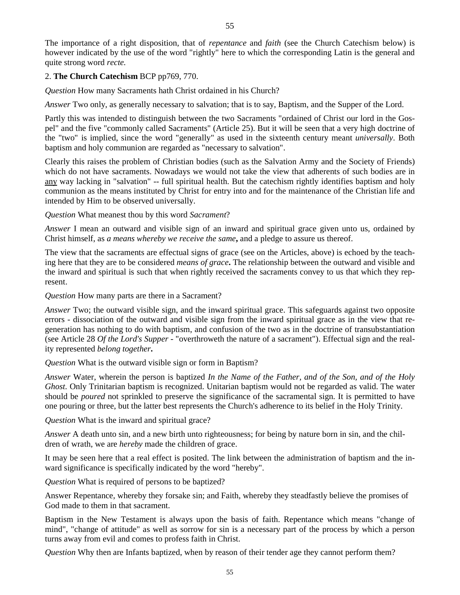The importance of a right disposition, that of *repentance* and *faith* (see the Church Catechism below) is however indicated by the use of the word "rightly" here to which the corresponding Latin is the general and quite strong word *recte.*

# 2. **The Church Catechism** BCP pp769, 770.

*Question* How many Sacraments hath Christ ordained in his Church?

*Answer* Two only, as generally necessary to salvation; that is to say, Baptism, and the Supper of the Lord.

Partly this was intended to distinguish between the two Sacraments "ordained of Christ our lord in the Gospel" and the five "commonly called Sacraments" (Article 25). But it will be seen that a very high doctrine of the "two" is implied, since the word "generally" as used in the sixteenth century meant *universally*. Both baptism and holy communion are regarded as "necessary to salvation".

Clearly this raises the problem of Christian bodies (such as the Salvation Army and the Society of Friends) which do not have sacraments. Nowadays we would not take the view that adherents of such bodies are in any way lacking in "salvation" -- full spiritual health. But the catechism rightly identifies baptism and holy communion as the means instituted by Christ for entry into and for the maintenance of the Christian life and intended by Him to be observed universally.

*Question* What meanest thou by this word *Sacrament*?

*Answer* I mean an outward and visible sign of an inward and spiritual grace given unto us, ordained by Christ himself, as *a means whereby we receive the same***,** and a pledge to assure us thereof.

The view that the sacraments are effectual signs of grace (see on the Articles, above) is echoed by the teaching here that they are to be considered *means of grace***.** The relationship between the outward and visible and the inward and spiritual is such that when rightly received the sacraments convey to us that which they represent.

*Question* How many parts are there in a Sacrament?

*Answer* Two; the outward visible sign, and the inward spiritual grace. This safeguards against two opposite errors - dissociation of the outward and visible sign from the inward spiritual grace as in the view that regeneration has nothing to do with baptism, and confusion of the two as in the doctrine of transubstantiation (see Article 28 *Of the Lord's Supper* - "overthroweth the nature of a sacrament"). Effectual sign and the reality represented *belong together***.**

*Question* What is the outward visible sign or form in Baptism?

*Answer* Water, wherein the person is baptized *In the Name of the Father, and of the Son, and of the Holy Ghost.* Only Trinitarian baptism is recognized. Unitarian baptism would not be regarded as valid. The water should be *poured* not sprinkled to preserve the significance of the sacramental sign. It is permitted to have one pouring or three, but the latter best represents the Church's adherence to its belief in the Holy Trinity.

*Question* What is the inward and spiritual grace?

*Answer* A death unto sin, and a new birth unto righteousness; for being by nature born in sin, and the children of wrath, we are *hereby* made the children of grace.

It may be seen here that a real effect is posited. The link between the administration of baptism and the inward significance is specifically indicated by the word "hereby".

*Question* What is required of persons to be baptized?

Answer Repentance, whereby they forsake sin; and Faith, whereby they steadfastly believe the promises of God made to them in that sacrament.

Baptism in the New Testament is always upon the basis of faith. Repentance which means "change of mind", "change of attitude" as well as sorrow for sin is a necessary part of the process by which a person turns away from evil and comes to profess faith in Christ.

*Question* Why then are Infants baptized, when by reason of their tender age they cannot perform them?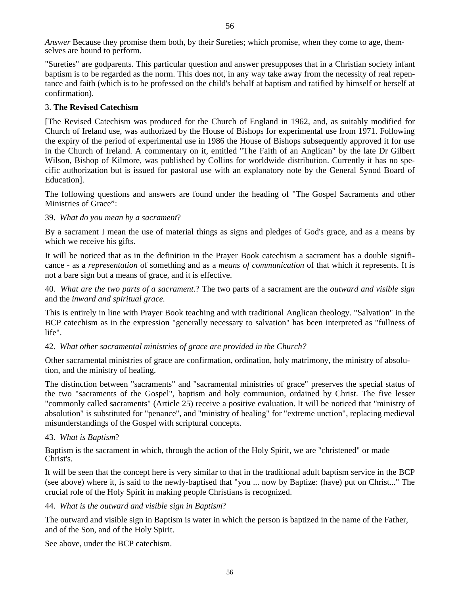*Answer* Because they promise them both, by their Sureties; which promise, when they come to age, themselves are bound to perform.

"Sureties" are godparents. This particular question and answer presupposes that in a Christian society infant baptism is to be regarded as the norm. This does not, in any way take away from the necessity of real repentance and faith (which is to be professed on the child's behalf at baptism and ratified by himself or herself at confirmation).

#### 3. **The Revised Catechism**

[The Revised Catechism was produced for the Church of England in 1962, and, as suitably modified for Church of Ireland use, was authorized by the House of Bishops for experimental use from 1971. Following the expiry of the period of experimental use in 1986 the House of Bishops subsequently approved it for use in the Church of Ireland. A commentary on it, entitled "The Faith of an Anglican" by the late Dr Gilbert Wilson, Bishop of Kilmore, was published by Collins for worldwide distribution. Currently it has no specific authorization but is issued for pastoral use with an explanatory note by the General Synod Board of Education].

The following questions and answers are found under the heading of "The Gospel Sacraments and other Ministries of Grace":

# 39. *What do you mean by a sacrament*?

By a sacrament I mean the use of material things as signs and pledges of God's grace, and as a means by which we receive his gifts.

It will be noticed that as in the definition in the Prayer Book catechism a sacrament has a double significance - as a *representation* of something and as a *means of communication* of that which it represents. It is not a bare sign but a means of grace, and it is effective.

40. *What are the two parts of a sacrament*.? The two parts of a sacrament are the *outward and visible sign* and the *inward and spiritual grace.*

This is entirely in line with Prayer Book teaching and with traditional Anglican theology. "Salvation" in the BCP catechism as in the expression "generally necessary to salvation" has been interpreted as "fullness of life".

#### 42. *What other sacramental ministries of grace are provided in the Church?*

Other sacramental ministries of grace are confirmation, ordination, holy matrimony, the ministry of absolution, and the ministry of healing.

The distinction between "sacraments" and "sacramental ministries of grace" preserves the special status of the two "sacraments of the Gospel", baptism and holy communion, ordained by Christ. The five lesser "commonly called sacraments" (Article 25) receive a positive evaluation. It will be noticed that "ministry of absolution" is substituted for "penance", and "ministry of healing" for "extreme unction", replacing medieval misunderstandings of the Gospel with scriptural concepts.

#### 43. *What is Baptism*?

Baptism is the sacrament in which, through the action of the Holy Spirit, we are "christened" or made Christ's.

It will be seen that the concept here is very similar to that in the traditional adult baptism service in the BCP (see above) where it, is said to the newly-baptised that "you ... now by Baptize: (have) put on Christ..." The crucial role of the Holy Spirit in making people Christians is recognized.

#### 44. *What is the outward and visible sign in Baptism*?

The outward and visible sign in Baptism is water in which the person is baptized in the name of the Father, and of the Son, and of the Holy Spirit.

See above, under the BCP catechism.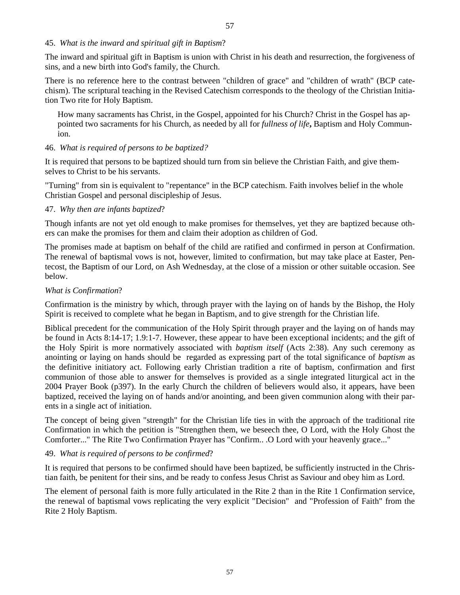#### 45. *What is the inward and spiritual gift in Baptism*?

The inward and spiritual gift in Baptism is union with Christ in his death and resurrection, the forgiveness of sins, and a new birth into God's family, the Church.

There is no reference here to the contrast between "children of grace" and "children of wrath" (BCP catechism). The scriptural teaching in the Revised Catechism corresponds to the theology of the Christian Initiation Two rite for Holy Baptism.

How many sacraments has Christ, in the Gospel, appointed for his Church? Christ in the Gospel has appointed two sacraments for his Church, as needed by all for *fullness of life***,** Baptism and Holy Communion.

#### 46. *What is required of persons to be baptized?*

It is required that persons to be baptized should turn from sin believe the Christian Faith, and give themselves to Christ to be his servants.

"Turning" from sin is equivalent to "repentance" in the BCP catechism. Faith involves belief in the whole Christian Gospel and personal discipleship of Jesus.

#### 47. *Why then are infants baptized*?

Though infants are not yet old enough to make promises for themselves, yet they are baptized because others can make the promises for them and claim their adoption as children of God.

The promises made at baptism on behalf of the child are ratified and confirmed in person at Confirmation. The renewal of baptismal vows is not, however, limited to confirmation, but may take place at Easter, Pentecost, the Baptism of our Lord, on Ash Wednesday, at the close of a mission or other suitable occasion. See below.

#### *What is Confirmation*?

Confirmation is the ministry by which, through prayer with the laying on of hands by the Bishop, the Holy Spirit is received to complete what he began in Baptism, and to give strength for the Christian life.

Biblical precedent for the communication of the Holy Spirit through prayer and the laying on of hands may be found in Acts 8:14-17; 1.9:1-7. However, these appear to have been exceptional incidents; and the gift of the Holy Spirit is more normatively associated with *baptism itself* (Acts 2:38). Any such ceremony as anointing or laying on hands should be regarded as expressing part of the total significance of *baptism* as the definitive initiatory act. Following early Christian tradition a rite of baptism, confirmation and first communion of those able to answer for themselves is provided as a single integrated liturgical act in the 2004 Prayer Book (p397). In the early Church the children of believers would also, it appears, have been baptized, received the laying on of hands and/or anointing, and been given communion along with their parents in a single act of initiation.

The concept of being given "strength" for the Christian life ties in with the approach of the traditional rite Confirmation in which the petition is "Strengthen them, we beseech thee, O Lord, with the Holy Ghost the Comforter..." The Rite Two Confirmation Prayer has "Confirm.. .O Lord with your heavenly grace..."

#### 49. *What is required of persons to be confirmed*?

It is required that persons to be confirmed should have been baptized, be sufficiently instructed in the Christian faith, be penitent for their sins, and be ready to confess Jesus Christ as Saviour and obey him as Lord.

The element of personal faith is more fully articulated in the Rite 2 than in the Rite 1 Confirmation service, the renewal of baptismal vows replicating the very explicit "Decision" and "Profession of Faith" from the Rite 2 Holy Baptism.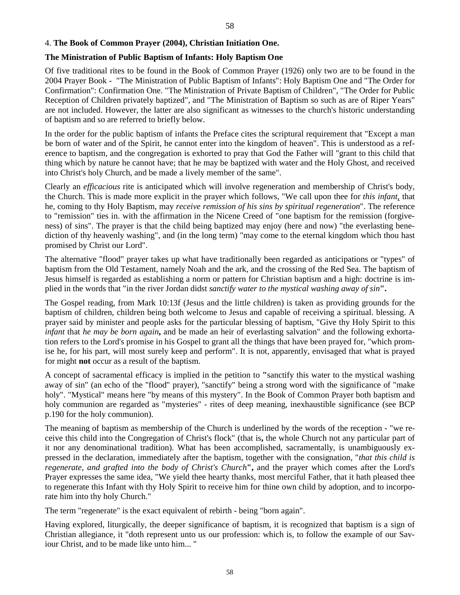# 4. **The Book of Common Prayer (2004), Christian Initiation One.**

## **The Ministration of Public Baptism of Infants: Holy Baptism One**

Of five traditional rites to be found in the Book of Common Prayer (1926) only two are to be found in the 2004 Prayer Book - "The Ministration of Public Baptism of Infants": Holy Baptism One and "The Order for Confirmation": Confirmation One. "The Ministration of Private Baptism of Children", "The Order for Public Reception of Children privately baptized", and "The Ministration of Baptism so such as are of Riper Years" are not included. However, the latter are also significant as witnesses to the church's historic understanding of baptism and so are referred to briefly below.

In the order for the public baptism of infants the Preface cites the scriptural requirement that "Except a man be born of water and of the Spirit, he cannot enter into the kingdom of heaven". This is understood as a reference to baptism, and the congregation is exhorted to pray that God the Father will "grant to this child that thing which by nature he cannot have; that he may be baptized with water and the Holy Ghost, and received into Christ's holy Church, and be made a lively member of the same".

Clearly an *efficacious* rite is anticipated which will involve regeneration and membership of Christ's body, the Church. This is made more explicit in the prayer which follows, "We call upon thee for *this infant*, that he, coming to thy Holy Baptism, may *receive remission of his sins by spiritual regeneration*". The reference to "remission" ties in. with the affirmation in the Nicene Creed of "one baptism for the remission (forgiveness) of sins". The prayer is that the child being baptized may enjoy (here and now) "the everlasting benediction of thy heavenly washing", and (in the long term) "may come to the eternal kingdom which thou hast promised by Christ our Lord".

The alternative "flood" prayer takes up what have traditionally been regarded as anticipations or "types" of baptism from the Old Testament, namely Noah and the ark, and the crossing of the Red Sea. The baptism of Jesus himself is regarded as establishing a norm or pattern for Christian baptism and a high: doctrine is implied in the words that "in the river Jordan didst *sanctify water to the mystical washing away of sin***".**

The Gospel reading, from Mark 10:13f (Jesus and the little children) is taken as providing grounds for the baptism of children, children being both welcome to Jesus and capable of receiving a spiritual. blessing. A prayer said by minister and people asks for the particular blessing of baptism, "Give thy Holy Spirit to this *infant* that *he may be born again***,** and be made an heir of everlasting salvation" and the following exhortation refers to the Lord's promise in his Gospel to grant all the things that have been prayed for, "which promise he, for his part, will most surely keep and perform". It is not, apparently, envisaged that what is prayed for might **not** occur as a result of the baptism.

A concept of sacramental efficacy is implied in the petition to **"**sanctify this water to the mystical washing away of sin" (an echo of the "flood" prayer), "sanctify" being a strong word with the significance of "make holy". "Mystical" means here "by means of this mystery". In the Book of Common Prayer both baptism and holy communion are regarded as "mysteries" - rites of deep meaning, inexhaustible significance (see BCP p.190 for the holy communion).

The meaning of baptism as membership of the Church is underlined by the words of the reception - "we receive this child into the Congregation of Christ's flock" (that is**,** the whole Church not any particular part of it nor any denominational tradition). What has been accomplished, sacramentally, is unambiguously expressed in the declaration, immediately after the baptism, together with the consignation, "*that this child is regenerate, and grafted into the body of Christ's Church***",** and the prayer which comes after the Lord's Prayer expresses the same idea, "We yield thee hearty thanks, most merciful Father, that it hath pleased thee to regenerate this Infant with thy Holy Spirit to receive him for thine own child by adoption, and to incorporate him into thy holy Church."

The term "regenerate" is the exact equivalent of rebirth - being "born again".

Having explored, liturgically, the deeper significance of baptism, it is recognized that baptism is a sign of Christian allegiance, it "doth represent unto us our profession: which is, to follow the example of our Saviour Christ, and to be made like unto him... "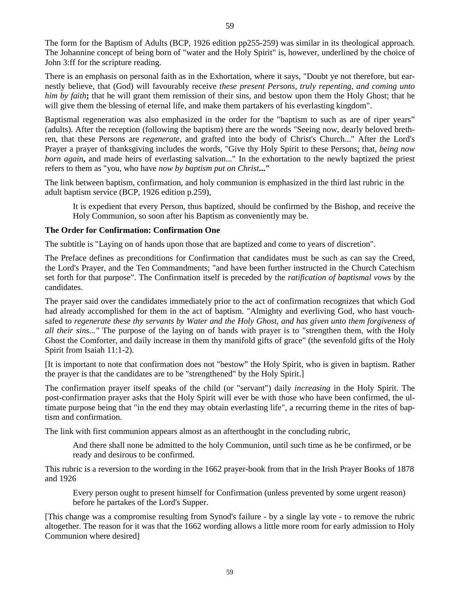The form for the Baptism of Adults (BCP, 1926 edition pp255-259) was similar in its theological approach. The Johannine concept of being born of "water and the Holy Spirit" is, however, underlined by the choice of John 3:ff for the scripture reading.

There is an emphasis on personal faith as in the Exhortation, where it says, "Doubt ye not therefore, but earnestly believe, that (God) will favourably receive *these present Persons, truly repenting, and coming unto him by faith***;** that he will grant them remission of their sins, and bestow upon them the Holy Ghost; that he will give them the blessing of eternal life, and make them partakers of his everlasting kingdom".

Baptismal regeneration was also emphasized in the order for the "baptism to such as are of riper years" (adults). After the reception (following the baptism) there are the words "Seeing now, dearly beloved brethren, that these Persons are *regenerate,* and grafted into the body of Christ's Church..." After the Lord's Prayer a prayer of thanksgiving includes the words, "Give thy Holy Spirit to these Persons; that, *being now born again***,** and made heirs of everlasting salvation..." In the exhortation to the newly baptized the priest refers to them as "you, who have *now by baptism put on Christ***..."** 

The link between baptism, confirmation, and holy communion is emphasized in the third last rubric in the adult baptism service (BCP, 1926 edition p.259),

It is expedient that every Person, thus baptized, should be confirmed by the Bishop, and receive the Holy Communion, so soon after his Baptism as conveniently may be.

#### **The Order for Confirmation: Confirmation One**

The subtitle is "Laying on of hands upon those that are baptized and come to years of discretion".

The Preface defines as preconditions for Confirmation that candidates must be such as can say the Creed, the Lord's Prayer, and the Ten Commandments; "and have been further instructed in the Church Catechism set forth for that purpose". The Confirmation itself is preceded by the *ratification of baptismal vows* by the candidates.

The prayer said over the candidates immediately prior to the act of confirmation recognizes that which God had already accomplished for them in the act of baptism. "Almighty and everliving God, who hast vouchsafed to *regenerate these thy servants by Water and the Holy Ghost, and has given unto them forgiveness of all their sins..."* The purpose of the laying on of hands with prayer is to "strengthen them, with the Holy Ghost the Comforter, and daily increase in them thy manifold gifts of grace" (the sevenfold gifts of the Holy Spirit from Isaiah 11:1-2).

[It is important to note that confirmation does not "bestow" the Holy Spirit, who is given in baptism. Rather the prayer is that the candidates are to be "strengthened" by the Holy Spirit.]

The confirmation prayer itself speaks of the child (or "servant") daily *increasing* in the Holy Spirit. The post-confirmation prayer asks that the Holy Spirit will ever be with those who have been confirmed, the ultimate purpose being that "in the end they may obtain everlasting life", a recurring theme in the rites of baptism and confirmation.

The link with first communion appears almost as an afterthought in the concluding rubric,

And there shall none be admitted to the holy Communion, until such time as he be confirmed, or be ready and desirous to be confirmed.

This rubric is a reversion to the wording in the 1662 prayer-book from that in the Irish Prayer Books of 1878 and 1926

Every person ought to present himself for Confirmation (unless prevented by some urgent reason) before he partakes of the Lord's Supper.

[This change was a compromise resulting from Synod's failure - by a single lay vote - to remove the rubric altogether. The reason for it was that the 1662 wording allows a little more room for early admission to Holy Communion where desired]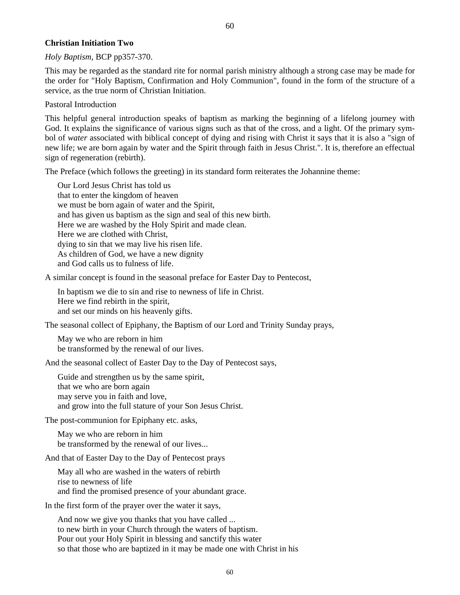#### **Christian Initiation Two**

*Holy Baptism*, BCP pp357-370.

This may be regarded as the standard rite for normal parish ministry although a strong case may be made for the order for "Holy Baptism, Confirmation and Holy Communion", found in the form of the structure of a service, as the true norm of Christian Initiation.

Pastoral Introduction

This helpful general introduction speaks of baptism as marking the beginning of a lifelong journey with God. It explains the significance of various signs such as that of the cross, and a light. Of the primary symbol of *water* associated with biblical concept of dying and rising with Christ it says that it is also a "sign of new life; we are born again by water and the Spirit through faith in Jesus Christ.". It is, therefore an effectual sign of regeneration (rebirth).

The Preface (which follows the greeting) in its standard form reiterates the Johannine theme:

Our Lord Jesus Christ has told us that to enter the kingdom of heaven we must be born again of water and the Spirit, and has given us baptism as the sign and seal of this new birth. Here we are washed by the Holy Spirit and made clean. Here we are clothed with Christ, dying to sin that we may live his risen life. As children of God, we have a new dignity and God calls us to fulness of life.

A similar concept is found in the seasonal preface for Easter Day to Pentecost,

In baptism we die to sin and rise to newness of life in Christ. Here we find rebirth in the spirit, and set our minds on his heavenly gifts.

The seasonal collect of Epiphany, the Baptism of our Lord and Trinity Sunday prays,

May we who are reborn in him be transformed by the renewal of our lives.

And the seasonal collect of Easter Day to the Day of Pentecost says,

 Guide and strengthen us by the same spirit, that we who are born again may serve you in faith and love, and grow into the full stature of your Son Jesus Christ.

The post-communion for Epiphany etc. asks,

May we who are reborn in him be transformed by the renewal of our lives...

And that of Easter Day to the Day of Pentecost prays

May all who are washed in the waters of rebirth rise to newness of life and find the promised presence of your abundant grace.

In the first form of the prayer over the water it says,

And now we give you thanks that you have called ... to new birth in your Church through the waters of baptism. Pour out your Holy Spirit in blessing and sanctify this water so that those who are baptized in it may be made one with Christ in his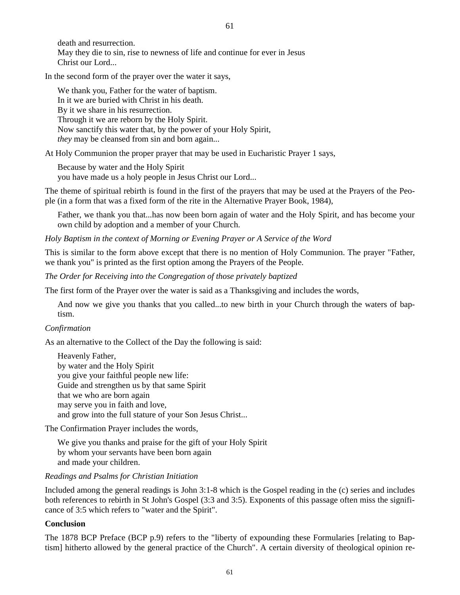death and resurrection. May they die to sin, rise to newness of life and continue for ever in Jesus Christ our Lord...

In the second form of the prayer over the water it says,

We thank you, Father for the water of baptism. In it we are buried with Christ in his death. By it we share in his resurrection. Through it we are reborn by the Holy Spirit. Now sanctify this water that, by the power of your Holy Spirit, *they* may be cleansed from sin and born again...

At Holy Communion the proper prayer that may be used in Eucharistic Prayer 1 says,

Because by water and the Holy Spirit you have made us a holy people in Jesus Christ our Lord...

The theme of spiritual rebirth is found in the first of the prayers that may be used at the Prayers of the People (in a form that was a fixed form of the rite in the Alternative Prayer Book, 1984),

Father, we thank you that...has now been born again of water and the Holy Spirit, and has become your own child by adoption and a member of your Church.

*Holy Baptism in the context of Morning or Evening Prayer or A Service of the Word* 

This is similar to the form above except that there is no mention of Holy Communion. The prayer "Father, we thank you" is printed as the first option among the Prayers of the People.

*The Order for Receiving into the Congregation of those privately baptized* 

The first form of the Prayer over the water is said as a Thanksgiving and includes the words,

And now we give you thanks that you called...to new birth in your Church through the waters of baptism.

#### *Confirmation*

As an alternative to the Collect of the Day the following is said:

Heavenly Father, by water and the Holy Spirit you give your faithful people new life: Guide and strengthen us by that same Spirit that we who are born again may serve you in faith and love, and grow into the full stature of your Son Jesus Christ...

The Confirmation Prayer includes the words,

We give you thanks and praise for the gift of your Holy Spirit by whom your servants have been born again and made your children.

#### *Readings and Psalms for Christian Initiation*

Included among the general readings is John 3:1-8 which is the Gospel reading in the (c) series and includes both references to rebirth in St John's Gospel (3:3 and 3:5). Exponents of this passage often miss the significance of 3:5 which refers to "water and the Spirit".

#### **Conclusion**

The 1878 BCP Preface (BCP p.9) refers to the "liberty of expounding these Formularies [relating to Baptism] hitherto allowed by the general practice of the Church". A certain diversity of theological opinion re